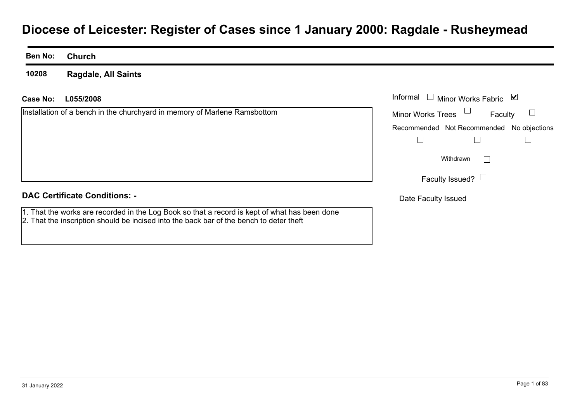# **Diocese of Leicester: Register of Cases since 1 January 2000: Ragdale - Rusheymead**

### **Ben No:Church**

**10208Ragdale, All Saints**

# **L055/2008Case No:** Informal

Installation of a bench in the churchyard in memory of Marlene Ramsbottom

| Informal<br>M<br><b>Minor Works Fabric</b> |                                           |  |
|--------------------------------------------|-------------------------------------------|--|
| <b>Minor Works Trees</b>                   | Faculty                                   |  |
|                                            | Recommended Not Recommended No objections |  |
|                                            |                                           |  |
|                                            | Withdrawn                                 |  |
| Faculty Issued?                            |                                           |  |
| Date Faculty Issued                        |                                           |  |

# **DAC Certificate Conditions: -**

1. That the works are recorded in the Log Book so that a record is kept of what has been done 2. That the inscription should be incised into the back bar of the bench to deter theft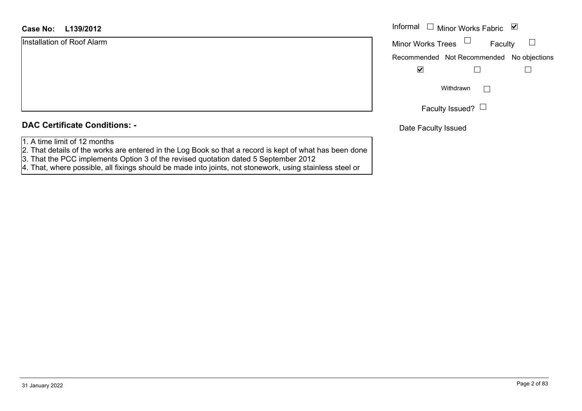|  |  | <b>DAC Certificate Conditions: -</b> |  |
|--|--|--------------------------------------|--|
|--|--|--------------------------------------|--|

- 1. A time limit of 12 months
- 2. That details of the works are entered in the Log Book so that a record is kept of what has been done
- 3. That the PCC implements Option 3 of the revised quotation dated 5 September 2012
- 4. That, where possible, all fixings should be made into joints, not stonework, using stainless steel or

| Informal                 | $\Box$ Minor Works Fabric                 | ⊻ |
|--------------------------|-------------------------------------------|---|
| <b>Minor Works Trees</b> | Faculty                                   |   |
|                          | Recommended Not Recommended No objections |   |
|                          |                                           |   |
|                          | Withdrawn                                 |   |
|                          | Faculty Issued? $\Box$                    |   |

Date Faculty Issued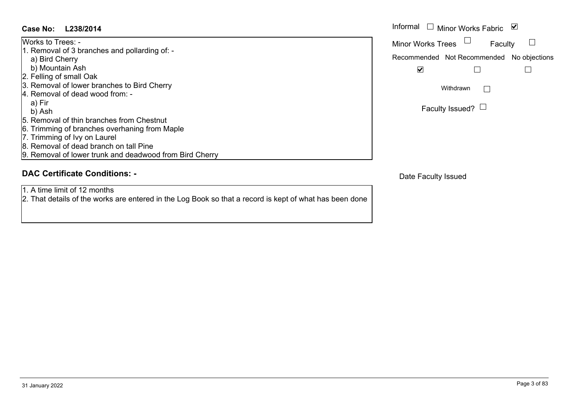# **L238/2014Case No:** Informal

Works to Trees: -

1. Removal of 3 branches and pollarding of: -

a) Bird Cherry

- b) Mountain Ash
- 2. Felling of small Oak
- 3. Removal of lower branches to Bird Cherry
- 4. Removal of dead wood from: -

a) Fir

b) Ash

- 5. Removal of thin branches from Chestnut
- 6. Trimming of branches overhaning from Maple
- 7. Trimming of Ivy on Laurel
- 8. Removal of dead branch on tall Pine
- 9. Removal of lower trunk and deadwood from Bird Cherry

# **DAC Certificate Conditions: -**

1. A time limit of 12 months

2. That details of the works are entered in the Log Book so that a record is kept of what has been done

| Informal $\Box$          | Minor Works Fabric                        | M |
|--------------------------|-------------------------------------------|---|
| <b>Minor Works Trees</b> | Faculty                                   |   |
|                          | Recommended Not Recommended No objections |   |
|                          |                                           |   |
|                          | Withdrawn                                 |   |
|                          | Faculty Issued?                           |   |

Date Faculty Issued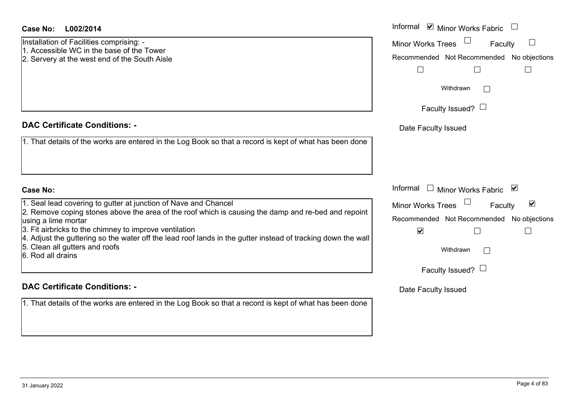Installation of Facilities comprising: - 1. Accessible WC in the base of the Tower

2. Servery at the west end of the South Aisle

# **DAC Certificate Conditions: -**

1. That details of the works are entered in the Log Book so that a record is kept of what has be

# **Case No:**

1. Seal lead covering to gutter at junction of Nave and Chancel

 $\vert$ 2. Remove coping stones above the area of the roof which is causing the damp and re-bed and using a lime mortar

3. Fit airbricks to the chimney to improve ventilation

4. Adjust the guttering so the water off the lead roof lands in the gutter instead of tracking dow

5. Clean all gutters and roofs

6. Rod all drains

# **DAC Certificate Conditions: -**

| L002/2014                                                                                                                               | Informal ☑ Minor Works Fabric                        |
|-----------------------------------------------------------------------------------------------------------------------------------------|------------------------------------------------------|
| on of Facilities comprising: -<br>sible WC in the base of the Tower                                                                     | Minor Works Trees<br>Faculty                         |
| y at the west end of the South Aisle                                                                                                    | Recommended Not Recommended No objections            |
|                                                                                                                                         |                                                      |
|                                                                                                                                         | Withdrawn                                            |
|                                                                                                                                         | Faculty Issued? $\Box$                               |
| rtificate Conditions: -                                                                                                                 | Date Faculty Issued                                  |
| etails of the works are entered in the Log Book so that a record is kept of what has been done                                          |                                                      |
|                                                                                                                                         |                                                      |
|                                                                                                                                         |                                                      |
|                                                                                                                                         | Informal<br>$\Box$<br>Minor Works Fabric ⊠           |
| ad covering to gutter at junction of Nave and Chancel                                                                                   | $\blacktriangledown$<br>Minor Works Trees<br>Faculty |
| ve coping stones above the area of the roof which is causing the damp and re-bed and repoint<br>me mortar                               | Recommended Not Recommended<br>No objections         |
| pricks to the chimney to improve ventilation                                                                                            | $\blacktriangledown$                                 |
| the guttering so the water off the lead roof lands in the gutter instead of tracking down the wall<br>all gutters and roofs<br>I drains | Withdrawn                                            |
|                                                                                                                                         | Faculty Issued? $\Box$                               |
| rtificate Conditions: -                                                                                                                 | Date Faculty Issued                                  |
| etaile of the worke are optered in the Leg Reek so that a recerd is kent of what has been depe                                          |                                                      |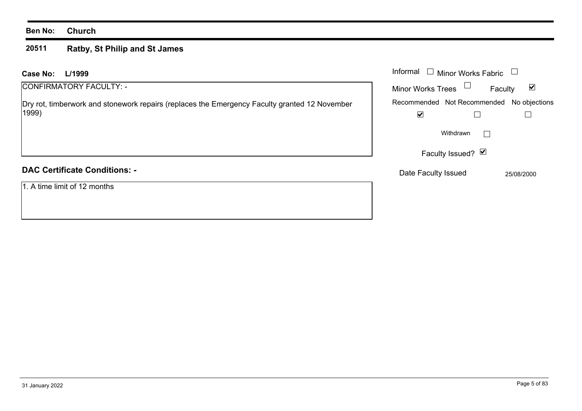# **Ben No: Church**

## **20511 Ratby, St Philip and St James**

| <b>Case No:</b><br>L/1999                                                                              | Informal [<br>Minor Works Fabric<br>$\mathcal{L}_{\mathcal{A}}$      |                                 |
|--------------------------------------------------------------------------------------------------------|----------------------------------------------------------------------|---------------------------------|
| CONFIRMATORY FACULTY: -                                                                                | Minor Works Trees $\Box$                                             | $\blacktriangledown$<br>Faculty |
| Dry rot, timberwork and stonework repairs (replaces the Emergency Faculty granted 12 November<br>1999) | Recommended Not Recommended No objections<br>$\overline{\mathbf{v}}$ |                                 |
|                                                                                                        | Withdrawn                                                            | $\mathbf{L}$                    |
|                                                                                                        | Faculty Issued? Ø                                                    |                                 |
| <b>DAC Certificate Conditions: -</b>                                                                   | Date Faculty Issued                                                  | 25/08/2000                      |
| 1. A time limit of 12 months                                                                           |                                                                      |                                 |
|                                                                                                        |                                                                      |                                 |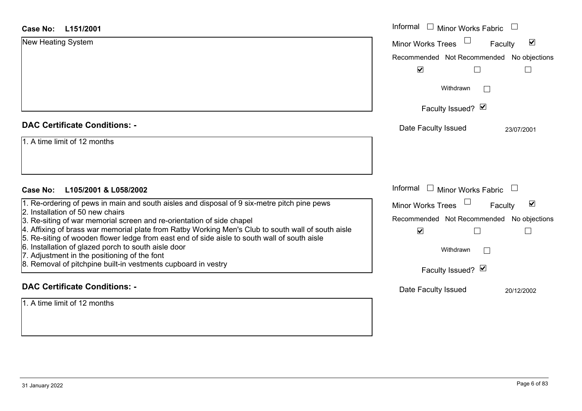| <b>Case No:</b><br>L151/2001                                                                                                                                                                       | Informal<br>$\Box$<br>Minor Works Fabric             |
|----------------------------------------------------------------------------------------------------------------------------------------------------------------------------------------------------|------------------------------------------------------|
| New Heating System                                                                                                                                                                                 | $\blacktriangledown$<br>Minor Works Trees<br>Faculty |
|                                                                                                                                                                                                    | Recommended Not Recommended No objections            |
|                                                                                                                                                                                                    | $\blacktriangledown$                                 |
|                                                                                                                                                                                                    | Withdrawn                                            |
|                                                                                                                                                                                                    | Faculty Issued? Ø                                    |
| <b>DAC Certificate Conditions: -</b>                                                                                                                                                               | Date Faculty Issued<br>23/07/2001                    |
| 1. A time limit of 12 months                                                                                                                                                                       |                                                      |
|                                                                                                                                                                                                    |                                                      |
| Case No:<br>L105/2001 & L058/2002                                                                                                                                                                  | Informal<br>$\Box$ Minor Works Fabric                |
| 1. Re-ordering of pews in main and south aisles and disposal of 9 six-metre pitch pine pews<br>2. Installation of 50 new chairs                                                                    | $\blacktriangledown$<br>Minor Works Trees<br>Faculty |
| 3. Re-siting of war memorial screen and re-orientation of side chapel                                                                                                                              | Recommended Not Recommended No objections            |
| 4. Affixing of brass war memorial plate from Ratby Working Men's Club to south wall of south aisle<br>5. Re-siting of wooden flower ledge from east end of side aisle to south wall of south aisle | $\blacktriangledown$                                 |
| 6. Installation of glazed porch to south aisle door                                                                                                                                                | Withdrawn                                            |
| 7. Adjustment in the positioning of the font<br>8. Removal of pitchpine built-in vestments cupboard in vestry                                                                                      |                                                      |
|                                                                                                                                                                                                    | Faculty Issued? Ø                                    |
| <b>DAC Certificate Conditions: -</b>                                                                                                                                                               | Date Faculty Issued<br>20/12/2002                    |
| 1. A time limit of 12 months                                                                                                                                                                       |                                                      |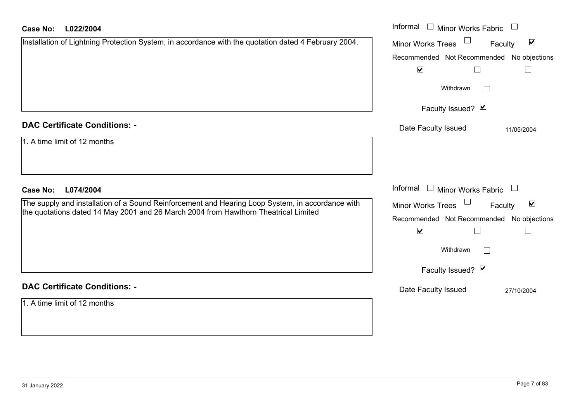| <b>Case No:</b><br>L022/2004                                                                         | Informal □ Minor Works Fabric<br>$\Box$                                           |
|------------------------------------------------------------------------------------------------------|-----------------------------------------------------------------------------------|
| Installation of Lightning Protection System, in accordance with the quotation dated 4 February 2004. | $\blacktriangledown$<br><b>Minor Works Trees</b><br>Faculty                       |
|                                                                                                      | Recommended Not Recommended No objections                                         |
|                                                                                                      | $\blacktriangledown$<br>$\Box$                                                    |
|                                                                                                      | Withdrawn<br>$\vert \ \ \vert$                                                    |
|                                                                                                      | Faculty Issued? Ø                                                                 |
| <b>DAC Certificate Conditions: -</b>                                                                 | Date Faculty Issued<br>11/05/2004                                                 |
| 1. A time limit of 12 months                                                                         |                                                                                   |
|                                                                                                      |                                                                                   |
| <b>Case No:</b><br>L074/2004                                                                         | Informal<br><b>Minor Works Fabric</b><br>$\mathbf{1}$<br>$\overline{\phantom{a}}$ |
| The supply and installation of a Sound Reinforcement and Hearing Loop System, in accordance with     | Minor Works Trees<br>$\blacktriangledown$<br>Faculty                              |
| the quotations dated 14 May 2001 and 26 March 2004 from Hawthorn Theatrical Limited                  | Recommended Not Recommended No objections                                         |
|                                                                                                      | $\blacktriangledown$<br>$\Box$                                                    |
|                                                                                                      | Withdrawn<br>$\mathbf{I}$                                                         |
|                                                                                                      | Faculty Issued? Ø                                                                 |
| <b>DAC Certificate Conditions: -</b>                                                                 | Date Faculty Issued<br>27/10/2004                                                 |
| 1. A time limit of 12 months                                                                         |                                                                                   |
|                                                                                                      |                                                                                   |
|                                                                                                      |                                                                                   |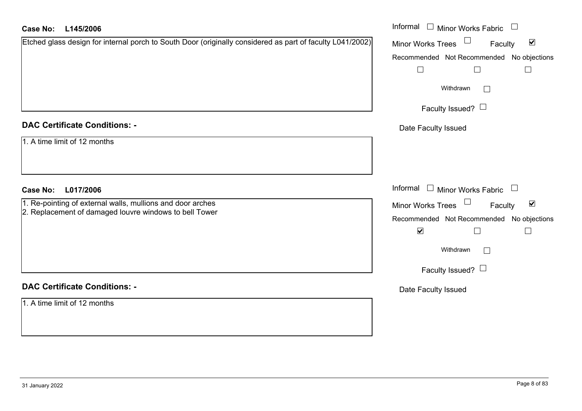| L145/2006<br><b>Case No:</b>                                                                              | Informal □ Minor Works Fabric □                                   |
|-----------------------------------------------------------------------------------------------------------|-------------------------------------------------------------------|
| Etched glass design for internal porch to South Door (originally considered as part of faculty L041/2002) | Minor Works Trees <sup>1</sup><br>$\blacktriangledown$<br>Faculty |
|                                                                                                           | Recommended Not Recommended No objections                         |
|                                                                                                           | $\Box$<br>$\perp$<br>$\vert \ \ \vert$                            |
|                                                                                                           | Withdrawn                                                         |
|                                                                                                           | Faculty Issued? $\Box$                                            |
| <b>DAC Certificate Conditions: -</b>                                                                      | Date Faculty Issued                                               |
| 1. A time limit of 12 months                                                                              |                                                                   |
|                                                                                                           |                                                                   |
| L017/2006<br><b>Case No:</b>                                                                              | Informal □ Minor Works Fabric □                                   |
| 1. Re-pointing of external walls, mullions and door arches                                                | Minor Works Trees <sup>1</sup><br>$\blacktriangledown$<br>Faculty |
| 2. Replacement of damaged louvre windows to bell Tower                                                    | Recommended Not Recommended No objections                         |
|                                                                                                           | $\blacktriangledown$<br>Ш<br>$\vert \ \ \vert$                    |
|                                                                                                           | Withdrawn<br>$\Box$                                               |
|                                                                                                           | Faculty Issued? $\Box$                                            |
| <b>DAC Certificate Conditions: -</b>                                                                      | Date Faculty Issued                                               |
| 1. A time limit of 12 months                                                                              |                                                                   |
|                                                                                                           |                                                                   |
|                                                                                                           |                                                                   |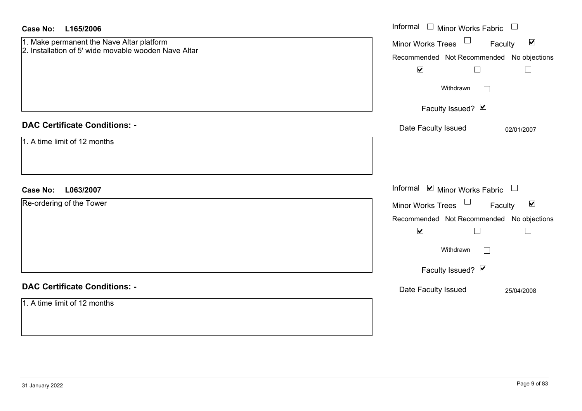| <b>Case No:</b><br>L165/2006                                                                      | Informal □ Minor Works Fabric<br>$\overline{\phantom{a}}$ |
|---------------------------------------------------------------------------------------------------|-----------------------------------------------------------|
| 1. Make permanent the Nave Altar platform<br>2. Installation of 5' wide movable wooden Nave Altar | Minor Works Trees<br>$\blacktriangledown$<br>Faculty      |
|                                                                                                   | Recommended Not Recommended No objections                 |
|                                                                                                   | $\blacktriangledown$<br>$\Box$<br>$\Box$                  |
|                                                                                                   | Withdrawn<br>$\mathbf{L}$                                 |
|                                                                                                   | Faculty Issued? Ø                                         |
| <b>DAC Certificate Conditions: -</b>                                                              | Date Faculty Issued<br>02/01/2007                         |
| 1. A time limit of 12 months                                                                      |                                                           |
|                                                                                                   |                                                           |
|                                                                                                   |                                                           |
| <b>Case No:</b><br>L063/2007                                                                      | Informal ⊠ Minor Works Fabric □                           |
| Re-ordering of the Tower                                                                          | Minor Works Trees<br>$\blacktriangledown$<br>Faculty      |
|                                                                                                   | Recommended Not Recommended No objections                 |
|                                                                                                   | $\blacktriangledown$<br>$\Box$<br>$\Box$                  |
|                                                                                                   | Withdrawn<br>$\Box$                                       |
|                                                                                                   | Faculty Issued? Ø                                         |
| <b>DAC Certificate Conditions: -</b>                                                              | Date Faculty Issued<br>25/04/2008                         |
| 1. A time limit of 12 months                                                                      |                                                           |
|                                                                                                   |                                                           |
|                                                                                                   |                                                           |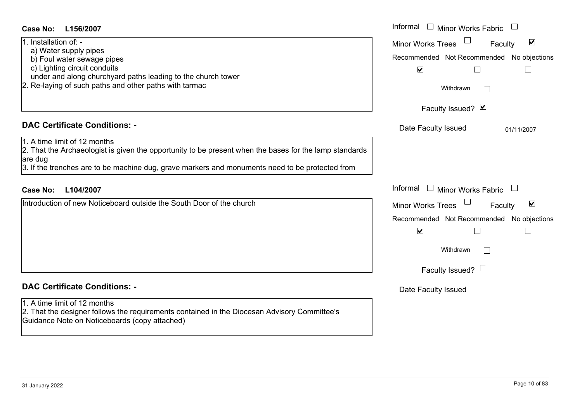| <b>Case No:</b><br>L156/2007                                                                                                                      | Informal<br>$\perp$<br>Minor Works Fabric                   |
|---------------------------------------------------------------------------------------------------------------------------------------------------|-------------------------------------------------------------|
| 1. Installation of: -                                                                                                                             | $\blacktriangledown$<br><b>Minor Works Trees</b><br>Faculty |
| a) Water supply pipes<br>b) Foul water sewage pipes                                                                                               | Recommended Not Recommended No objections                   |
| c) Lighting circuit conduits                                                                                                                      | $\blacktriangledown$                                        |
| under and along churchyard paths leading to the church tower<br>2. Re-laying of such paths and other paths with tarmac                            | Withdrawn                                                   |
|                                                                                                                                                   | Faculty Issued? Ø                                           |
| <b>DAC Certificate Conditions: -</b>                                                                                                              | Date Faculty Issued<br>01/11/2007                           |
| 1. A time limit of 12 months<br>2. That the Archaeologist is given the opportunity to be present when the bases for the lamp standards<br>are dug |                                                             |
| 3. If the trenches are to be machine dug, grave markers and monuments need to be protected from                                                   |                                                             |
| Case No:<br>L104/2007                                                                                                                             | Informal $\Box$ Minor Works Fabric                          |
| Introduction of new Noticeboard outside the South Door of the church                                                                              | $\blacktriangledown$<br>Faculty<br><b>Minor Works Trees</b> |
|                                                                                                                                                   | Recommended Not Recommended No objections                   |
|                                                                                                                                                   | $\blacktriangledown$                                        |
|                                                                                                                                                   | Withdrawn<br>$\vert$ $\vert$                                |
|                                                                                                                                                   | Faculty Issued? $\Box$                                      |
| <b>DAC Certificate Conditions: -</b>                                                                                                              | Date Faculty Issued                                         |
| 1. A time limit of 12 months                                                                                                                      |                                                             |
| 2. That the designer follows the requirements contained in the Diocesan Advisory Committee's<br>Guidance Note on Noticeboards (copy attached)     |                                                             |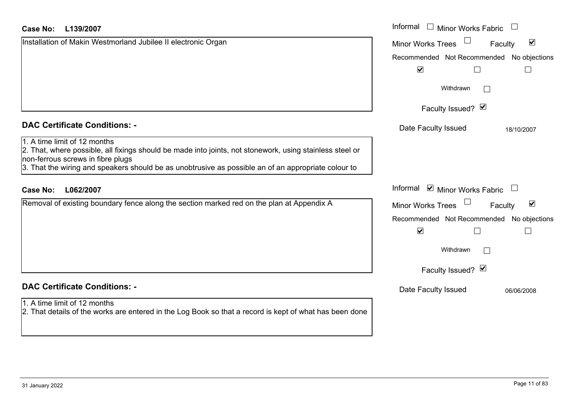| <b>Case No:</b><br>L139/2007                                                                                                                                                                                                                                                         | Informal<br><b>Minor Works Fabric</b>                       |
|--------------------------------------------------------------------------------------------------------------------------------------------------------------------------------------------------------------------------------------------------------------------------------------|-------------------------------------------------------------|
| Installation of Makin Westmorland Jubilee II electronic Organ                                                                                                                                                                                                                        | $\blacktriangledown$<br><b>Minor Works Trees</b><br>Faculty |
|                                                                                                                                                                                                                                                                                      | Recommended Not Recommended No objections                   |
|                                                                                                                                                                                                                                                                                      | $\blacktriangledown$<br>$\mathbf{L}$                        |
|                                                                                                                                                                                                                                                                                      | Withdrawn<br>$\mathbf{I}$                                   |
|                                                                                                                                                                                                                                                                                      | Faculty Issued? Ø                                           |
| <b>DAC Certificate Conditions: -</b>                                                                                                                                                                                                                                                 | Date Faculty Issued<br>18/10/2007                           |
| 1. A time limit of 12 months<br>2. That, where possible, all fixings should be made into joints, not stonework, using stainless steel or<br>non-ferrous screws in fibre plugs<br>3. That the wiring and speakers should be as unobtrusive as possible an of an appropriate colour to |                                                             |
| <b>Case No:</b><br>L062/2007                                                                                                                                                                                                                                                         | Informal ☑ Minor Works Fabric<br>$\Box$                     |
| Removal of existing boundary fence along the section marked red on the plan at Appendix A                                                                                                                                                                                            | $\blacktriangledown$<br><b>Minor Works Trees</b><br>Faculty |
|                                                                                                                                                                                                                                                                                      | Recommended Not Recommended No objections                   |
|                                                                                                                                                                                                                                                                                      | $\blacktriangledown$<br>$\Box$                              |
|                                                                                                                                                                                                                                                                                      | Withdrawn                                                   |
|                                                                                                                                                                                                                                                                                      | Faculty Issued? Ø                                           |
| <b>DAC Certificate Conditions: -</b>                                                                                                                                                                                                                                                 | Date Faculty Issued<br>06/06/2008                           |
| 1. A time limit of 12 months                                                                                                                                                                                                                                                         |                                                             |
| 2. That details of the works are entered in the Log Book so that a record is kept of what has been done                                                                                                                                                                              |                                                             |
|                                                                                                                                                                                                                                                                                      |                                                             |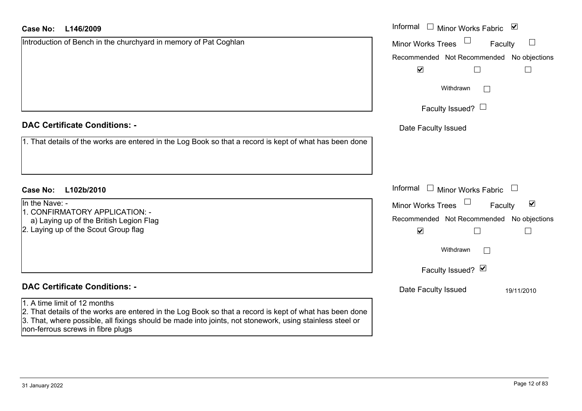| Case No:<br>L146/2009                                                                                                                                                                                                                                    | Informal □ Minor Works Fabric ⊠                             |
|----------------------------------------------------------------------------------------------------------------------------------------------------------------------------------------------------------------------------------------------------------|-------------------------------------------------------------|
| Introduction of Bench in the churchyard in memory of Pat Coghlan                                                                                                                                                                                         | $\Box$<br><b>Minor Works Trees</b><br>Faculty               |
|                                                                                                                                                                                                                                                          | Recommended Not Recommended No objections                   |
|                                                                                                                                                                                                                                                          | $\blacktriangledown$                                        |
|                                                                                                                                                                                                                                                          | Withdrawn                                                   |
|                                                                                                                                                                                                                                                          | Faculty Issued? $\Box$                                      |
| <b>DAC Certificate Conditions: -</b>                                                                                                                                                                                                                     | Date Faculty Issued                                         |
| 1. That details of the works are entered in the Log Book so that a record is kept of what has been done                                                                                                                                                  |                                                             |
|                                                                                                                                                                                                                                                          |                                                             |
| <b>Case No:</b><br>L102b/2010                                                                                                                                                                                                                            | Informal<br>$\Box$ Minor Works Fabric $\Box$                |
| In the Nave: -                                                                                                                                                                                                                                           | $\blacktriangledown$<br><b>Minor Works Trees</b><br>Faculty |
| 1. CONFIRMATORY APPLICATION: -<br>a) Laying up of the British Legion Flag                                                                                                                                                                                | Recommended Not Recommended No objections                   |
| 2. Laying up of the Scout Group flag                                                                                                                                                                                                                     | $\blacktriangledown$                                        |
|                                                                                                                                                                                                                                                          | Withdrawn                                                   |
|                                                                                                                                                                                                                                                          | Faculty Issued? Ø                                           |
| <b>DAC Certificate Conditions: -</b>                                                                                                                                                                                                                     | Date Faculty Issued<br>19/11/2010                           |
| 1. A time limit of 12 months                                                                                                                                                                                                                             |                                                             |
| 2. That details of the works are entered in the Log Book so that a record is kept of what has been done<br>3. That, where possible, all fixings should be made into joints, not stonework, using stainless steel or<br>non-ferrous screws in fibre plugs |                                                             |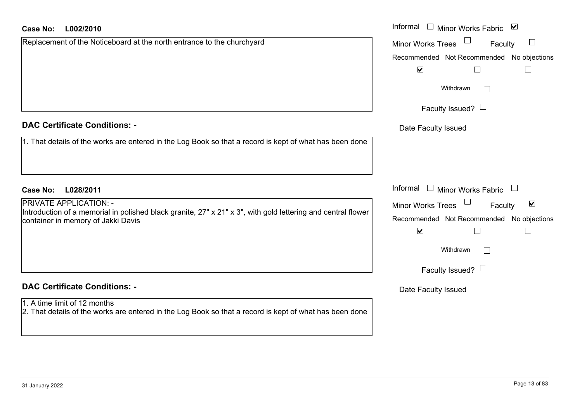| <b>Case No:</b><br>L002/2010                                                                                                                  | Informal<br>$\Box$ Minor Works Fabric<br>⊻                  |
|-----------------------------------------------------------------------------------------------------------------------------------------------|-------------------------------------------------------------|
| Replacement of the Noticeboard at the north entrance to the churchyard                                                                        | <b>Minor Works Trees</b><br>$\Box$<br>Faculty               |
|                                                                                                                                               | Recommended Not Recommended No objections                   |
|                                                                                                                                               | $\blacktriangledown$<br>$\Box$                              |
|                                                                                                                                               | Withdrawn                                                   |
|                                                                                                                                               | Faculty Issued? $\Box$                                      |
| <b>DAC Certificate Conditions: -</b>                                                                                                          | Date Faculty Issued                                         |
| 1. That details of the works are entered in the Log Book so that a record is kept of what has been done                                       |                                                             |
|                                                                                                                                               |                                                             |
| <b>Case No:</b><br>L028/2011                                                                                                                  | Informal<br>$\Box$ Minor Works Fabric                       |
| <b>PRIVATE APPLICATION: -</b><br>Introduction of a memorial in polished black granite, 27" x 21" x 3", with gold lettering and central flower | $\blacktriangledown$<br><b>Minor Works Trees</b><br>Faculty |
| container in memory of Jakki Davis                                                                                                            | Recommended Not Recommended No objections                   |
|                                                                                                                                               | $\blacktriangledown$<br>$\mathsf{L}$                        |
|                                                                                                                                               | Withdrawn                                                   |
|                                                                                                                                               | Faculty Issued? $\Box$                                      |
| <b>DAC Certificate Conditions: -</b>                                                                                                          | Date Faculty Issued                                         |
| 1. A time limit of 12 months<br>2. That details of the works are entered in the Log Book so that a record is kept of what has been done       |                                                             |
|                                                                                                                                               |                                                             |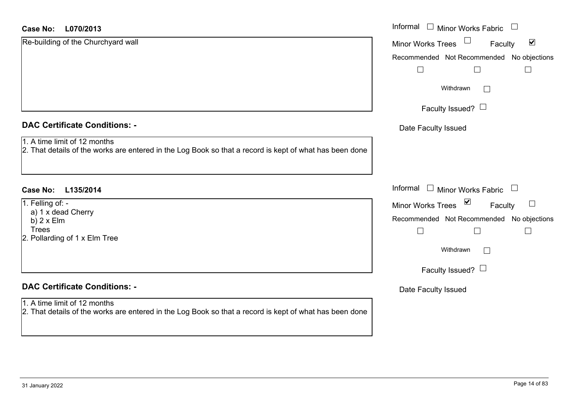| <b>DAC Certificate Conditions: -</b> |  |  |
|--------------------------------------|--|--|
|--------------------------------------|--|--|

- 1. A time limit of 12 months
- 2. That details of the works are entered in the Log Book so that a record is kept of what has been

# **DAC Certificate Conditions: -**

# 1. A time limit of 12 months

| <b>Case No:</b><br>L070/2013                                                                                                            | Informal<br>$\mathbf{1}$<br>Minor Works Fabric       |
|-----------------------------------------------------------------------------------------------------------------------------------------|------------------------------------------------------|
| Re-building of the Churchyard wall                                                                                                      | $\blacktriangledown$<br>Minor Works Trees<br>Faculty |
|                                                                                                                                         | Recommended Not Recommended No objections            |
|                                                                                                                                         | $\Box$<br>$\mathsf{L}$<br>$\Box$                     |
|                                                                                                                                         | Withdrawn                                            |
|                                                                                                                                         | Faculty Issued? $\Box$                               |
| <b>DAC Certificate Conditions: -</b>                                                                                                    | Date Faculty Issued                                  |
| 1. A time limit of 12 months<br>2. That details of the works are entered in the Log Book so that a record is kept of what has been done |                                                      |
| Case No:<br>L135/2014                                                                                                                   | Informal $\square$<br>Minor Works Fabric $\Box$      |
| 1. Felling of: -                                                                                                                        | Minor Works Trees ⊠<br>$\Box$<br>Faculty             |
| a) 1 x dead Cherry<br>b) $2 \times$ Elm                                                                                                 | Recommended Not Recommended No objections            |
| <b>Trees</b><br>2. Pollarding of 1 x Elm Tree                                                                                           | $\Box$                                               |
|                                                                                                                                         | Withdrawn<br>$\vert$ $\vert$                         |
|                                                                                                                                         | Faculty Issued? $\Box$                               |
| <b>DAC Certificate Conditions: -</b>                                                                                                    | Date Faculty Issued                                  |
| $1 \wedge$ time limit of 12 months                                                                                                      |                                                      |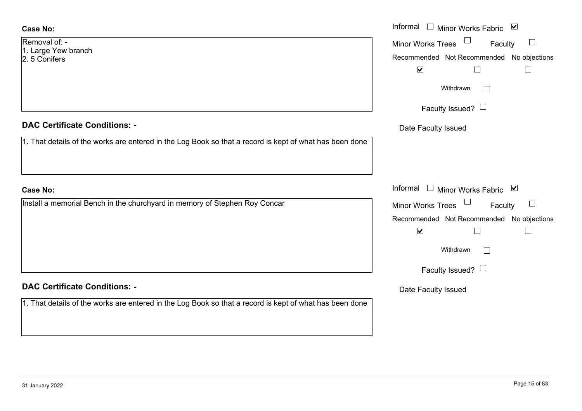# **Case No:**

| Removal of: -       |
|---------------------|
| 1. Large Yew branch |
| 2. 5 Conifers       |

# **DAC Certificate Conditions: -**

1. That details of the works are entered in the Log Book so that a record is kept of what has been do

# **Case No:**

Install a memorial Bench in the churchyard in memory of Stephen Roy Concar

# **DAC Certificate Conditions: -**

|                                                                                                | Informal □ Minor Works Fabric ☑           |
|------------------------------------------------------------------------------------------------|-------------------------------------------|
| $of: -$<br>Yew branch                                                                          | $\Box$<br>Minor Works Trees<br>Faculty    |
| fers                                                                                           | Recommended Not Recommended No objections |
|                                                                                                | $\blacktriangledown$<br>$\Box$            |
|                                                                                                | Withdrawn<br>$\mathbf{I}$                 |
|                                                                                                | Faculty Issued? $\Box$                    |
| rtificate Conditions: -                                                                        | Date Faculty Issued                       |
| etails of the works are entered in the Log Book so that a record is kept of what has been done |                                           |
|                                                                                                |                                           |
|                                                                                                |                                           |
|                                                                                                | Informal □ Minor Works Fabric ⊠           |
| memorial Bench in the churchyard in memory of Stephen Roy Concar                               | Minor Works Trees<br>$\Box$<br>Faculty    |
|                                                                                                | Recommended Not Recommended No objections |
|                                                                                                | $\blacktriangledown$                      |
|                                                                                                | Withdrawn<br>П                            |
|                                                                                                | Faculty Issued? $\Box$                    |
| rtificate Conditions: -                                                                        | Date Faculty Issued                       |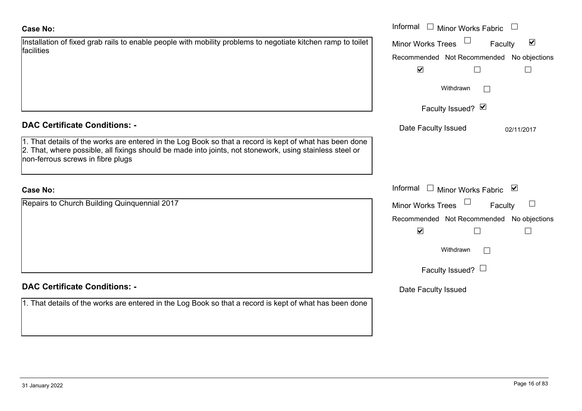# 1. That details of the works are

| <b>Case No:</b>                                                                                                                                                                                                                                          | Informal $\Box$ Minor Works Fabric                        |
|----------------------------------------------------------------------------------------------------------------------------------------------------------------------------------------------------------------------------------------------------------|-----------------------------------------------------------|
| Installation of fixed grab rails to enable people with mobility problems to negotiate kitchen ramp to toilet                                                                                                                                             | Minor Works Trees<br>$\blacktriangledown$<br>Faculty      |
| facilities                                                                                                                                                                                                                                               | Recommended Not Recommended No objections                 |
|                                                                                                                                                                                                                                                          | $\blacktriangledown$                                      |
|                                                                                                                                                                                                                                                          | Withdrawn                                                 |
|                                                                                                                                                                                                                                                          | Faculty Issued? Ø                                         |
| <b>DAC Certificate Conditions: -</b>                                                                                                                                                                                                                     | Date Faculty Issued<br>02/11/2017                         |
| 1. That details of the works are entered in the Log Book so that a record is kept of what has been done<br>2. That, where possible, all fixings should be made into joints, not stonework, using stainless steel or<br>non-ferrous screws in fibre plugs |                                                           |
| <b>Case No:</b>                                                                                                                                                                                                                                          | Informal<br>□ Minor Works Fabric $\vert \mathbf{v} \vert$ |
| Repairs to Church Building Quinquennial 2017                                                                                                                                                                                                             | Minor Works Trees<br>$\Box$<br>Faculty                    |
|                                                                                                                                                                                                                                                          | Recommended Not Recommended No objections                 |
|                                                                                                                                                                                                                                                          | $\blacktriangledown$                                      |
|                                                                                                                                                                                                                                                          | Withdrawn                                                 |
|                                                                                                                                                                                                                                                          | Faculty Issued? $\Box$                                    |
| <b>DAC Certificate Conditions: -</b>                                                                                                                                                                                                                     | Date Faculty Issued                                       |
| 1. That details of the works are entered in the Log Book so that a record is kept of what has been done                                                                                                                                                  |                                                           |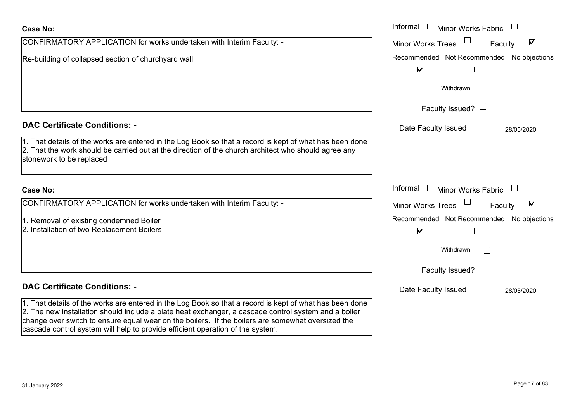|                                                                                                                                                                                                                                                                                                                                                                                                        | Withdrawn                                       |              |
|--------------------------------------------------------------------------------------------------------------------------------------------------------------------------------------------------------------------------------------------------------------------------------------------------------------------------------------------------------------------------------------------------------|-------------------------------------------------|--------------|
|                                                                                                                                                                                                                                                                                                                                                                                                        | Faculty Issued? $\Box$                          |              |
| <b>DAC Certificate Conditions: -</b>                                                                                                                                                                                                                                                                                                                                                                   | Date Faculty Issued                             | 28/05/2020   |
| 1. That details of the works are entered in the Log Book so that a record is kept of what has been done<br>2. That the work should be carried out at the direction of the church architect who should agree any<br>stonework to be replaced                                                                                                                                                            |                                                 |              |
| Case No:                                                                                                                                                                                                                                                                                                                                                                                               | Informal<br><b>Minor Works Fabric</b><br>$\Box$ |              |
| CONFIRMATORY APPLICATION for works undertaken with Interim Faculty: -                                                                                                                                                                                                                                                                                                                                  | Minor Works Trees                               | ⊻<br>Faculty |
| 1. Removal of existing condemned Boiler                                                                                                                                                                                                                                                                                                                                                                | Recommended Not Recommended No objections       |              |
| 2. Installation of two Replacement Boilers                                                                                                                                                                                                                                                                                                                                                             | $\blacktriangledown$                            | $\perp$      |
|                                                                                                                                                                                                                                                                                                                                                                                                        | Withdrawn                                       |              |
|                                                                                                                                                                                                                                                                                                                                                                                                        | Faculty Issued? $\Box$                          |              |
| <b>DAC Certificate Conditions: -</b>                                                                                                                                                                                                                                                                                                                                                                   | Date Faculty Issued                             | 28/05/2020   |
| 1. That details of the works are entered in the Log Book so that a record is kept of what has been done<br>2. The new installation should include a plate heat exchanger, a cascade control system and a boiler<br>change over switch to ensure equal wear on the boilers. If the boilers are somewhat oversized the<br>cascade control system will help to provide efficient operation of the system. |                                                 |              |

Informal

CONFIRMATORY APPLICATION for works undertaken with Interim Faculty: -

Re-building of collapsed section of churchyard wall

# 31 January 2022 Page 17 of 83

**Case No:**

Faculty

 $\blacktriangledown$ 

 $\Box$ 

Recommended Not Recommended No objections

 $\Box$ 

Minor Works Fabric

Minor Works Trees

 $\blacktriangledown$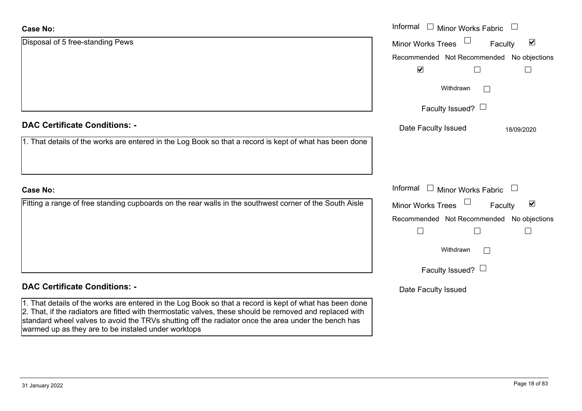# **Case No:**

| <b>Case No:</b>                                                                                                                                                                                                     | Informal $\Box$ Minor Works Fabric $\Box$                   |
|---------------------------------------------------------------------------------------------------------------------------------------------------------------------------------------------------------------------|-------------------------------------------------------------|
| Disposal of 5 free-standing Pews                                                                                                                                                                                    | $\blacktriangledown$<br><b>Minor Works Trees</b><br>Faculty |
|                                                                                                                                                                                                                     | Recommended Not Recommended No objections                   |
|                                                                                                                                                                                                                     | $\blacktriangledown$                                        |
|                                                                                                                                                                                                                     | Withdrawn                                                   |
|                                                                                                                                                                                                                     | Faculty Issued? $\Box$                                      |
| <b>DAC Certificate Conditions: -</b>                                                                                                                                                                                | Date Faculty Issued<br>18/09/2020                           |
| 1. That details of the works are entered in the Log Book so that a record is kept of what has been done                                                                                                             |                                                             |
|                                                                                                                                                                                                                     |                                                             |
| <b>Case No:</b>                                                                                                                                                                                                     | Informal $\Box$ Minor Works Fabric $\Box$                   |
| Fitting a range of free standing cupboards on the rear walls in the southwest corner of the South Aisle                                                                                                             | $\blacktriangledown$<br><b>Minor Works Trees</b><br>Faculty |
|                                                                                                                                                                                                                     | Recommended Not Recommended No objections                   |
|                                                                                                                                                                                                                     |                                                             |
|                                                                                                                                                                                                                     | Withdrawn<br>$\vert \ \ \vert$                              |
|                                                                                                                                                                                                                     | Faculty Issued? $\Box$                                      |
| <b>DAC Certificate Conditions: -</b>                                                                                                                                                                                | Date Faculty Issued                                         |
| 1. That details of the works are entered in the Log Book so that a record is kept of what has been done<br>2. That, if the radiators are fitted with thermostatic valves, these should be removed and replaced with |                                                             |

standard wheel valves to avoid the TRVs shutting off the radiator once the area under the bench has

warmed up as they are to be instaled under worktops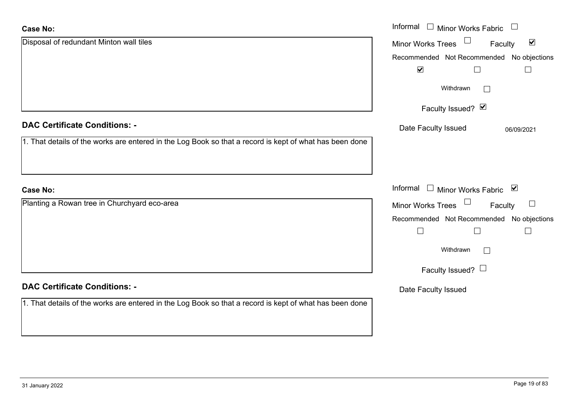| <b>Case No:</b>                                                                                         | Informal $\Box$<br>Minor Works Fabric $\Box$                |
|---------------------------------------------------------------------------------------------------------|-------------------------------------------------------------|
| Disposal of redundant Minton wall tiles                                                                 | $\blacktriangledown$<br><b>Minor Works Trees</b><br>Faculty |
|                                                                                                         | Recommended Not Recommended No objections                   |
|                                                                                                         | $\blacktriangledown$<br>$\Box$                              |
|                                                                                                         | Withdrawn<br>$\mathbb{R}^n$                                 |
|                                                                                                         | Faculty Issued? Ø                                           |
| <b>DAC Certificate Conditions: -</b>                                                                    | Date Faculty Issued<br>06/09/2021                           |
| 1. That details of the works are entered in the Log Book so that a record is kept of what has been done |                                                             |
|                                                                                                         |                                                             |
| <b>Case No:</b>                                                                                         | Informal<br>□ Minor Works Fabric $\vert \mathbf{v} \vert$   |
| Planting a Rowan tree in Churchyard eco-area                                                            | Minor Works Trees<br>$\Box$<br>Faculty                      |
|                                                                                                         | Recommended Not Recommended No objections                   |
|                                                                                                         | $\Box$<br>$\Box$                                            |
|                                                                                                         | Withdrawn<br>$\mathbb{R}^n$                                 |
|                                                                                                         | Faculty Issued? $\Box$                                      |
| <b>DAC Certificate Conditions: -</b>                                                                    | Date Faculty Issued                                         |
| 1. That details of the works are entered in the Log Book so that a record is kept of what has been done |                                                             |
|                                                                                                         |                                                             |
|                                                                                                         |                                                             |

L.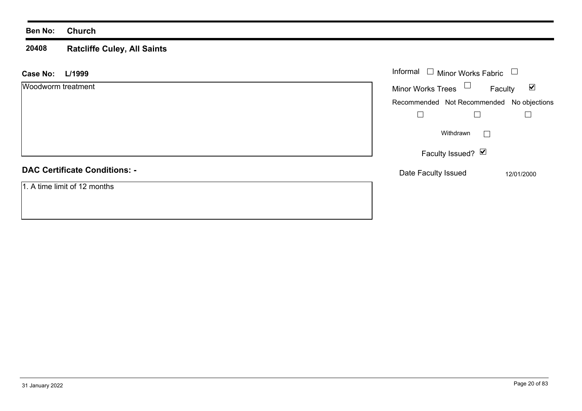# **Ben No: Church**

### **20408 Ratcliffe Culey, All Saints**

| L/1999<br><b>Case No:</b>            | Informal $\square$<br>Minor Works Fabric  |                                 |
|--------------------------------------|-------------------------------------------|---------------------------------|
| Woodworm treatment                   | Minor Works Trees $\Box$                  | $\blacktriangledown$<br>Faculty |
|                                      | Recommended Not Recommended No objections |                                 |
|                                      |                                           |                                 |
|                                      | Withdrawn<br>$\perp$                      |                                 |
|                                      | Faculty Issued? $\boxed{\triangleright}$  |                                 |
| <b>DAC Certificate Conditions: -</b> | Date Faculty Issued                       | 12/01/2000                      |
| 1. A time limit of 12 months         |                                           |                                 |
|                                      |                                           |                                 |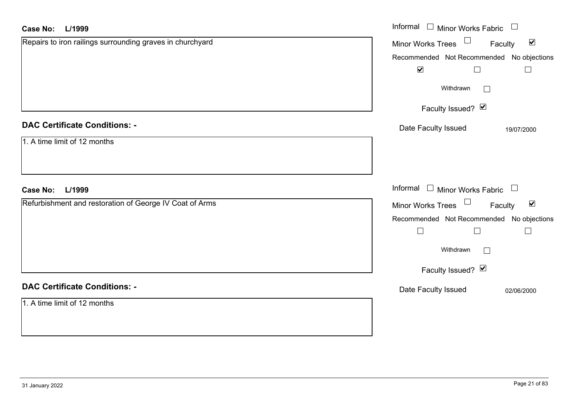| <b>Case No:</b><br>L/1999                                 | Informal<br>$\Box$<br>Minor Works Fabric                          |
|-----------------------------------------------------------|-------------------------------------------------------------------|
| Repairs to iron railings surrounding graves in churchyard | Minor Works Trees <sup>1</sup><br>$\blacktriangledown$<br>Faculty |
|                                                           | Recommended Not Recommended No objections                         |
|                                                           | $\blacktriangledown$<br>$\Box$                                    |
|                                                           | Withdrawn<br>$\mathcal{L}^{\mathcal{A}}$                          |
|                                                           | Faculty Issued? Ø                                                 |
| <b>DAC Certificate Conditions: -</b>                      | Date Faculty Issued<br>19/07/2000                                 |
| 1. A time limit of 12 months                              |                                                                   |
|                                                           |                                                                   |
| <b>Case No:</b><br>L/1999                                 | Informal $\Box$ Minor Works Fabric $\Box$                         |
| Refurbishment and restoration of George IV Coat of Arms   | Minor Works Trees<br>$\blacktriangledown$<br>Faculty              |
|                                                           | Recommended Not Recommended No objections                         |
|                                                           | $\Box$<br>$\overline{\phantom{a}}$<br>$\Box$                      |
|                                                           | Withdrawn<br>$\overline{\phantom{a}}$                             |
|                                                           | Faculty Issued? Ø                                                 |
| <b>DAC Certificate Conditions: -</b>                      | Date Faculty Issued<br>02/06/2000                                 |
| 1. A time limit of 12 months                              |                                                                   |
|                                                           |                                                                   |
|                                                           |                                                                   |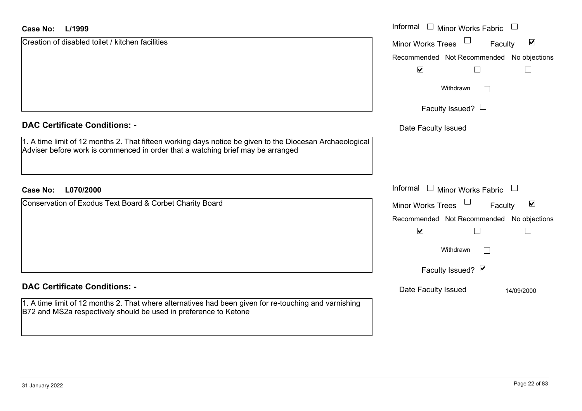### **L/1999Case No:**

| Case No:<br>L/1999                                                                                                                                                                          | Informal <b>Ninor Works Fabric</b>                          |
|---------------------------------------------------------------------------------------------------------------------------------------------------------------------------------------------|-------------------------------------------------------------|
| Creation of disabled toilet / kitchen facilities                                                                                                                                            | $\blacktriangledown$<br><b>Minor Works Trees</b><br>Faculty |
|                                                                                                                                                                                             | Recommended Not Recommended No objections                   |
|                                                                                                                                                                                             | $\blacktriangledown$<br>$\mathbf{L}$                        |
|                                                                                                                                                                                             | Withdrawn                                                   |
|                                                                                                                                                                                             | Faculty Issued? $\Box$                                      |
| <b>DAC Certificate Conditions: -</b>                                                                                                                                                        | Date Faculty Issued                                         |
| 1. A time limit of 12 months 2. That fifteen working days notice be given to the Diocesan Archaeological<br>Adviser before work is commenced in order that a watching brief may be arranged |                                                             |
|                                                                                                                                                                                             |                                                             |
| L070/2000<br><b>Case No:</b>                                                                                                                                                                | Informal $\Box$ Minor Works Fabric $\Box$                   |
| Conservation of Exodus Text Board & Corbet Charity Board                                                                                                                                    | $\blacktriangledown$<br><b>Minor Works Trees</b><br>Faculty |
|                                                                                                                                                                                             | Recommended Not Recommended No objections                   |
|                                                                                                                                                                                             | $\blacktriangledown$<br>$\Box$                              |
|                                                                                                                                                                                             | Withdrawn                                                   |
|                                                                                                                                                                                             | Faculty Issued? Ø                                           |
| <b>DAC Certificate Conditions: -</b>                                                                                                                                                        | Date Faculty Issued<br>14/09/2000                           |
| 1. A time limit of 12 months 2. That where alternatives had been given for re-touching and varnishing<br>B72 and MS2a respectively should be used in preference to Ketone                   |                                                             |
|                                                                                                                                                                                             |                                                             |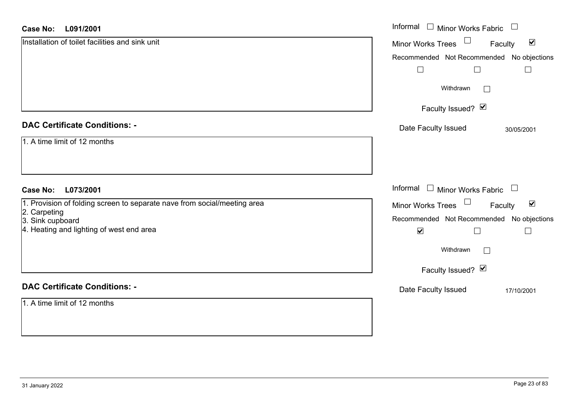### **L091/2001Case No:**

| <b>Case No:</b><br>L091/2001                                             | Informal □ Minor Works Fabric<br>$\overline{\phantom{a}}$ |
|--------------------------------------------------------------------------|-----------------------------------------------------------|
| Installation of toilet facilities and sink unit                          | Minor Works Trees<br>$\blacktriangledown$<br>Faculty      |
|                                                                          | Recommended Not Recommended No objections                 |
|                                                                          | $\Box$<br>$\Box$                                          |
|                                                                          | Withdrawn<br>$\perp$                                      |
|                                                                          | Faculty Issued? Ø                                         |
| <b>DAC Certificate Conditions: -</b>                                     | Date Faculty Issued<br>30/05/2001                         |
| 1. A time limit of 12 months                                             |                                                           |
|                                                                          |                                                           |
| L073/2001<br><b>Case No:</b>                                             | Informal $\Box$ Minor Works Fabric $\Box$                 |
| 1. Provision of folding screen to separate nave from social/meeting area | Minor Works Trees<br>$\blacktriangledown$<br>Faculty      |
| 2. Carpeting<br>3. Sink cupboard                                         | Recommended Not Recommended No objections                 |
| 4. Heating and lighting of west end area                                 | $\blacktriangledown$<br>$\Box$<br>$\vert \ \ \vert$       |
|                                                                          | Withdrawn                                                 |
|                                                                          | Faculty Issued? Ø                                         |
| <b>DAC Certificate Conditions: -</b>                                     | Date Faculty Issued<br>17/10/2001                         |
| 1. A time limit of 12 months                                             |                                                           |
|                                                                          |                                                           |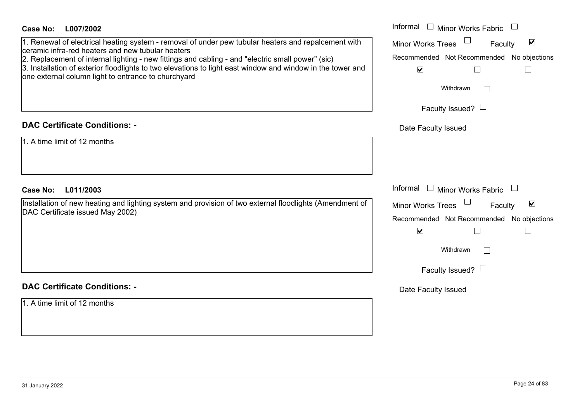| <b>Case No:</b><br>L007/2002                                                                                                                                                                                                                                                                                                                                                                                                       | Informal $\Box$ Minor Works Fabric $\Box$                                                                                 |
|------------------------------------------------------------------------------------------------------------------------------------------------------------------------------------------------------------------------------------------------------------------------------------------------------------------------------------------------------------------------------------------------------------------------------------|---------------------------------------------------------------------------------------------------------------------------|
| 1. Renewal of electrical heating system - removal of under pew tubular heaters and repalcement with<br>ceramic infra-red heaters and new tubular heaters<br>2. Replacement of internal lighting - new fittings and cabling - and "electric small power" (sic)<br>3. Installation of exterior floodlights to two elevations to light east window and window in the tower and<br>one external column light to entrance to churchyard | Minor Works Trees<br>$\blacktriangledown$<br>Faculty<br>Recommended Not Recommended No objections<br>$\blacktriangledown$ |
|                                                                                                                                                                                                                                                                                                                                                                                                                                    | Withdrawn                                                                                                                 |
|                                                                                                                                                                                                                                                                                                                                                                                                                                    | Faculty Issued? $\Box$                                                                                                    |
| <b>DAC Certificate Conditions: -</b>                                                                                                                                                                                                                                                                                                                                                                                               | Date Faculty Issued                                                                                                       |
| 1. A time limit of 12 months                                                                                                                                                                                                                                                                                                                                                                                                       |                                                                                                                           |
| <b>Case No:</b><br>L011/2003                                                                                                                                                                                                                                                                                                                                                                                                       | Informal $\Box$ Minor Works Fabric $\Box$                                                                                 |
| Installation of new heating and lighting system and provision of two external floodlights (Amendment of<br>DAC Certificate issued May 2002)                                                                                                                                                                                                                                                                                        | Minor Works Trees<br>$\blacktriangledown$<br>Faculty<br>Recommended Not Recommended No objections<br>$\blacktriangledown$ |
|                                                                                                                                                                                                                                                                                                                                                                                                                                    | Withdrawn                                                                                                                 |
|                                                                                                                                                                                                                                                                                                                                                                                                                                    | Faculty Issued? $\Box$                                                                                                    |
| <b>DAC Certificate Conditions: -</b>                                                                                                                                                                                                                                                                                                                                                                                               | Date Faculty Issued                                                                                                       |
| 1. A time limit of 12 months                                                                                                                                                                                                                                                                                                                                                                                                       |                                                                                                                           |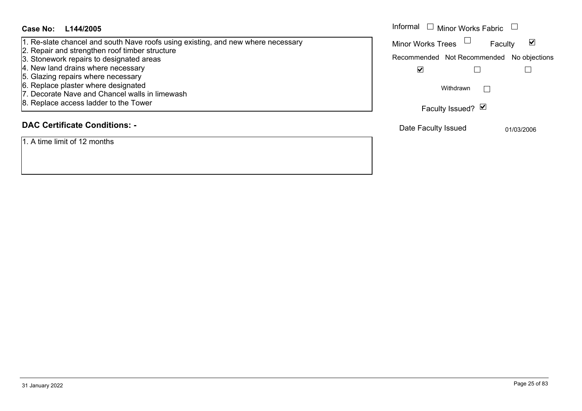### Informal  $\Box$  Minor Works Fabric  $\Box$ **L144/2005Case No:** Informal 1. Re-slate chancel and south Nave roofs using existing, and new where necessary Faculty  $\blacktriangledown$ Minor Works Trees 2. Repair and strengthen roof timber structure 3. Stonework repairs to designated areas Recommended Not Recommended No objections 4. New land drains where necessary  $\blacktriangledown$  $\Box$  $\Box$ 5. Glazing repairs where necessary 6. Replace plaster where designated  $\Box$ Withdrawn 7. Decorate Nave and Chancel walls in limewash 8. Replace access ladder to the Tower Faculty Issued? Ø **DAC Certificate Conditions: -**

# 1. A time limit of 12 months

# Date Faculty Issued 01/03/2006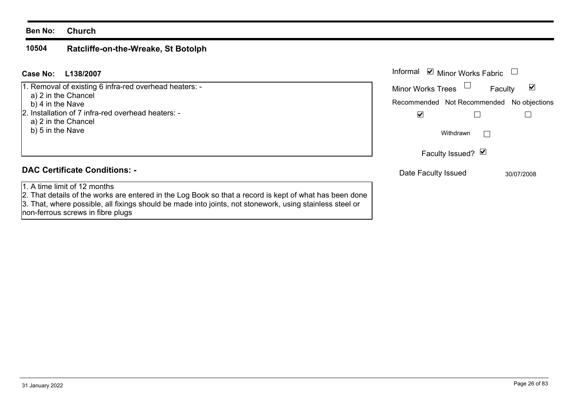# **Ben No: Church**

### **10504Ratcliffe-on-the-Wreake, St Botolph**

### Informal  $\vee$  Minor Works Fabric  $\Box$ **L138/2007Case No:** Informal 1. Removal of existing 6 infra-red overhead heaters: -  $\blacktriangledown$ Faculty Minor Works Trees a) 2 in the Chancel b) 4 in the Nave Recommended Not Recommended No objections 2. Installation of 7 infra-red overhead heaters: - $\overline{\mathbf{v}}$  $\Box$  $\Box$  a) 2 in the Chancel b) 5 in the Nave Withdrawn $\Box$ Faculty Issued? Ø **DAC Certificate Conditions: -**Date Faculty Issued 30/07/2008 1. A time limit of 12 months2. That details of the works are entered in the Log Book so that a record is kept of what has been done 3. That, where possible, all fixings should be made into joints, not stonework, using stainless steel or non-ferrous screws in fibre plugs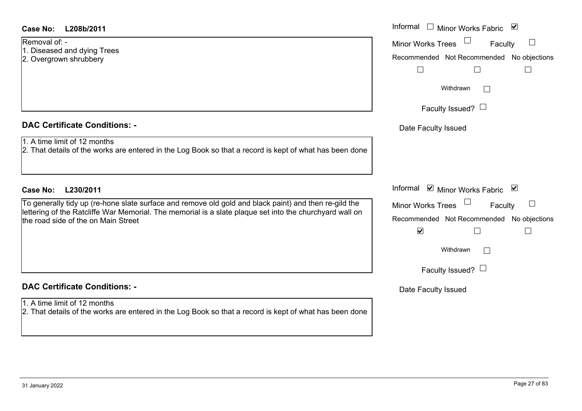# Removal of: -

- 1. Diseased and dying Trees
- 2. Overgrown shrubbery

# **DAC Certificate Conditions: -**

- 1. A time limit of 12 months
- 2. That details of the works are entered in the Log Book so that a record is kept of what has be

# **DAC Certificate Conditions: -**

# 1. A time limit of 12 months

| <b>Case No:</b><br>L208b/2011                                                                                                                                                                                                                           | Informal<br>$\Box$ Minor Works Fabric                                                                                                      |
|---------------------------------------------------------------------------------------------------------------------------------------------------------------------------------------------------------------------------------------------------------|--------------------------------------------------------------------------------------------------------------------------------------------|
| Removal of: -<br>1. Diseased and dying Trees<br>2. Overgrown shrubbery                                                                                                                                                                                  | <b>Minor Works Trees</b><br>$\Box$<br>Faculty<br>Recommended Not Recommended No objections                                                 |
|                                                                                                                                                                                                                                                         |                                                                                                                                            |
|                                                                                                                                                                                                                                                         | Withdrawn<br>$\mathbb{R}^n$                                                                                                                |
|                                                                                                                                                                                                                                                         | Faculty Issued? $\Box$                                                                                                                     |
| <b>DAC Certificate Conditions: -</b>                                                                                                                                                                                                                    | Date Faculty Issued                                                                                                                        |
| 1. A time limit of 12 months<br>2. That details of the works are entered in the Log Book so that a record is kept of what has been done                                                                                                                 |                                                                                                                                            |
| L230/2011<br><b>Case No:</b>                                                                                                                                                                                                                            | Informal $\Box$ Minor Works Fabric $\Box$                                                                                                  |
| To generally tidy up (re-hone slate surface and remove old gold and black paint) and then re-gild the<br>lettering of the Ratcliffe War Memorial. The memorial is a slate plaque set into the churchyard wall on<br>the road side of the on Main Street | Minor Works Trees<br>$\begin{array}{c} \hline \end{array}$<br>Faculty<br>Recommended Not Recommended No objections<br>$\blacktriangledown$ |
|                                                                                                                                                                                                                                                         | Withdrawn<br>$\mathbb{R}^n$                                                                                                                |
|                                                                                                                                                                                                                                                         | Faculty Issued? $\Box$                                                                                                                     |
| <b>DAC Certificate Conditions: -</b>                                                                                                                                                                                                                    | Date Faculty Issued                                                                                                                        |
|                                                                                                                                                                                                                                                         |                                                                                                                                            |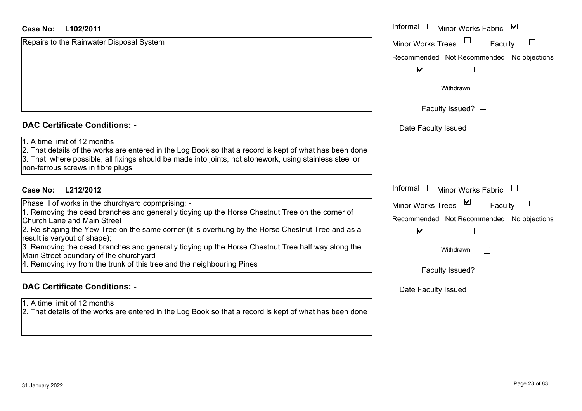# **L102/2011Case No:** Informal

Repairs to the Rainwater Disposal System

# **DAC Certificate Conditions: -**

# 1. A time limit of 12 months

2. That details of the works are entered in the Log Book so that a record is kept of what has been done 3. That, where possible, all fixings should be made into joints, not stonework, using stainless steel or non-ferrous screws in fibre plugs

# **L212/2012Case No:** Informal

Phase II of works in the churchyard copmprising: -

1. Removing the dead branches and generally tidying up the Horse Chestnut Tree on the corner of Church Lane and Main Street

2. Re-shaping the Yew Tree on the same corner (it is overhung by the Horse Chestnut Tree and as a result is veryout of shape);

3. Removing the dead branches and generally tidying up the Horse Chestnut Tree half way along the Main Street boundary of the churchyard

4. Removing ivy from the trunk of this tree and the neighbouring Pines

# **DAC Certificate Conditions: -**

1. A time limit of 12 months

| Informal<br>⊻<br><b>Minor Works Fabric</b> |
|--------------------------------------------|
| <b>Minor Works Trees</b><br>Faculty        |
| Recommended Not Recommended No objections  |
| $\blacktriangledown$                       |
| Withdrawn                                  |
| Faculty Issued?                            |
| Date Faculty Issued                        |
|                                            |
|                                            |
|                                            |
| Informal<br>Minor Works Fabric             |
| ⊻<br><b>Minor Works Trees</b><br>Faculty   |
| Recommended Not Recommended No objections  |
| $\blacktriangledown$                       |
| Withdrawn                                  |
| Faculty Issued?                            |
| Date Faculty Issued                        |
|                                            |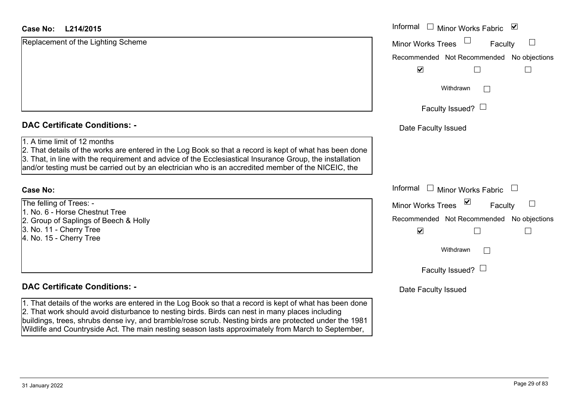# **L214/2015Case No:** Informal

Replacement of the Lighting Scheme

# **DAC Certificate Conditions: -**

# 1. A time limit of 12 months

2. That details of the works are entered in the Log Book so that a record is kept of what has been done 3. That, in line with the requirement and advice of the Ecclesiastical Insurance Group, the installation and/or testing must be carried out by an electrician who is an accredited member of the NICEIC, the

# **Case No:**

The felling of Trees: - 1. No. 6 - Horse Chestnut Tree2. Group of Saplings of Beech & Holly 3. No. 11 - Cherry Tree 4. No. 15 - Cherry Tree

# **DAC Certificate Conditions: -**

1. That details of the works are entered in the Log Book so that a record is kept of what has been done 2. That work should avoid disturbance to nesting birds. Birds can nest in many places including buildings, trees, shrubs dense ivy, and bramble/rose scrub. Nesting birds are protected under the 1981 Wildlife and Countryside Act. The main nesting season lasts approximately from March to September,

| L214/2015                                                                                                                                                                                                                                                                                                            | Informal $\Box$ Minor Works Fabric $\Box$     |
|----------------------------------------------------------------------------------------------------------------------------------------------------------------------------------------------------------------------------------------------------------------------------------------------------------------------|-----------------------------------------------|
| nent of the Lighting Scheme                                                                                                                                                                                                                                                                                          | <b>Minor Works Trees</b><br>$\Box$<br>Faculty |
|                                                                                                                                                                                                                                                                                                                      | Recommended Not Recommended No objections     |
|                                                                                                                                                                                                                                                                                                                      | $\blacktriangledown$                          |
|                                                                                                                                                                                                                                                                                                                      | Withdrawn                                     |
|                                                                                                                                                                                                                                                                                                                      | Faculty Issued? $\Box$                        |
| rtificate Conditions: -                                                                                                                                                                                                                                                                                              | Date Faculty Issued                           |
| limit of 12 months<br>etails of the works are entered in the Log Book so that a record is kept of what has been done<br>n line with the requirement and advice of the Ecclesiastical Insurance Group, the installation<br>sting must be carried out by an electrician who is an accredited member of the NICEIC, the |                                               |
|                                                                                                                                                                                                                                                                                                                      | Informal □ Minor Works Fabric                 |
| g of Trees: -                                                                                                                                                                                                                                                                                                        | ⊻<br>Minor Works Trees<br>Faculty             |
| <b>Horse Chestnut Tree</b><br>of Saplings of Beech & Holly                                                                                                                                                                                                                                                           | Recommended Not Recommended No objections     |
| - Cherry Tree<br>- Cherry Tree                                                                                                                                                                                                                                                                                       | $\blacktriangledown$                          |
|                                                                                                                                                                                                                                                                                                                      | Withdrawn                                     |
|                                                                                                                                                                                                                                                                                                                      | Faculty Issued? $\Box$                        |
| rtificate Conditions: -                                                                                                                                                                                                                                                                                              | Date Faculty Issued                           |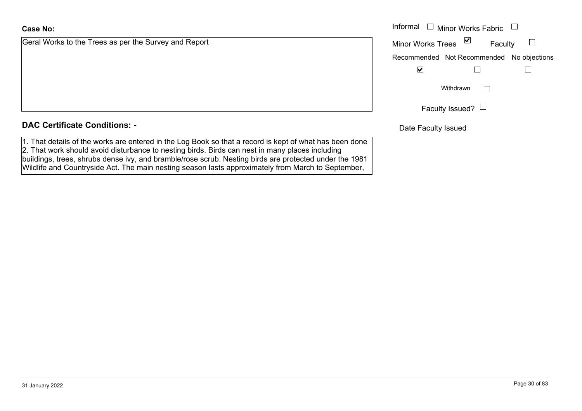# **Case No:**

Geral Works to the Trees as per the Survey and Report

# **DAC Certificate Conditions: -**

1. That details of the works are entered in the Log Book so that a record is kept of what has been done 2. That work should avoid disturbance to nesting birds. Birds can nest in many places including buildings, trees, shrubs dense ivy, and bramble/rose scrub. Nesting birds are protected under the 1981 Wildlife and Countryside Act. The main nesting season lasts approximately from March to September,

|                                                | Informal $\Box$ Minor Works Fabric $\Box$ |
|------------------------------------------------|-------------------------------------------|
| orks to the Trees as per the Survey and Report | Minor Works Trees ⊠<br>Faculty            |
|                                                | Recommended Not Recommended No objections |
|                                                | ⊻                                         |
|                                                | Withdrawn                                 |
|                                                | Faculty Issued? $\Box$                    |

Date Faculty Issued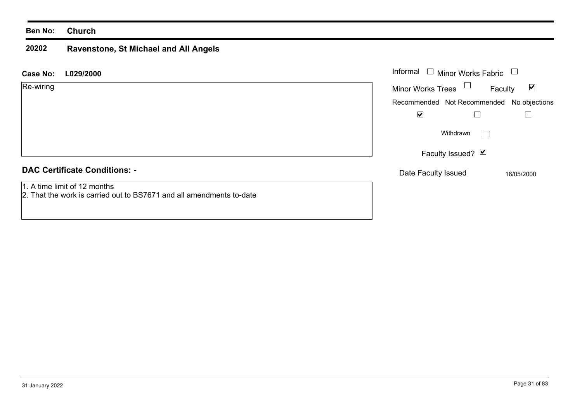# **Ben No: Church**

### **20202 Ravenstone, St Michael and All Angels**

**L029/2000 Case No:** Informal

| Re-wiring                            | $\blacktriangledown$<br><b>Minor Works Trees</b><br>Faculty |  |
|--------------------------------------|-------------------------------------------------------------|--|
|                                      | Recommended Not Recommended No objections                   |  |
|                                      | $\blacktriangledown$                                        |  |
|                                      | Withdrawn                                                   |  |
|                                      | Faculty Issued? <b>Ø</b>                                    |  |
| <b>DAC Certificate Conditions: -</b> | Date Faculty Issued<br>16/05/2000                           |  |

1. A time limit of 12 months

2. That the work is carried out to BS7671 and all amendments to-date

Minor Works Fabric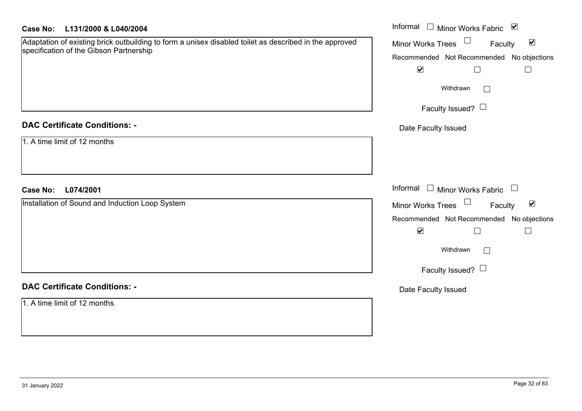| L131/2000 & L040/2004 | Case No: |  |  |
|-----------------------|----------|--|--|
|-----------------------|----------|--|--|

| <b>Case No:</b><br>L131/2000 & L040/2004                                                                                                          | Informal □ Minor Works Fabric<br>$\overline{\mathbf{v}}$       |
|---------------------------------------------------------------------------------------------------------------------------------------------------|----------------------------------------------------------------|
| Adaptation of existing brick outbuilding to form a unisex disabled toilet as described in the approved<br>specification of the Gibson Partnership | $\Box$<br>$\blacktriangledown$<br>Minor Works Trees<br>Faculty |
|                                                                                                                                                   | Recommended Not Recommended No objections                      |
|                                                                                                                                                   | $\blacktriangledown$<br>$\Box$                                 |
|                                                                                                                                                   | Withdrawn<br>$\Box$                                            |
|                                                                                                                                                   | Faculty Issued? $\Box$                                         |
| <b>DAC Certificate Conditions: -</b>                                                                                                              | Date Faculty Issued                                            |
| 1. A time limit of 12 months                                                                                                                      |                                                                |
|                                                                                                                                                   |                                                                |
| <b>Case No:</b><br>L074/2001                                                                                                                      | Informal □ Minor Works Fabric □                                |
| Installation of Sound and Induction Loop System                                                                                                   | Minor Works Trees<br>$\blacktriangledown$<br>Faculty           |
|                                                                                                                                                   | Recommended Not Recommended No objections                      |
|                                                                                                                                                   | $\blacktriangledown$<br>$\Box$                                 |
|                                                                                                                                                   | Withdrawn<br>$\Box$                                            |
|                                                                                                                                                   | Faculty Issued? $\Box$                                         |
| <b>DAC Certificate Conditions: -</b>                                                                                                              | Date Faculty Issued                                            |
| 1. A time limit of 12 months                                                                                                                      |                                                                |
|                                                                                                                                                   |                                                                |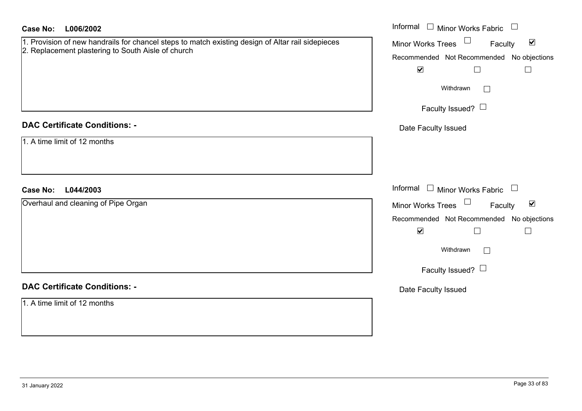| L006/2002<br><b>Case No:</b>                                                                                                                            | Informal □ Minor Works Fabric □                                             |
|---------------------------------------------------------------------------------------------------------------------------------------------------------|-----------------------------------------------------------------------------|
| 1. Provision of new handrails for chancel steps to match existing design of Altar rail sidepieces<br>2. Replacement plastering to South Aisle of church | Minor Works Trees $\Box$<br>Faculty<br>$\blacktriangledown$                 |
|                                                                                                                                                         | Recommended Not Recommended No objections                                   |
|                                                                                                                                                         | $\blacktriangledown$<br>$\Box$<br>$\Box$                                    |
|                                                                                                                                                         | Withdrawn<br>$\Box$                                                         |
|                                                                                                                                                         | Faculty Issued? $\Box$                                                      |
| <b>DAC Certificate Conditions: -</b>                                                                                                                    | Date Faculty Issued                                                         |
| 1. A time limit of 12 months                                                                                                                            |                                                                             |
|                                                                                                                                                         |                                                                             |
| <b>Case No:</b><br>L044/2003                                                                                                                            | Informal □ Minor Works Fabric □                                             |
| Overhaul and cleaning of Pipe Organ                                                                                                                     | Minor Works Trees<br>$\blacktriangledown$<br>Faculty                        |
|                                                                                                                                                         |                                                                             |
|                                                                                                                                                         | Recommended Not Recommended No objections<br>$\blacktriangledown$<br>$\Box$ |
|                                                                                                                                                         | $\Box$                                                                      |
|                                                                                                                                                         | Withdrawn<br>$\Box$                                                         |
|                                                                                                                                                         | Faculty Issued? $\Box$                                                      |
| <b>DAC Certificate Conditions: -</b>                                                                                                                    | Date Faculty Issued                                                         |
| 1. A time limit of 12 months                                                                                                                            |                                                                             |
|                                                                                                                                                         |                                                                             |
|                                                                                                                                                         |                                                                             |
|                                                                                                                                                         |                                                                             |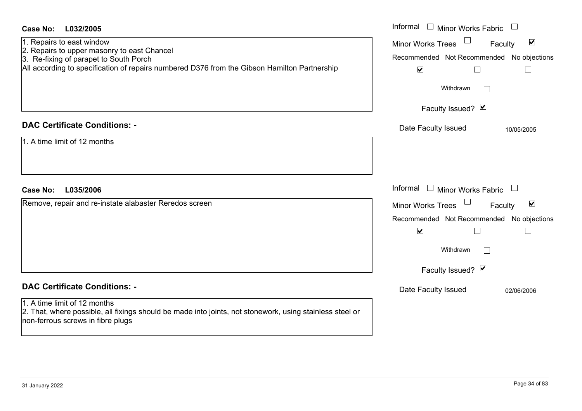| <b>Case No:</b><br>L032/2005                                                                                                                                                                                       | Informal<br>$\Box$ Minor Works Fabric $\;\Box$                                                                                                                         |
|--------------------------------------------------------------------------------------------------------------------------------------------------------------------------------------------------------------------|------------------------------------------------------------------------------------------------------------------------------------------------------------------------|
| 1. Repairs to east window<br>2. Repairs to upper masonry to east Chancel<br>3. Re-fixing of parapet to South Porch<br>All according to specification of repairs numbered D376 from the Gibson Hamilton Partnership | $\Box$<br>$\blacktriangledown$<br><b>Minor Works Trees</b><br>Faculty<br>Recommended Not Recommended No objections<br>$\blacktriangledown$<br>$\Box$<br>$\mathbb{R}^n$ |
|                                                                                                                                                                                                                    | Withdrawn<br>$\sim$                                                                                                                                                    |
|                                                                                                                                                                                                                    | Faculty Issued? Ø                                                                                                                                                      |
| <b>DAC Certificate Conditions: -</b>                                                                                                                                                                               | Date Faculty Issued<br>10/05/2005                                                                                                                                      |
| 1. A time limit of 12 months                                                                                                                                                                                       |                                                                                                                                                                        |
| <b>Case No:</b><br>L035/2006                                                                                                                                                                                       | Informal<br>$\Box$ Minor Works Fabric $\Box$                                                                                                                           |
| Remove, repair and re-instate alabaster Reredos screen                                                                                                                                                             | $\blacktriangledown$<br><b>Minor Works Trees</b><br>Faculty                                                                                                            |
|                                                                                                                                                                                                                    | Recommended Not Recommended No objections<br>$\blacktriangledown$<br>$\mathsf{L}$<br>$\mathbf{L}$                                                                      |
|                                                                                                                                                                                                                    | Withdrawn                                                                                                                                                              |
|                                                                                                                                                                                                                    | Faculty Issued? Ø                                                                                                                                                      |
| <b>DAC Certificate Conditions: -</b>                                                                                                                                                                               | Date Faculty Issued<br>02/06/2006                                                                                                                                      |
| 1. A time limit of 12 months<br>2. That, where possible, all fixings should be made into joints, not stonework, using stainless steel or<br>non-ferrous screws in fibre plugs                                      |                                                                                                                                                                        |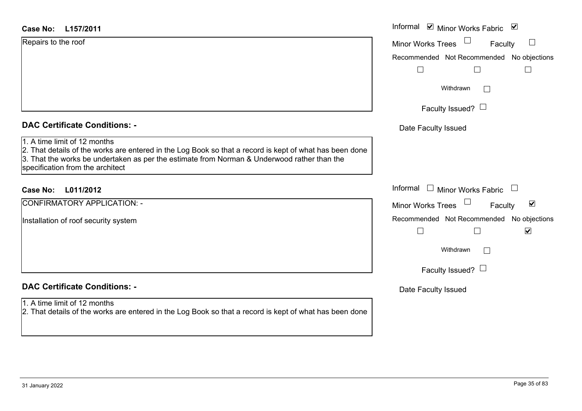| Case No: | L157/2011 |
|----------|-----------|
|----------|-----------|

# **DAC Certificate Conditions: -**

1. A time limit of 12 months2. That details of the works are entered in the Log Book so that a record is kept of what has been dor 3. That the works be undertaken as per the estimate from Norman & Underwood rather than the specification from the architect

# **L011/2012Case No:** Informal

CONFIRMATORY APPLICATION: -

Installation of roof security system

# **DAC Certificate Conditions: -**

# 1. A time limit of 12 months

| L157/2011                                                                                                                                                                                                                            | Informal ■ Minor Works Fabric<br>$\blacktriangledown$             |
|--------------------------------------------------------------------------------------------------------------------------------------------------------------------------------------------------------------------------------------|-------------------------------------------------------------------|
| o the roof                                                                                                                                                                                                                           | Minor Works Trees<br>$\Box$<br>Faculty                            |
|                                                                                                                                                                                                                                      | Recommended Not Recommended No objections                         |
|                                                                                                                                                                                                                                      |                                                                   |
|                                                                                                                                                                                                                                      | Withdrawn                                                         |
|                                                                                                                                                                                                                                      | Faculty Issued? $\Box$                                            |
| rtificate Conditions: -                                                                                                                                                                                                              | Date Faculty Issued                                               |
| limit of 12 months<br>etails of the works are entered in the Log Book so that a record is kept of what has been done<br>e works be undertaken as per the estimate from Norman & Underwood rather than the<br>tion from the architect |                                                                   |
| L011/2012                                                                                                                                                                                                                            | Informal<br><b>Minor Works Fabric</b><br>$\Box$                   |
| <b>MATORY APPLICATION: -</b>                                                                                                                                                                                                         | $\blacktriangledown$<br><b>Minor Works Trees</b><br>Faculty       |
| on of roof security system                                                                                                                                                                                                           | Recommended Not Recommended No objections<br>$\blacktriangledown$ |
|                                                                                                                                                                                                                                      | Withdrawn<br>I.                                                   |
|                                                                                                                                                                                                                                      | Faculty Issued? $\Box$                                            |
| rtificate Conditions: -                                                                                                                                                                                                              | Date Faculty Issued                                               |
| limit of 12 months<br>etails of the works are entered in the Log Book so that a record is kept of what has been done                                                                                                                 |                                                                   |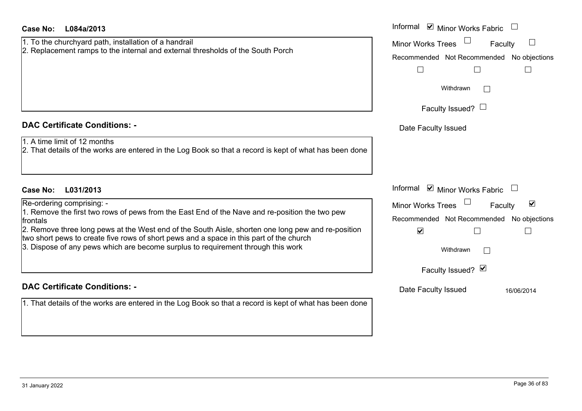| <b>Case No:</b><br>L084a/2013                                                                                                                                                                                                                                                                                                                                                                   | Informal ⊠ Minor Works Fabric                               |
|-------------------------------------------------------------------------------------------------------------------------------------------------------------------------------------------------------------------------------------------------------------------------------------------------------------------------------------------------------------------------------------------------|-------------------------------------------------------------|
| 1. To the churchyard path, installation of a handrail<br>2. Replacement ramps to the internal and external thresholds of the South Porch                                                                                                                                                                                                                                                        | <b>Minor Works Trees</b><br>Faculty                         |
|                                                                                                                                                                                                                                                                                                                                                                                                 | Recommended Not Recommended No objections                   |
|                                                                                                                                                                                                                                                                                                                                                                                                 |                                                             |
|                                                                                                                                                                                                                                                                                                                                                                                                 | Withdrawn                                                   |
|                                                                                                                                                                                                                                                                                                                                                                                                 | Faculty Issued? $\Box$                                      |
| <b>DAC Certificate Conditions: -</b>                                                                                                                                                                                                                                                                                                                                                            | Date Faculty Issued                                         |
| 1. A time limit of 12 months<br>$2$ . That details of the works are entered in the Log Book so that a record is kept of what has been done                                                                                                                                                                                                                                                      |                                                             |
| <b>Case No:</b><br>L031/2013                                                                                                                                                                                                                                                                                                                                                                    | Informal $\blacksquare$ Minor Works Fabric $\Box$           |
| Re-ordering comprising: -                                                                                                                                                                                                                                                                                                                                                                       | $\blacktriangledown$<br><b>Minor Works Trees</b><br>Faculty |
| 1. Remove the first two rows of pews from the East End of the Nave and re-position the two pew<br>frontals<br>2. Remove three long pews at the West end of the South Aisle, shorten one long pew and re-position<br>two short pews to create five rows of short pews and a space in this part of the church<br>3. Dispose of any pews which are become surplus to requirement through this work | Recommended Not Recommended<br>No objections                |
|                                                                                                                                                                                                                                                                                                                                                                                                 | $\blacktriangledown$                                        |
|                                                                                                                                                                                                                                                                                                                                                                                                 | Withdrawn                                                   |
|                                                                                                                                                                                                                                                                                                                                                                                                 | Faculty Issued? Ø                                           |
| <b>DAC Certificate Conditions: -</b>                                                                                                                                                                                                                                                                                                                                                            | Date Faculty Issued<br>16/06/2014                           |
| 1. That details of the works are entered in the Log Book so that a record is kept of what has been done                                                                                                                                                                                                                                                                                         |                                                             |
|                                                                                                                                                                                                                                                                                                                                                                                                 |                                                             |
|                                                                                                                                                                                                                                                                                                                                                                                                 |                                                             |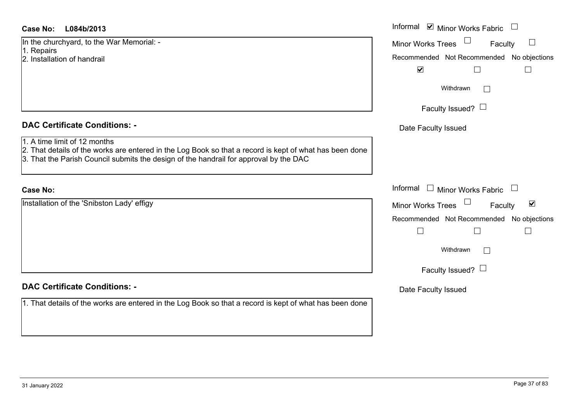# **DAC Certificate Conditions: -**

- 1. A time limit of 12 months
- 2. That details of the works are entered in the Log Book so that a record is kept of what has be
- 3. That the Parish Council submits the design of the handrail for approval by the DAC

#### **Case No:**

# **DAC Certificate Conditions: -**

| <b>Case No:</b><br>L084b/2013                                                                                                           | Informal ☑ Minor Works Fabric                        |
|-----------------------------------------------------------------------------------------------------------------------------------------|------------------------------------------------------|
| In the churchyard, to the War Memorial: -<br>1. Repairs                                                                                 | Minor Works Trees<br>Faculty                         |
| 2. Installation of handrail                                                                                                             | Recommended Not Recommended No objections            |
|                                                                                                                                         | $\blacktriangledown$<br>$\Box$                       |
|                                                                                                                                         | Withdrawn<br>$\vert \ \ \vert$                       |
|                                                                                                                                         | Faculty Issued? $\Box$                               |
| <b>DAC Certificate Conditions: -</b>                                                                                                    | Date Faculty Issued                                  |
| 1. A time limit of 12 months<br>2. That details of the works are entered in the Log Book so that a record is kept of what has been done |                                                      |
| 3. That the Parish Council submits the design of the handrail for approval by the DAC                                                   |                                                      |
| <b>Case No:</b>                                                                                                                         | Informal $\Box$ Minor Works Fabric $\Box$            |
| Installation of the 'Snibston Lady' effigy                                                                                              | Minor Works Trees<br>$\blacktriangledown$<br>Faculty |
|                                                                                                                                         | Recommended Not Recommended No objections            |
|                                                                                                                                         | $\Box$                                               |
|                                                                                                                                         | Withdrawn<br>$\perp$                                 |
|                                                                                                                                         | Faculty Issued? $\Box$                               |
| <b>DAC Certificate Conditions: -</b>                                                                                                    | Date Faculty Issued                                  |
| 1. That details of the works are entered in the Log Book so that a record is kept of what has been done                                 |                                                      |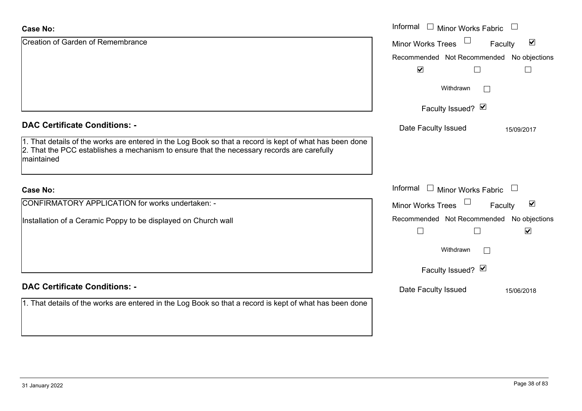| <b>Case No:</b>                                                                                                                                                                                                     | Informal □ Minor Works Fabric                                                         |  |  |
|---------------------------------------------------------------------------------------------------------------------------------------------------------------------------------------------------------------------|---------------------------------------------------------------------------------------|--|--|
| Creation of Garden of Remembrance                                                                                                                                                                                   | $\blacktriangledown$<br><b>Minor Works Trees</b><br>Faculty                           |  |  |
|                                                                                                                                                                                                                     | Recommended Not Recommended No objections                                             |  |  |
|                                                                                                                                                                                                                     | $\blacktriangledown$                                                                  |  |  |
|                                                                                                                                                                                                                     | Withdrawn                                                                             |  |  |
|                                                                                                                                                                                                                     | Faculty Issued? Ø                                                                     |  |  |
| <b>DAC Certificate Conditions: -</b>                                                                                                                                                                                | Date Faculty Issued<br>15/09/2017                                                     |  |  |
| 1. That details of the works are entered in the Log Book so that a record is kept of what has been done<br>2. That the PCC establishes a mechanism to ensure that the necessary records are carefully<br>maintained |                                                                                       |  |  |
| <b>Case No:</b>                                                                                                                                                                                                     | Informal<br>$\Box$ Minor Works Fabric                                                 |  |  |
| CONFIRMATORY APPLICATION for works undertaken: -                                                                                                                                                                    | $\blacktriangledown$<br><b>Minor Works Trees</b><br>Faculty                           |  |  |
| Installation of a Ceramic Poppy to be displayed on Church wall                                                                                                                                                      | Recommended Not Recommended No objections<br>$\blacktriangledown$<br>$\Box$<br>$\Box$ |  |  |
|                                                                                                                                                                                                                     | Withdrawn<br>$\vert \ \ \vert$                                                        |  |  |
|                                                                                                                                                                                                                     | Faculty Issued? Ø                                                                     |  |  |
| <b>DAC Certificate Conditions: -</b>                                                                                                                                                                                | Date Faculty Issued<br>15/06/2018                                                     |  |  |
| 1. That details of the works are entered in the Log Book so that a record is kept of what has been done                                                                                                             |                                                                                       |  |  |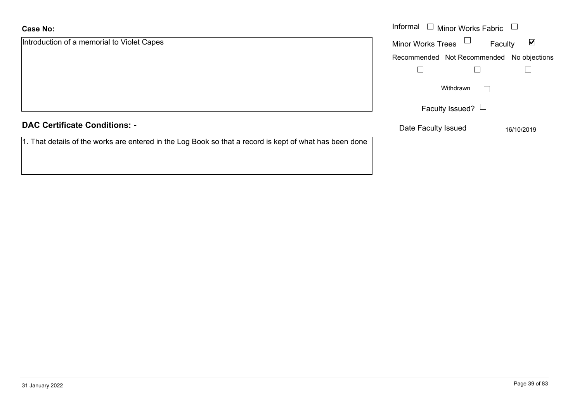| <b>Case No:</b>                                                                                         | Informal $\Box$ Minor Works Fabric                          |  |
|---------------------------------------------------------------------------------------------------------|-------------------------------------------------------------|--|
| Introduction of a memorial to Violet Capes                                                              | $\blacktriangledown$<br><b>Minor Works Trees</b><br>Faculty |  |
|                                                                                                         | Recommended Not Recommended No objections                   |  |
|                                                                                                         |                                                             |  |
|                                                                                                         | Withdrawn                                                   |  |
|                                                                                                         | Faculty Issued? $\Box$                                      |  |
| <b>DAC Certificate Conditions: -</b>                                                                    | Date Faculty Issued<br>16/10/2019                           |  |
| 1. That details of the works are entered in the Log Book so that a record is kept of what has been done |                                                             |  |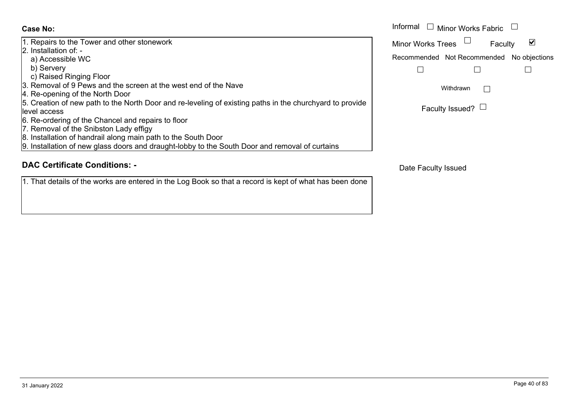1. Repairs to the Tower and other stonework 2. Installation of: a) Accessible WC b) Servery c) Raised Ringing Floor 3. Removal of 9 Pews and the screen at the west end of the Nave4. Re-opening of the North Door 5. Creation of new path to the North Door and re-leveling of existing paths in the churchyard to provide level access6. Re-ordering of the Chancel and repairs to floor 7. Removal of the Snibston Lady effigy 8. Installation of handrail along main path to the South Door 9. Installation of new glass doors and draught-lobby to the South Door and removal of curtains

# **DAC Certificate Conditions: -**

1. That details of the works are entered in the Log Book so that a record is kept of what has been done

|                                                                                                        | Informal $\Box$<br>Minor Works Fabric                          |  |
|--------------------------------------------------------------------------------------------------------|----------------------------------------------------------------|--|
| s to the Tower and other stonework<br>ation of: -                                                      | $\overline{\mathsf{v}}$<br><b>Minor Works Trees</b><br>Faculty |  |
| essible WC                                                                                             | Recommended Not Recommended<br>No objections                   |  |
| verv<br>sed Ringing Floor                                                                              |                                                                |  |
| val of 9 Pews and the screen at the west end of the Nave<br>ening of the North Door                    | Withdrawn                                                      |  |
| on of new path to the North Door and re-leveling of existing paths in the churchyard to provide<br>ess | Faculty Issued? $\Box$                                         |  |
| lering of the Chancel and repairs to floor                                                             |                                                                |  |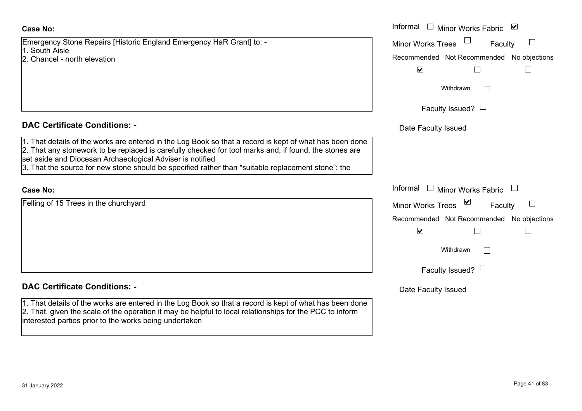Emergency Stone Repairs [Historic England Emergency HaR Grant] to: - 1. South Aisle

2. Chancel - north elevation

#### **DAC Certificate Conditions: -**

1. That details of the works are entered in the Log Book so that a record is kept of what has been done 2. That any stonework to be replaced is carefully checked for tool marks and, if found, the stones are set aside and Diocesan Archaeological Adviser is notified

3. That the source for new stone should be specified rather than "suitable replacement stone": the

#### **Case No:**

Felling of 15 Trees in the churchyard

#### **DAC Certificate Conditions: -**

1. That details of the works are entered in the Log Book so that a record is kept of what has been done 2. That, given the scale of the operation it may be helpful to local relationships for the PCC to inform interested parties prior to the works being undertaken

|                                                                                                                                                                                                                                                                                                                                                 | Informal $\square$<br>Minor Works Fabric ⊠   |
|-------------------------------------------------------------------------------------------------------------------------------------------------------------------------------------------------------------------------------------------------------------------------------------------------------------------------------------------------|----------------------------------------------|
| cy Stone Repairs [Historic England Emergency HaR Grant] to: -<br>Aisle                                                                                                                                                                                                                                                                          | Minor Works Trees<br>Faculty                 |
| el - north elevation                                                                                                                                                                                                                                                                                                                            | Recommended Not Recommended No objections    |
|                                                                                                                                                                                                                                                                                                                                                 | $\blacktriangledown$                         |
|                                                                                                                                                                                                                                                                                                                                                 | Withdrawn                                    |
|                                                                                                                                                                                                                                                                                                                                                 | Faculty Issued? $\Box$                       |
| rtificate Conditions: -                                                                                                                                                                                                                                                                                                                         | Date Faculty Issued                          |
| etails of the works are entered in the Log Book so that a record is kept of what has been done<br>ny stonework to be replaced is carefully checked for tool marks and, if found, the stones are<br>and Diocesan Archaeological Adviser is notified<br>ne source for new stone should be specified rather than "suitable replacement stone": the |                                              |
|                                                                                                                                                                                                                                                                                                                                                 | Informal $\Box$<br><b>Minor Works Fabric</b> |
| 15 Trees in the churchyard                                                                                                                                                                                                                                                                                                                      | <b>Minor Works Trees</b><br>Faculty          |
|                                                                                                                                                                                                                                                                                                                                                 | Recommended Not Recommended No objections    |
|                                                                                                                                                                                                                                                                                                                                                 | $\blacktriangledown$                         |
|                                                                                                                                                                                                                                                                                                                                                 | Withdrawn                                    |
|                                                                                                                                                                                                                                                                                                                                                 | Faculty Issued? $\Box$                       |
| 115 - - 1 - O - - - 111 -                                                                                                                                                                                                                                                                                                                       |                                              |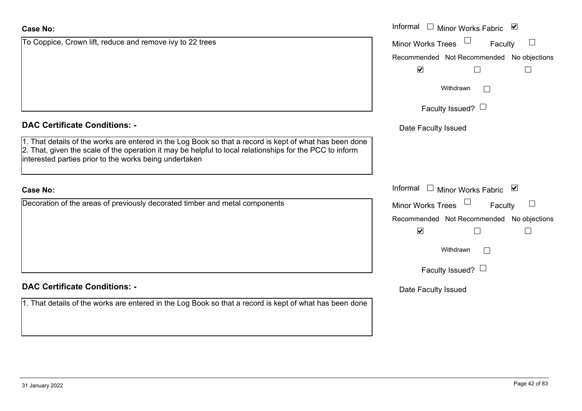| <b>Case No:</b>                                                                                         | Informal |
|---------------------------------------------------------------------------------------------------------|----------|
| Decoration of the areas of previously decorated timber and metal components                             | Minor W  |
|                                                                                                         | Recomm   |
|                                                                                                         |          |
|                                                                                                         |          |
|                                                                                                         |          |
|                                                                                                         |          |
| <b>DAC Certificate Conditions: -</b>                                                                    | Date I   |
| 1. That details of the works are entered in the Log Book so that a record is kept of what has been done |          |

1. That details of the works are entered in the Log Book so that a record is kept  $2.$  That, given the scale of the operation it may be helpful to local relationships interested parties prior to the works being undertaken

# **DAC Certificate Conditions: -**

To Coppice, Crown lift, reduce and remove ivy to 22 trees

# **Case No:**

**Case No:**

|                                                                                                                                                                                                                                                    | Informal $\Box$<br>Minor Works Fabric ⊠   |
|----------------------------------------------------------------------------------------------------------------------------------------------------------------------------------------------------------------------------------------------------|-------------------------------------------|
| ice, Crown lift, reduce and remove ivy to 22 trees                                                                                                                                                                                                 | <b>Minor Works Trees</b><br>Faculty       |
|                                                                                                                                                                                                                                                    | Recommended Not Recommended No objections |
|                                                                                                                                                                                                                                                    | $\blacktriangledown$                      |
|                                                                                                                                                                                                                                                    | Withdrawn                                 |
|                                                                                                                                                                                                                                                    | Faculty Issued? $\Box$                    |
| rtificate Conditions: -                                                                                                                                                                                                                            | Date Faculty Issued                       |
| etails of the works are entered in the Log Book so that a record is kept of what has been done<br>given the scale of the operation it may be helpful to local relationships for the PCC to inform<br>d parties prior to the works being undertaken |                                           |
|                                                                                                                                                                                                                                                    | Informal $\Box$<br>Minor Works Fabric ⊠   |
| on of the areas of previously decorated timber and metal components                                                                                                                                                                                | Minor Works Trees<br>Faculty              |

|                                           | . |  |
|-------------------------------------------|---|--|
| Recommended Not Recommended No objections |   |  |

| M |  |
|---|--|
|   |  |

| Withdrawn |  |
|-----------|--|
|-----------|--|

Faculty Issued?  $\Box$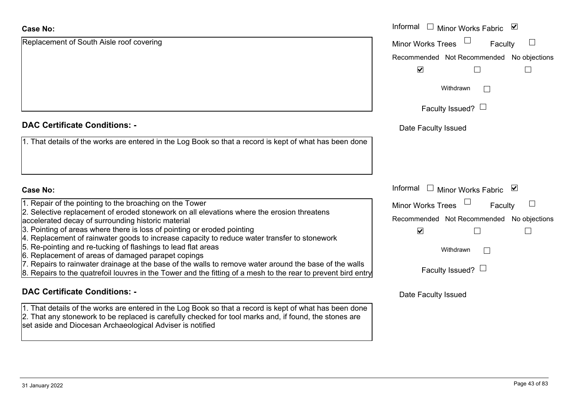| <b>Case No:</b>                                                                                                                                                                                                                                                                | Informal □ Minor Works Fabric ☑               |
|--------------------------------------------------------------------------------------------------------------------------------------------------------------------------------------------------------------------------------------------------------------------------------|-----------------------------------------------|
| Replacement of South Aisle roof covering                                                                                                                                                                                                                                       | <b>Minor Works Trees</b><br>Faculty           |
|                                                                                                                                                                                                                                                                                | Recommended Not Recommended No objections     |
|                                                                                                                                                                                                                                                                                | $\blacktriangledown$                          |
|                                                                                                                                                                                                                                                                                | Withdrawn<br>$\vert \ \ \vert$                |
|                                                                                                                                                                                                                                                                                | Faculty Issued? $\Box$                        |
| <b>DAC Certificate Conditions: -</b>                                                                                                                                                                                                                                           | Date Faculty Issued                           |
| 1. That details of the works are entered in the Log Book so that a record is kept of what has been done                                                                                                                                                                        |                                               |
|                                                                                                                                                                                                                                                                                |                                               |
| <b>Case No:</b>                                                                                                                                                                                                                                                                | Informal<br>$\Box$ Minor Works Fabric $\Box$  |
| 1. Repair of the pointing to the broaching on the Tower                                                                                                                                                                                                                        | <b>Minor Works Trees</b><br>$\Box$<br>Faculty |
| 2. Selective replacement of eroded stonework on all elevations where the erosion threatens<br>accelerated decay of surrounding historic material                                                                                                                               | Recommended Not Recommended No objections     |
| 3. Pointing of areas where there is loss of pointing or eroded pointing<br>4. Replacement of rainwater goods to increase capacity to reduce water transfer to stonework                                                                                                        | $\blacktriangledown$                          |
| 5. Re-pointing and re-tucking of flashings to lead flat areas                                                                                                                                                                                                                  | Withdrawn                                     |
| 6. Replacement of areas of damaged parapet copings<br>7. Repairs to rainwater drainage at the base of the walls to remove water around the base of the walls                                                                                                                   |                                               |
| 8. Repairs to the quatrefoil louvres in the Tower and the fitting of a mesh to the rear to prevent bird entry                                                                                                                                                                  | Faculty Issued? $\Box$                        |
| <b>DAC Certificate Conditions: -</b>                                                                                                                                                                                                                                           | Date Faculty Issued                           |
| 1. That details of the works are entered in the Log Book so that a record is kept of what has been done<br>2. That any stonework to be replaced is carefully checked for tool marks and, if found, the stones are<br>set aside and Diocesan Archaeological Adviser is notified |                                               |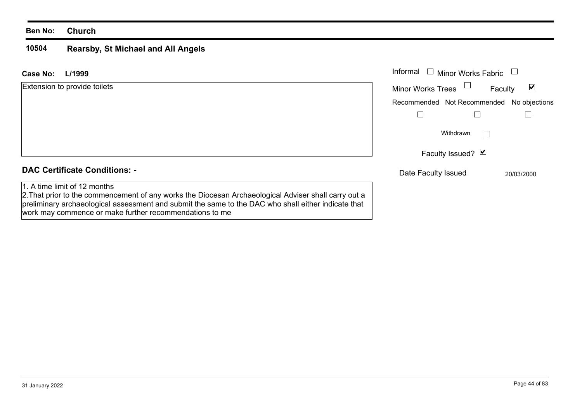#### **Ben No: Church**

#### **10504Rearsby, St Michael and All Angels**

work may commence or make further recommendations to me

| L/1999<br><b>Case No:</b>                                                                                                                                                                                                                   | Informal<br><b>Minor Works Fabric</b>     |              |
|---------------------------------------------------------------------------------------------------------------------------------------------------------------------------------------------------------------------------------------------|-------------------------------------------|--------------|
| <b>Extension to provide toilets</b>                                                                                                                                                                                                         | <b>Minor Works Trees</b>                  | ☑<br>Faculty |
|                                                                                                                                                                                                                                             | Recommended Not Recommended No objections |              |
|                                                                                                                                                                                                                                             |                                           |              |
|                                                                                                                                                                                                                                             | Withdrawn                                 |              |
|                                                                                                                                                                                                                                             | Faculty Issued? Ø                         |              |
| <b>DAC Certificate Conditions: -</b>                                                                                                                                                                                                        | Date Faculty Issued                       | 20/03/2000   |
| 1. A time limit of 12 months<br>2. That prior to the commencement of any works the Diocesan Archaeological Adviser shall carry out a<br>preliminary archaeological assessment and submit the same to the DAC who shall either indicate that |                                           |              |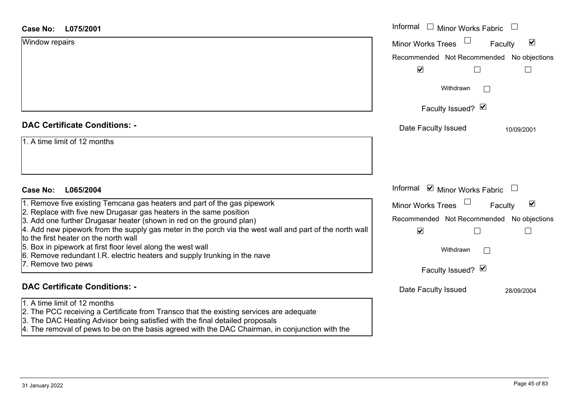| L075/2001<br><b>Case No:</b>                                                                                                                                                                                                      | Informal<br>$\Box$ Minor Works Fabric     |                                 |
|-----------------------------------------------------------------------------------------------------------------------------------------------------------------------------------------------------------------------------------|-------------------------------------------|---------------------------------|
| Window repairs                                                                                                                                                                                                                    | <b>Minor Works Trees</b>                  | $\blacktriangledown$<br>Faculty |
|                                                                                                                                                                                                                                   | Recommended Not Recommended No objections |                                 |
|                                                                                                                                                                                                                                   | $\blacktriangledown$                      |                                 |
|                                                                                                                                                                                                                                   | Withdrawn<br>$\mathbb{R}^n$               |                                 |
|                                                                                                                                                                                                                                   | Faculty Issued? Ø                         |                                 |
| <b>DAC Certificate Conditions: -</b>                                                                                                                                                                                              | Date Faculty Issued                       | 10/09/2001                      |
| 1. A time limit of 12 months                                                                                                                                                                                                      |                                           |                                 |
|                                                                                                                                                                                                                                   |                                           |                                 |
|                                                                                                                                                                                                                                   |                                           |                                 |
| <b>Case No:</b><br>L065/2004                                                                                                                                                                                                      | Informal <b>v</b> Minor Works Fabric      |                                 |
| 1. Remove five existing Temcana gas heaters and part of the gas pipework                                                                                                                                                          | <b>Minor Works Trees</b>                  | $\blacktriangledown$<br>Faculty |
| 2. Replace with five new Drugasar gas heaters in the same position<br>3. Add one further Drugasar heater (shown in red on the ground plan)                                                                                        | Recommended Not Recommended No objections |                                 |
| 4. Add new pipework from the supply gas meter in the porch via the west wall and part of the north wall<br>to the first heater on the north wall                                                                                  | $\blacktriangledown$                      |                                 |
| 5. Box in pipework at first floor level along the west wall                                                                                                                                                                       | Withdrawn<br>$\mathbf{L}$                 |                                 |
| 6. Remove redundant I.R. electric heaters and supply trunking in the nave<br>7. Remove two pews                                                                                                                                   |                                           |                                 |
|                                                                                                                                                                                                                                   | Faculty Issued? Ø                         |                                 |
| <b>DAC Certificate Conditions: -</b>                                                                                                                                                                                              | Date Faculty Issued                       | 28/09/2004                      |
| 1. A time limit of 12 months                                                                                                                                                                                                      |                                           |                                 |
| 2. The PCC receiving a Certificate from Transco that the existing services are adequate<br>3. The DAC Heating Advisor being satisfied with the final detailed proposals                                                           |                                           |                                 |
| $\mathbf{r}$ . The contract of the contract of the contract of the contract of the contract of the contract of the contract of the contract of the contract of the contract of the contract of the contract of the contract of th |                                           |                                 |

4. The removal of pews to be on the basis agreed with the DAC Chairman, in conjunction with the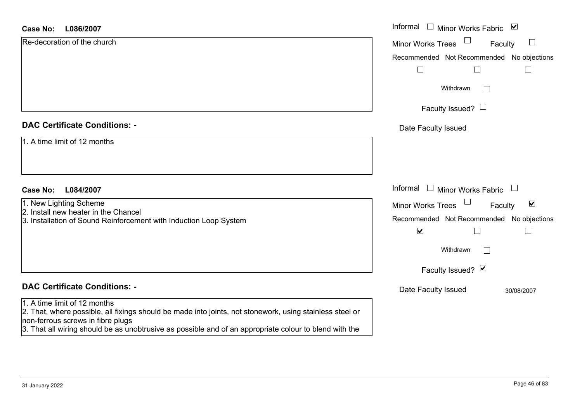#### **L086/2007Case No:**

| L086/2007<br>Case No:                                                                                                                         | Informal □ Minor Works Fabric<br>$\blacktriangledown$       |
|-----------------------------------------------------------------------------------------------------------------------------------------------|-------------------------------------------------------------|
| Re-decoration of the church                                                                                                                   | $\Box$<br>Minor Works Trees<br>Faculty                      |
|                                                                                                                                               | Recommended Not Recommended No objections                   |
|                                                                                                                                               | L                                                           |
|                                                                                                                                               | Withdrawn<br>$\vert \ \ \vert$                              |
|                                                                                                                                               | Faculty Issued? $\Box$                                      |
| <b>DAC Certificate Conditions: -</b>                                                                                                          | Date Faculty Issued                                         |
| 1. A time limit of 12 months                                                                                                                  |                                                             |
|                                                                                                                                               |                                                             |
| L084/2007<br><b>Case No:</b>                                                                                                                  | Informal<br>Minor Works Fabric                              |
| 1. New Lighting Scheme                                                                                                                        | $\blacktriangledown$<br><b>Minor Works Trees</b><br>Faculty |
| 2. Install new heater in the Chancel                                                                                                          | Recommended Not Recommended No objections                   |
| 3. Installation of Sound Reinforcement with Induction Loop System                                                                             | $\blacktriangledown$<br>$\Box$                              |
|                                                                                                                                               | Withdrawn<br>$\mathbf{I}$                                   |
|                                                                                                                                               | Faculty Issued? Ø                                           |
| <b>DAC Certificate Conditions: -</b>                                                                                                          | Date Faculty Issued<br>30/08/2007                           |
| 1. A time limit of 12 months                                                                                                                  |                                                             |
| 2. That, where possible, all fixings should be made into joints, not stonework, using stainless steel or<br>non-ferrous screws in fibre plugs |                                                             |
| 3. That all wiring should be as unobtrusive as possible and of an appropriate colour to blend with the                                        |                                                             |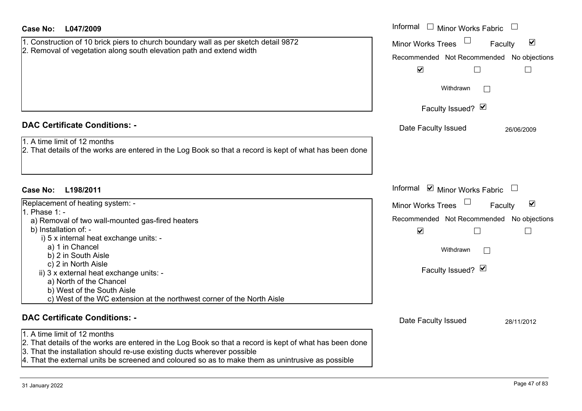| <b>Case No:</b><br>L047/2009                                                                                                                                                       | Informal $\Box$ Minor Works Fabric                                    |
|------------------------------------------------------------------------------------------------------------------------------------------------------------------------------------|-----------------------------------------------------------------------|
| 1. Construction of 10 brick piers to church boundary wall as per sketch detail 9872                                                                                                | $\Box$<br>$\blacktriangledown$<br><b>Minor Works Trees</b><br>Faculty |
| 2. Removal of vegetation along south elevation path and extend width                                                                                                               | Recommended Not Recommended No objections                             |
|                                                                                                                                                                                    | $\blacktriangledown$                                                  |
|                                                                                                                                                                                    | Withdrawn                                                             |
|                                                                                                                                                                                    | Faculty Issued? Ø                                                     |
| <b>DAC Certificate Conditions: -</b>                                                                                                                                               | Date Faculty Issued<br>26/06/2009                                     |
| 1. A time limit of 12 months<br>2. That details of the works are entered in the Log Book so that a record is kept of what has been done                                            |                                                                       |
| Case No:<br>L198/2011                                                                                                                                                              | Informal $\blacksquare$ Minor Works Fabric $\Box$                     |
| Replacement of heating system: -                                                                                                                                                   | $\blacktriangledown$<br><b>Minor Works Trees</b><br>Faculty           |
| $1.$ Phase 1: -<br>a) Removal of two wall-mounted gas-fired heaters                                                                                                                | Recommended Not Recommended No objections                             |
| b) Installation of: -                                                                                                                                                              | $\blacktriangledown$                                                  |
| i) 5 x internal heat exchange units: -                                                                                                                                             |                                                                       |
| a) 1 in Chancel<br>b) 2 in South Aisle                                                                                                                                             | Withdrawn                                                             |
| c) 2 in North Aisle                                                                                                                                                                |                                                                       |
| ii) 3 x external heat exchange units: -                                                                                                                                            | Faculty Issued? Ø                                                     |
| a) North of the Chancel                                                                                                                                                            |                                                                       |
| b) West of the South Aisle<br>c) West of the WC extension at the northwest corner of the North Aisle                                                                               |                                                                       |
|                                                                                                                                                                                    |                                                                       |
| <b>DAC Certificate Conditions: -</b>                                                                                                                                               | Date Faculty Issued<br>28/11/2012                                     |
| 1. A time limit of 12 months                                                                                                                                                       |                                                                       |
| 2. That details of the works are entered in the Log Book so that a record is kept of what has been done<br>3. That the installation should re-use existing ducts wherever possible |                                                                       |
| $4.$ That the external units be screened and coloured so as to make them as unintrusive as possible                                                                                |                                                                       |
|                                                                                                                                                                                    |                                                                       |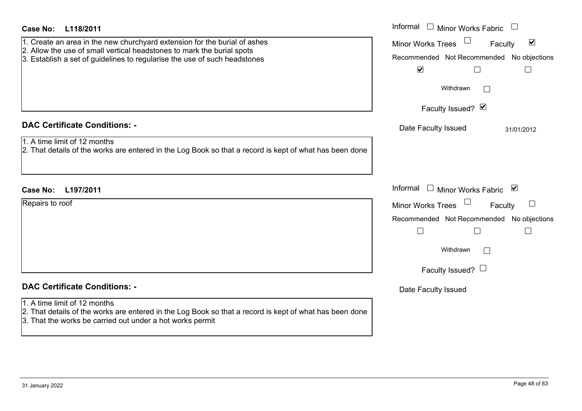| <b>Case No:</b><br>L118/2011                                                                                                                                                                                                     | Informal<br>$\Box$ Minor Works Fabric                                                                                                                           |
|----------------------------------------------------------------------------------------------------------------------------------------------------------------------------------------------------------------------------------|-----------------------------------------------------------------------------------------------------------------------------------------------------------------|
| 1. Create an area in the new churchyard extension for the burial of ashes<br>2. Allow the use of small vertical headstones to mark the burial spots<br>3. Establish a set of guidelines to regularise the use of such headstones | $\blacktriangledown$<br><b>Minor Works Trees</b><br>Faculty<br>Recommended Not Recommended No objections<br>$\blacktriangledown$<br>$\mathcal{L}_{\mathcal{A}}$ |
|                                                                                                                                                                                                                                  | Withdrawn<br>$\vert \ \ \vert$                                                                                                                                  |
|                                                                                                                                                                                                                                  | Faculty Issued? Ø                                                                                                                                               |
| <b>DAC Certificate Conditions: -</b>                                                                                                                                                                                             | Date Faculty Issued<br>31/01/2012                                                                                                                               |
| 1. A time limit of 12 months<br>2. That details of the works are entered in the Log Book so that a record is kept of what has been done                                                                                          |                                                                                                                                                                 |
| <b>Case No:</b><br>L197/2011                                                                                                                                                                                                     | Informal<br>□ Minor Works Fabric                                                                                                                                |
| Repairs to roof                                                                                                                                                                                                                  | <b>Minor Works Trees</b><br>Faculty                                                                                                                             |
|                                                                                                                                                                                                                                  | Recommended Not Recommended No objections                                                                                                                       |
|                                                                                                                                                                                                                                  | $\Box$<br>$\Box$                                                                                                                                                |
|                                                                                                                                                                                                                                  | Withdrawn<br>$\perp$                                                                                                                                            |
|                                                                                                                                                                                                                                  | Faculty Issued? $\Box$                                                                                                                                          |
| <b>DAC Certificate Conditions: -</b>                                                                                                                                                                                             | Date Faculty Issued                                                                                                                                             |
| 1. A time limit of 12 months<br>2. That details of the works are entered in the Log Book so that a record is kept of what has been done<br>3. That the works be carried out under a hot works permit                             |                                                                                                                                                                 |
|                                                                                                                                                                                                                                  |                                                                                                                                                                 |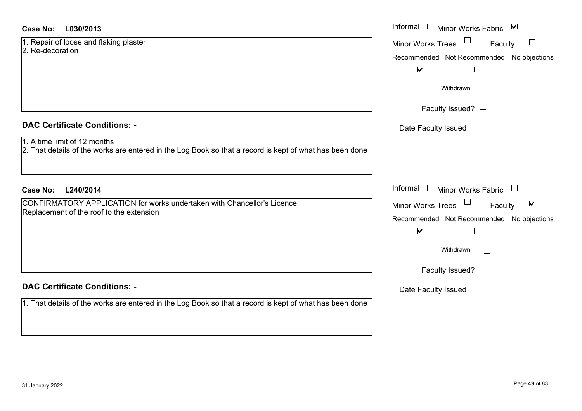#### **L030/2013Case No:** Informal

1. Repair of loose and flaking plaster 2. Re-decoration

# **DAC Certificate Conditions: -**

#### 1. A time limit of 12 months

2. That details of the works are entered in the Log Book so that a record is kept of what has been don

## **L240/2014Case No:** Informal

CONFIRMATORY APPLICATION for works undertaken with Chancellor's Licence:Replacement of the roof to the extension

# **DAC Certificate Conditions: -**

1. That details of the works are entered in the Log Book so that a record is kept of what has been don

|    | Informal<br>$\blacktriangledown$<br><b>Minor Works Fabric</b> |
|----|---------------------------------------------------------------|
|    | <b>Minor Works Trees</b><br>Faculty                           |
|    | Recommended Not Recommended No objections                     |
|    | $\blacktriangledown$                                          |
|    | Withdrawn                                                     |
|    | Faculty Issued? $\Box$                                        |
|    | Date Faculty Issued                                           |
| ٦e |                                                               |
|    |                                                               |
|    | Informal<br>Minor Works Fabric                                |
|    | $\blacktriangledown$<br><b>Minor Works Trees</b><br>Faculty   |
|    | Recommended Not Recommended No objections                     |
|    | $\blacktriangledown$                                          |
|    | Withdrawn                                                     |
|    | Faculty Issued? L                                             |
|    | Date Faculty Issued                                           |
| ٦e |                                                               |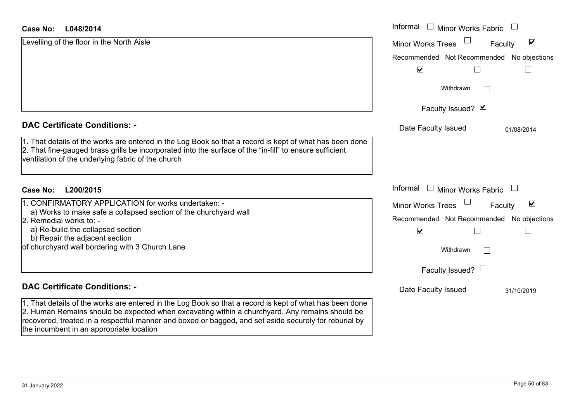#### **L048/2014Case No:**

| L048/2014<br><b>Case No:</b>                                                                                                                                                                                                                                                                                       | Informal □ Minor Works Fabric             |                                 |
|--------------------------------------------------------------------------------------------------------------------------------------------------------------------------------------------------------------------------------------------------------------------------------------------------------------------|-------------------------------------------|---------------------------------|
| Levelling of the floor in the North Aisle                                                                                                                                                                                                                                                                          | Minor Works Trees                         | $\blacktriangledown$<br>Faculty |
|                                                                                                                                                                                                                                                                                                                    | Recommended Not Recommended No objections |                                 |
|                                                                                                                                                                                                                                                                                                                    | $\blacktriangledown$                      |                                 |
|                                                                                                                                                                                                                                                                                                                    | Withdrawn                                 | $\mathbb{R}^n$                  |
|                                                                                                                                                                                                                                                                                                                    | Faculty Issued? Ø                         |                                 |
| <b>DAC Certificate Conditions: -</b>                                                                                                                                                                                                                                                                               | Date Faculty Issued                       | 01/08/2014                      |
| 1. That details of the works are entered in the Log Book so that a record is kept of what has been done<br>2. That fine-gauged brass grills be incorporated into the surface of the "in-fill" to ensure sufficient<br>ventilation of the underlying fabric of the church                                           |                                           |                                 |
| <b>Case No:</b><br>L200/2015                                                                                                                                                                                                                                                                                       | Informal $\Box$ Minor Works Fabric        |                                 |
| 1. CONFIRMATORY APPLICATION for works undertaken: -                                                                                                                                                                                                                                                                | Minor Works Trees                         | $\blacktriangledown$<br>Faculty |
| a) Works to make safe a collapsed section of the churchyard wall<br>2. Remedial works to: -                                                                                                                                                                                                                        | Recommended Not Recommended No objections |                                 |
| a) Re-build the collapsed section<br>b) Repair the adjacent section                                                                                                                                                                                                                                                | $\blacktriangledown$                      |                                 |
| of churchyard wall bordering with 3 Church Lane                                                                                                                                                                                                                                                                    | Withdrawn                                 | $\mathbb{R}^n$                  |
|                                                                                                                                                                                                                                                                                                                    | Faculty Issued? $\Box$                    |                                 |
| <b>DAC Certificate Conditions: -</b>                                                                                                                                                                                                                                                                               | Date Faculty Issued                       | 31/10/2019                      |
| 1. That details of the works are entered in the Log Book so that a record is kept of what has been done<br>2. Human Remains should be expected when excavating within a churchyard. Any remains should be<br>recovered, treated in a respectful manner and boxed or bagged, and set aside securely for reburial by |                                           |                                 |

the incumbent in an appropriate location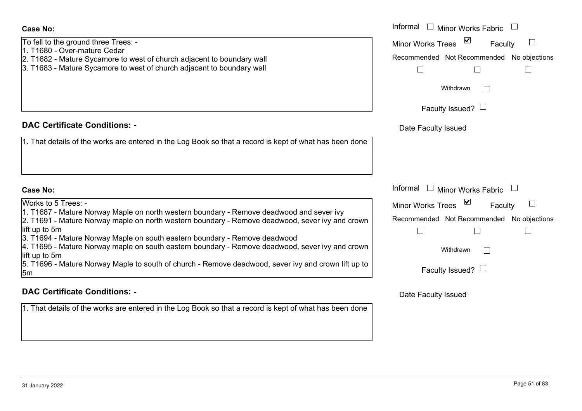To fell to the ground three Trees: - 1. T1680 - Over-mature Cedar2. T1682 - Mature Sycamore to west of church adjacent to boundary wall 3. T1683 - Mature Sycamore to west of church adjacent to boundary wall

## **DAC Certificate Conditions: -**

1. That details of the works are entered in the Log Book so that a record is kept of what has

#### **Case No:**

Works to 5 Trees: -1. T1687 - Mature Norway Maple on north western boundary - Remove deadwood and sever 2. T1691 - Mature Norway maple on north western boundary - Remove deadwood, sever ivy lift up to 5m 3. T1694 - Mature Norway Maple on south eastern boundary - Remove deadwood 4. T1695 - Mature Norway maple on south eastern boundary - Remove deadwood, sever ivy lift up to 5m 5. T1696 - Mature Norway Maple to south of church - Remove deadwood, sever ivy and crov 5m

#### **DAC Certificate Conditions: -**

1. That details of the works are entered in the Log Book so that a record is kept of what has been done

| the ground three Trees: -<br>- Over-mature Cedar<br>- Mature Sycamore to west of church adjacent to boundary wall<br>- Mature Sycamore to west of church adjacent to boundary wall                                                                                                                                                                           | Informal<br>Minor Works Fabric<br><b>Minor Works Trees</b><br>Faculty<br>Recommended Not Recommended No objections<br>Withdrawn |
|--------------------------------------------------------------------------------------------------------------------------------------------------------------------------------------------------------------------------------------------------------------------------------------------------------------------------------------------------------------|---------------------------------------------------------------------------------------------------------------------------------|
|                                                                                                                                                                                                                                                                                                                                                              | Faculty Issued? $\Box$                                                                                                          |
| rtificate Conditions: -                                                                                                                                                                                                                                                                                                                                      | Date Faculty Issued                                                                                                             |
| etails of the works are entered in the Log Book so that a record is kept of what has been done                                                                                                                                                                                                                                                               |                                                                                                                                 |
|                                                                                                                                                                                                                                                                                                                                                              | Informal<br>Minor Works Fabric                                                                                                  |
| 5 Trees: -<br>- Mature Norway Maple on north western boundary - Remove deadwood and sever ivy<br>- Mature Norway maple on north western boundary - Remove deadwood, sever ivy and crown<br>5m<br>- Mature Norway Maple on south eastern boundary - Remove deadwood<br>- Mature Norway maple on south eastern boundary - Remove deadwood, sever ivy and crown | <b>Minor Works Trees</b><br>Faculty<br>Recommended Not Recommended No objections<br>Withdrawn<br>L                              |
| วิทา<br>- Mature Norway Maple to south of church - Remove deadwood, sever ivy and crown lift up to                                                                                                                                                                                                                                                           | Faculty Issued?                                                                                                                 |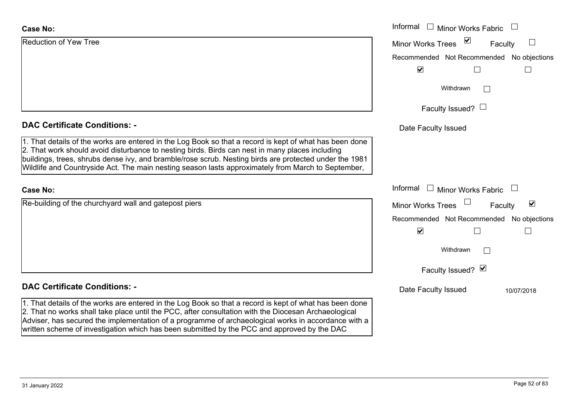| <b>Case No:</b>                                                                                                                                                                                                                                                                                                                                                                                                            | Informal<br>$\mathrel{\boxdot}$ Minor Works Fabric      |  |  |
|----------------------------------------------------------------------------------------------------------------------------------------------------------------------------------------------------------------------------------------------------------------------------------------------------------------------------------------------------------------------------------------------------------------------------|---------------------------------------------------------|--|--|
| <b>Reduction of Yew Tree</b>                                                                                                                                                                                                                                                                                                                                                                                               | $\sum$<br><b>Minor Works Trees</b><br>Faculty<br>$\Box$ |  |  |
|                                                                                                                                                                                                                                                                                                                                                                                                                            | Recommended Not Recommended No objections               |  |  |
|                                                                                                                                                                                                                                                                                                                                                                                                                            | $\blacktriangledown$                                    |  |  |
|                                                                                                                                                                                                                                                                                                                                                                                                                            | Withdrawn                                               |  |  |
|                                                                                                                                                                                                                                                                                                                                                                                                                            | Faculty Issued? $\Box$                                  |  |  |
| <b>DAC Certificate Conditions: -</b>                                                                                                                                                                                                                                                                                                                                                                                       | Date Faculty Issued                                     |  |  |
| 1. That details of the works are entered in the Log Book so that a record is kept of what has been done<br>2. That work should avoid disturbance to nesting birds. Birds can nest in many places including<br>buildings, trees, shrubs dense ivy, and bramble/rose scrub. Nesting birds are protected under the 1981<br>Wildlife and Countryside Act. The main nesting season lasts approximately from March to September, |                                                         |  |  |
| <b>Case No:</b>                                                                                                                                                                                                                                                                                                                                                                                                            | Informal<br>Minor Works Fabric<br>$\mathbf{1}$          |  |  |
| Re-building of the churchyard wall and gatepost piers                                                                                                                                                                                                                                                                                                                                                                      | ⊻<br><b>Minor Works Trees</b><br>Faculty                |  |  |
|                                                                                                                                                                                                                                                                                                                                                                                                                            | Recommended Not Recommended No objections               |  |  |
|                                                                                                                                                                                                                                                                                                                                                                                                                            | $\blacktriangledown$                                    |  |  |
|                                                                                                                                                                                                                                                                                                                                                                                                                            | Withdrawn<br>$\sim$                                     |  |  |
|                                                                                                                                                                                                                                                                                                                                                                                                                            | Faculty Issued? Ø                                       |  |  |
| <b>DAC Certificate Conditions: -</b>                                                                                                                                                                                                                                                                                                                                                                                       | Date Faculty Issued<br>10/07/2018                       |  |  |
| 1. That details of the works are entered in the Log Book so that a record is kept of what has been done<br>2. That no works shall take place until the PCC, after consultation with the Diocesan Archaeological<br>Adviser, has secured the implementation of a programme of archaeological works in accordance with a                                                                                                     |                                                         |  |  |

written scheme of investigation which has been submitted by the PCC and approved by the DAC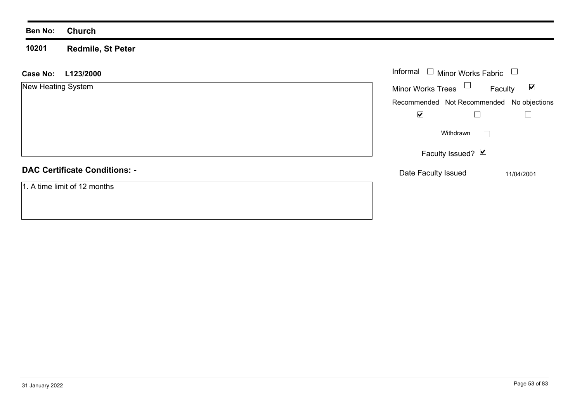#### **Ben No: Church**

**10201 Redmile, St Peter**

| L123/2000<br><b>Case No:</b>         | Informal $\Box$ Minor Works Fabric        |                                 |  |
|--------------------------------------|-------------------------------------------|---------------------------------|--|
| New Heating System                   | Minor Works Trees $\Box$                  | $\blacktriangledown$<br>Faculty |  |
|                                      | Recommended Not Recommended No objections |                                 |  |
|                                      | $\blacktriangledown$                      |                                 |  |
|                                      | Withdrawn<br>$\mathbb{R}^n$               |                                 |  |
|                                      | Faculty Issued? Ø                         |                                 |  |
| <b>DAC Certificate Conditions: -</b> | Date Faculty Issued                       | 11/04/2001                      |  |
| 1. A time limit of 12 months         |                                           |                                 |  |
|                                      |                                           |                                 |  |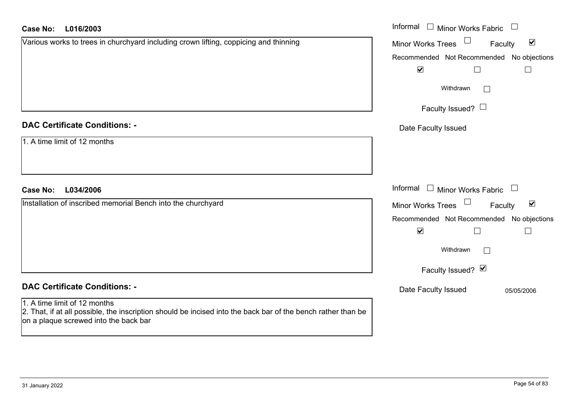#### **L016/2003Case No:**

| <b>Case No:</b><br>L016/2003                                                                                                                                                          | Informal<br>$\Box$ Minor Works Fabric<br>$\begin{array}{c} \begin{array}{c} \begin{array}{c} \end{array} \end{array} \end{array}$ |
|---------------------------------------------------------------------------------------------------------------------------------------------------------------------------------------|-----------------------------------------------------------------------------------------------------------------------------------|
| Various works to trees in churchyard including crown lifting, coppicing and thinning                                                                                                  | $\blacktriangledown$<br>Minor Works Trees<br>Faculty                                                                              |
|                                                                                                                                                                                       | Recommended Not Recommended No objections                                                                                         |
|                                                                                                                                                                                       | $\blacktriangledown$                                                                                                              |
|                                                                                                                                                                                       | Withdrawn<br>$\Box$                                                                                                               |
|                                                                                                                                                                                       | Faculty Issued? $\Box$                                                                                                            |
| <b>DAC Certificate Conditions: -</b>                                                                                                                                                  | Date Faculty Issued                                                                                                               |
| 1. A time limit of 12 months                                                                                                                                                          |                                                                                                                                   |
|                                                                                                                                                                                       |                                                                                                                                   |
| <b>Case No:</b><br>L034/2006                                                                                                                                                          | Informal □ Minor Works Fabric<br>$\Box$                                                                                           |
| Installation of inscribed memorial Bench into the churchyard                                                                                                                          | $\blacktriangledown$<br>Minor Works Trees<br>Faculty                                                                              |
|                                                                                                                                                                                       | Recommended Not Recommended No objections                                                                                         |
|                                                                                                                                                                                       | $\blacktriangledown$<br>$\Box$<br>$\overline{\phantom{0}}$                                                                        |
|                                                                                                                                                                                       | Withdrawn<br>$\Box$                                                                                                               |
|                                                                                                                                                                                       | Faculty Issued? Ø                                                                                                                 |
| <b>DAC Certificate Conditions: -</b>                                                                                                                                                  | Date Faculty Issued<br>05/05/2006                                                                                                 |
| 1. A time limit of 12 months<br>2. That, if at all possible, the inscription should be incised into the back bar of the bench rather than be<br>on a plaque screwed into the back bar |                                                                                                                                   |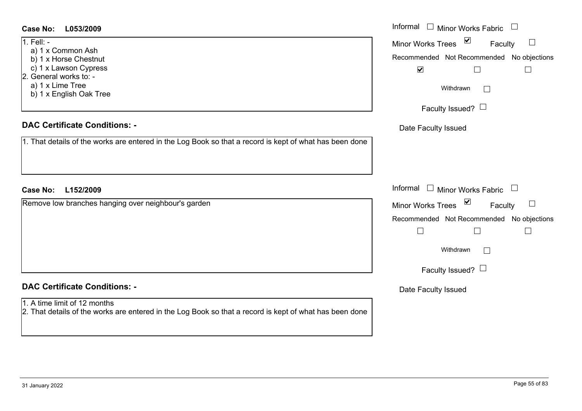#### Informal  $\Box$  Minor Works Fabric  $\Box$ **L053/2009Case No:** Informal 1. Fell:  $-$ Faculty  $\Box$ Minor Works Trees a) 1 x Common Ash b) 1 x Horse Chestnut Recommended Not Recommended No objections c) 1 x Lawson Cypress  $\Box$  $\overline{\mathbf{v}}$  $\Box$ 2. General works to: a) 1 x Lime Tree Withdrawn $\Box$  b) 1 x English Oak Tree Faculty Issued?  $\Box$ **DAC Certificate Conditions: -**Date Faculty Issued 1. That details of the works are entered in the Log Book so that a record is kept of what has been done Informal  $\Box$  Minor Works Fabric  $\Box$ **L152/2009Case No:** Informal Remove low branches hanging over neighbour's garden  $\Box$ Faculty Minor Works Trees Recommended Not Recommended No objections  $\Box$  $\Box$  $\Box$ Withdrawn $\Box$ Faculty Issued?  $\Box$ **DAC Certificate Conditions: -**Date Faculty Issued 1. A time limit of 12 months2. That details of the works are entered in the Log Book so that a record is kept of what has been done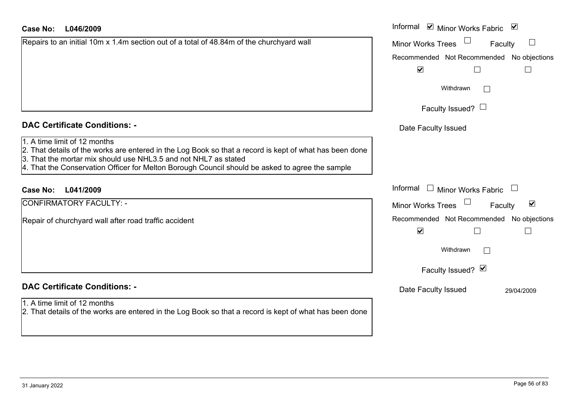| Case No: |  |  | L046/2009 |
|----------|--|--|-----------|
|----------|--|--|-----------|

| Repairs to an initial 10m x 1.4m section out of a total of 48.84m of the churchyard wall |  |  |
|------------------------------------------------------------------------------------------|--|--|
|                                                                                          |  |  |
|                                                                                          |  |  |
|                                                                                          |  |  |
|                                                                                          |  |  |
|                                                                                          |  |  |

# **DAC Certificate Conditions: -**

- 1. A time limit of 12 months
- 2. That details of the works are entered in the Log Book so that a record is kept of what has been done
- 3. That the mortar mix should use NHL3.5 and not NHL7 as stated
- 4. That the Conservation Officer for Melton Borough Council should be asked to agree the sample

## **L041/2009Case No:** Informal

CONFIRMATORY FACULTY: -

Repair of churchyard wall after road traffic accident

# **DAC Certificate Conditions: -**

#### 1. A time limit of 12 months

2. That details of the works are entered in the Log Book so that a record is kept of what has been done

| L046/2009                                                                                                                                                                                                                                                              | Informal ⊠ Minor Works Fabric ⊠                      |
|------------------------------------------------------------------------------------------------------------------------------------------------------------------------------------------------------------------------------------------------------------------------|------------------------------------------------------|
| o an initial 10m x 1.4m section out of a total of 48.84m of the churchyard wall                                                                                                                                                                                        | Minor Works Trees<br>$\Box$<br>Faculty               |
|                                                                                                                                                                                                                                                                        | Recommended Not Recommended No objections            |
|                                                                                                                                                                                                                                                                        | $\blacktriangledown$                                 |
|                                                                                                                                                                                                                                                                        | Withdrawn                                            |
|                                                                                                                                                                                                                                                                        | Faculty Issued? $\Box$                               |
| rtificate Conditions: -                                                                                                                                                                                                                                                | Date Faculty Issued                                  |
| limit of 12 months<br>etails of the works are entered in the Log Book so that a record is kept of what has been done<br>e mortar mix should use NHL3.5 and not NHL7 as stated<br>e Conservation Officer for Melton Borough Council should be asked to agree the sample |                                                      |
| L041/2009                                                                                                                                                                                                                                                              | Informal □ Minor Works Fabric<br>$\Box$              |
| <b>MATORY FACULTY: -</b>                                                                                                                                                                                                                                               | $\blacktriangledown$<br>Minor Works Trees<br>Faculty |
| churchyard wall after road traffic accident                                                                                                                                                                                                                            | Recommended Not Recommended No objections            |
|                                                                                                                                                                                                                                                                        | $\blacktriangledown$                                 |
|                                                                                                                                                                                                                                                                        | Withdrawn<br>Г                                       |
|                                                                                                                                                                                                                                                                        | Faculty Issued? Ø                                    |
| rtificate Conditions: -                                                                                                                                                                                                                                                | Date Faculty Issued<br>29/04/2009                    |
| limit of 12 months<br>etails of the works are entered in the Log Book so that a record is kent of what has been done                                                                                                                                                   |                                                      |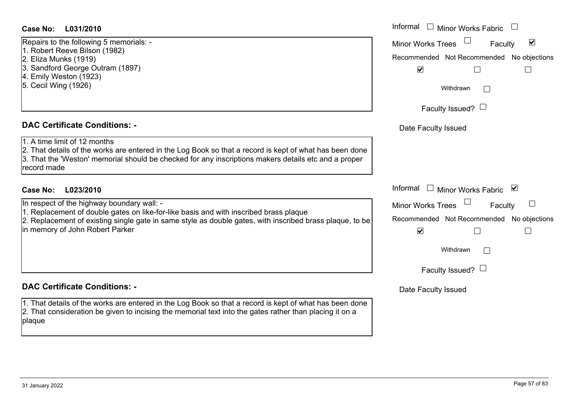## **L031/2010Case No:** Informal

Repairs to the following 5 memorials: -

- 1. Robert Reeve Bilson (1982)
- 2. Eliza Munks (1919)
- 3. Sandford George Outram (1897)
- 4. Emily Weston (1923)
- 5. Cecil Wing (1926)

#### **DAC Certificate Conditions: -**

1. A time limit of 12 months2. That details of the works are entered in the Log Book so that a record is kept of what has been do 3. That the 'Weston' memorial should be checked for any inscriptions makers details etc and a proper record made

# **L023/2010Case No:** Informal

In respect of the highway boundary wall: -

1. Replacement of double gates on like-for-like basis and with inscribed brass plaque

2. Replacement of existing single gate in same style as double gates, with inscribed brass plaque, to in memory of John Robert Parker

## **DAC Certificate Conditions: -**

1. That details of the works are entered in the Log Book so that a record is kept of what has been done 2. That consideration be given to incising the memorial text into the gates rather than placing it on a plaque

|           | Informal<br><b>Minor Works Fabric</b>                             |
|-----------|-------------------------------------------------------------------|
|           | ☑<br><b>Minor Works Trees</b><br>Faculty                          |
|           | Recommended Not Recommended No objections<br>☑                    |
|           | Withdrawn                                                         |
|           | Faculty Issued? $\Box$                                            |
|           | Date Faculty Issued                                               |
| one<br>er |                                                                   |
|           | Informal<br>⊻<br><b>Minor Works Fabric</b>                        |
|           | <b>Minor Works Trees</b><br>Faculty                               |
| o be      | Recommended Not Recommended No objections<br>$\blacktriangledown$ |
|           | Withdrawn                                                         |
|           | Faculty Issued?                                                   |
|           | Date Faculty Issued                                               |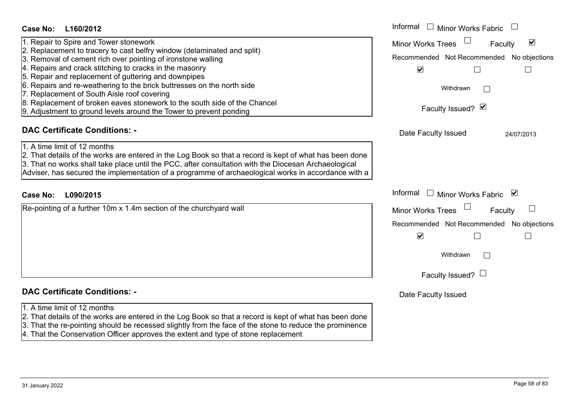|                                                                                           | Date Faculty Issued |
|-------------------------------------------------------------------------------------------|---------------------|
| cord is kept of what has been done<br>he stone to reduce the prominence<br>ne replacement |                     |

- **DAC Certificate Conditions: -**
- 1. A time limit of 12 months
- 2. That details of the works are entered in the Log Book so that a re
- $3.$  That the re-pointing should be recessed slightly from the face of the
- 4. That the Conservation Officer approves the extent and type of sto

**L160/2012Case No:** Informal 1. Repair to Spire and Tower stonework 2. Replacement to tracery to cast belfry window (delaminated and split) 3. Removal of cement rich over pointing of ironstone walling 4. Repairs and crack stitching to cracks in the masonry 5. Repair and replacement of guttering and downpipes 6. Repairs and re-weathering to the brick buttresses on the north side 7. Replacement of South Aisle roof covering 8. Replacement of broken eaves stonework to the south side of the Chancel 9. Adjustment to ground levels around the Tower to prevent ponding

# **DAC Certificate Conditions: -**

- 1. A time limit of 12 months2. That details of the works are entered in the Log Book so that a record is kept of what has been done 3. That no works shall take place until the PCC, after consultation with the Diocesan Archaeological
- Adviser, has secured the implementation of a programme of archaeological works in accordance with a

# **L090/2015Case No:** Informal

Re-pointing of a further 10m x 1.4m section of the churchyard wall

Date Faculty Issued 24/07/2013

Recommended Not Recommended No objections

 $\Box$ 

 $\Box$ 

Faculty

 $\Box$ 

 $\Box$ 

Recommended Not Recommended No objections

 $\Box$ 

 $\Box$ 

Faculty

 $\blacktriangledown$ 

 $\Box$ 

Faculty Issued?  $\boxtimes$ 

Faculty Issued?  $\Box$ 

Withdrawn

Informal  $\Box$  Minor Works Fabric  $\Box$ 

Minor Works Trees

 $\overline{\mathbf{v}}$ 

Withdrawn

Informal  $\Box$  Minor Works Fabric  $\Box$ 

Minor Works Trees<sup>1</sup>

 $\overline{\mathbf{v}}$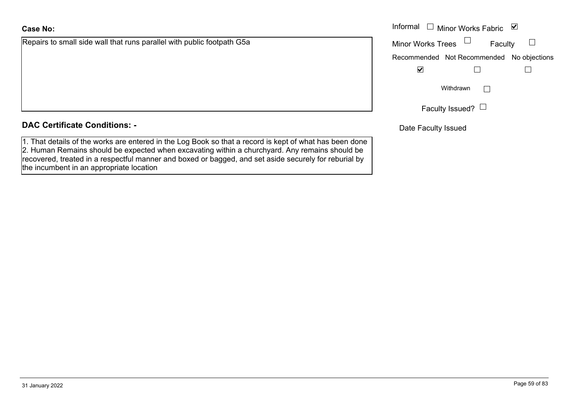Repairs to small side wall that runs parallel with public footpath G5a

## **DAC Certificate Conditions: -**

1. That details of the works are entered in the Log Book so that a record is kept of what has been done 2. Human Remains should be expected when excavating within a churchyard. Any remains should be recovered, treated in a respectful manner and boxed or bagged, and set aside securely for reburial by the incumbent in an appropriate location

| Informal $\Box$          |              | ⊻                                                                                                                 |
|--------------------------|--------------|-------------------------------------------------------------------------------------------------------------------|
| <b>Minor Works Trees</b> |              |                                                                                                                   |
|                          |              |                                                                                                                   |
| ⊻                        |              |                                                                                                                   |
|                          | $\mathbf{L}$ |                                                                                                                   |
|                          |              |                                                                                                                   |
|                          |              | Minor Works Fabric<br>Faculty<br>Recommended Not Recommended No objections<br>Withdrawn<br>Faculty Issued? $\Box$ |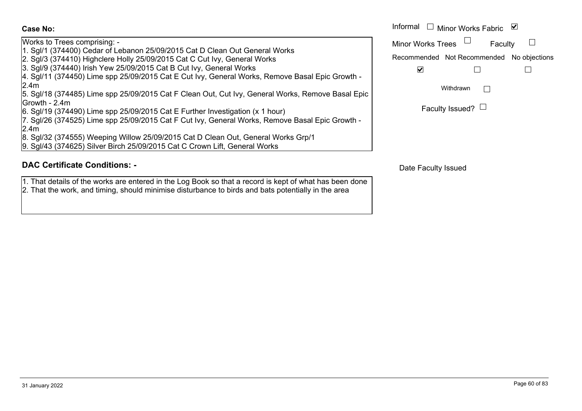Works to Trees comprising: - 1. Sgl/1 (374400) Cedar of Lebanon 25/09/2015 Cat D Clean Out General Works

- 2. Sgl/3 (374410) Highclere Holly 25/09/2015 Cat C Cut Ivy, General Works
- 3. Sgl/9 (374440) Irish Yew 25/09/2015 Cat B Cut Ivy, General Works

4. Sgl/11 (374450) Lime spp 25/09/2015 Cat E Cut Ivy, General Works, Remove Basal Epic Growth - 2.4m

5. Sgl/18 (374485) Lime spp 25/09/2015 Cat F Clean Out, Cut Ivy, General Works, Remove Basal Epic Growth - 2.4m

6. Sgl/19 (374490) Lime spp 25/09/2015 Cat E Further Investigation (x 1 hour)

7. Sgl/26 (374525) Lime spp 25/09/2015 Cat F Cut Ivy, General Works, Remove Basal Epic Growth - 2.4m

8. Sgl/32 (374555) Weeping Willow 25/09/2015 Cat D Clean Out, General Works Grp/1

9. Sgl/43 (374625) Silver Birch 25/09/2015 Cat C Crown Lift, General Works

## **DAC Certificate Conditions: -**

1. That details of the works are entered in the Log Book so that a record is kept of what has been done 2. That the work, and timing, should minimise disturbance to birds and bats potentially in the area

|                                                                                                                                      |                          | Informal $\Box$ Minor Works Fabric $\Box$ |  |
|--------------------------------------------------------------------------------------------------------------------------------------|--------------------------|-------------------------------------------|--|
| Trees comprising: -                                                                                                                  | <b>Minor Works Trees</b> | Faculty                                   |  |
| 374400) Cedar of Lebanon 25/09/2015 Cat D Clean Out General Works<br>374410) Highclere Holly 25/09/2015 Cat C Cut Ivy, General Works |                          | Recommended Not Recommended No objections |  |
| 374440) Irish Yew 25/09/2015 Cat B Cut Ivy, General Works                                                                            |                          |                                           |  |
| (374450) Lime spp 25/09/2015 Cat E Cut Ivy, General Works, Remove Basal Epic Growth -                                                |                          |                                           |  |
| $\overline{a}$<br>.<br>$10 - 110 - 11$                                                                                               |                          | Withdrawn                                 |  |

| Faculty Issued? $\Box$ |  |
|------------------------|--|
|------------------------|--|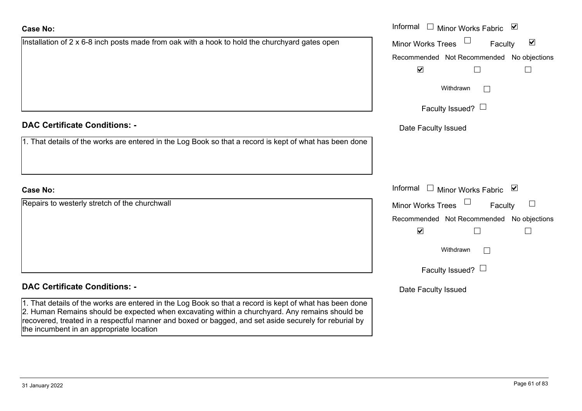| etails of the works are entered in the Log Book so that a record is kept of what has been done |          |
|------------------------------------------------------------------------------------------------|----------|
|                                                                                                |          |
|                                                                                                | Informal |
| o westerly stretch of the churchwall                                                           | Minor W  |
|                                                                                                | Recomm   |
|                                                                                                |          |
|                                                                                                |          |
|                                                                                                |          |
|                                                                                                |          |

| Installation of $2 \times 6$ -8 inch posts made from oak with a hook to hold the churchyard gates open |  |  |  |
|--------------------------------------------------------------------------------------------------------|--|--|--|
|                                                                                                        |  |  |  |
|                                                                                                        |  |  |  |
|                                                                                                        |  |  |  |
|                                                                                                        |  |  |  |

# **DAC Certificate Conditions: -**

1. That details of the works are entered in the Log Book so that a record is kept of what has been done

# **Case No:**

**Repairs to** 

# **DAC Certificate Conditions: -**

1. That details of the works are entered in the Log Book so that a record is kept of what has been done 2. Human Remains should be expected when excavating within a churchyard. Any remains should be recovered, treated in a respectful manner and boxed or bagged, and set aside securely for reburial by the incumbent in an appropriate location

|                                                                                                | Informal $\square$<br>Minor Works Fabric ⊠           |
|------------------------------------------------------------------------------------------------|------------------------------------------------------|
| on of 2 x 6-8 inch posts made from oak with a hook to hold the churchyard gates open           | $\blacktriangledown$<br>Minor Works Trees<br>Faculty |
|                                                                                                | Recommended Not Recommended No objections            |
|                                                                                                | $\blacktriangledown$<br>$\Box$                       |
|                                                                                                | Withdrawn                                            |
|                                                                                                | Faculty Issued? $\Box$                               |
| rtificate Conditions: -                                                                        | Date Faculty Issued                                  |
| etails of the works are entered in the Log Book so that a record is kept of what has been done |                                                      |
|                                                                                                |                                                      |
|                                                                                                | Informal $\square$<br>Minor Works Fabric ⊠           |
| o westerly stretch of the churchwall                                                           | Minor Works Trees<br>Faculty                         |
|                                                                                                | Recommended Not Recommended No objections            |
|                                                                                                | $\blacktriangledown$<br>$\mathsf{L}$                 |
|                                                                                                | Withdrawn                                            |
|                                                                                                | Faculty Issued? $\Box$                               |
|                                                                                                |                                                      |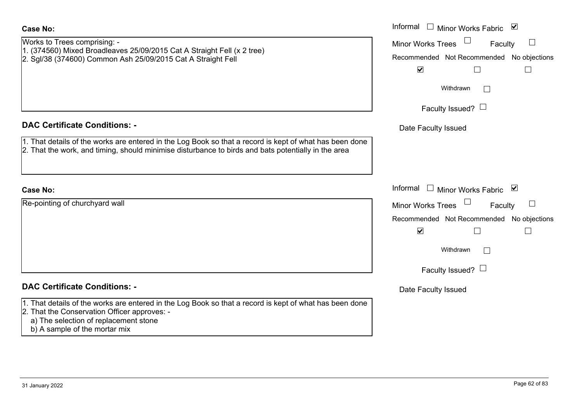| <b>Case No:</b>                                                                                                                                                                                                                   | Informal $\Box$ Minor Works Fabric $\Box$                                                                                                         |
|-----------------------------------------------------------------------------------------------------------------------------------------------------------------------------------------------------------------------------------|---------------------------------------------------------------------------------------------------------------------------------------------------|
| Works to Trees comprising: -<br>1. (374560) Mixed Broadleaves 25/09/2015 Cat A Straight Fell (x 2 tree)<br>2. Sgl/38 (374600) Common Ash 25/09/2015 Cat A Straight Fell                                                           | $\Box$<br>Minor Works Trees<br>Faculty<br>Recommended Not Recommended No objections<br>$\blacktriangledown$<br>$\Box$<br>$\overline{\phantom{a}}$ |
|                                                                                                                                                                                                                                   | Withdrawn                                                                                                                                         |
|                                                                                                                                                                                                                                   | Faculty Issued? $\Box$                                                                                                                            |
| <b>DAC Certificate Conditions: -</b>                                                                                                                                                                                              | Date Faculty Issued                                                                                                                               |
| 1. That details of the works are entered in the Log Book so that a record is kept of what has been done<br>2. That the work, and timing, should minimise disturbance to birds and bats potentially in the area                    |                                                                                                                                                   |
|                                                                                                                                                                                                                                   |                                                                                                                                                   |
| <b>Case No:</b>                                                                                                                                                                                                                   | Informal<br>Minor Works Fabric ⊠                                                                                                                  |
| Re-pointing of churchyard wall                                                                                                                                                                                                    | Minor Works Trees<br>$\Box$<br>Faculty<br>Recommended Not Recommended No objections                                                               |
|                                                                                                                                                                                                                                   | $\blacktriangledown$<br>$\Box$<br>$\mathbb{L}$                                                                                                    |
|                                                                                                                                                                                                                                   | Withdrawn                                                                                                                                         |
|                                                                                                                                                                                                                                   | Faculty Issued? $\Box$                                                                                                                            |
| <b>DAC Certificate Conditions: -</b>                                                                                                                                                                                              | Date Faculty Issued                                                                                                                               |
| 1. That details of the works are entered in the Log Book so that a record is kept of what has been done<br>2. That the Conservation Officer approves: -<br>a) The selection of replacement stone<br>b) A sample of the mortar mix |                                                                                                                                                   |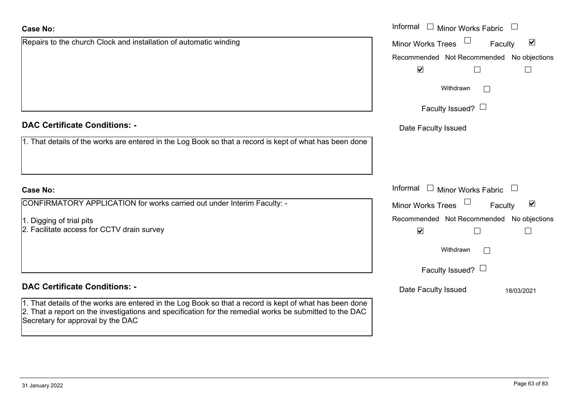# Repairs to the church Clock and installation of automatic winding **Case No:**

1. That details of the works are entered in the Log Book so that a record is kept of what has been do

# **Case No:**

CONFIRMATORY APPLICATION for works carried out under Interim Faculty: -

1. Digging of trial pits

2. Facilitate access for CCTV drain survey

# **DAC Certificate Conditions: -**

1. That details of the works are entered in the Log Book so that a record is kept of what has been de 2. That a report on the investigations and specification for the remedial works be submitted to the DAC Secretary for approval by the DAC

|                                                                                                | Informal $\Box$ Minor Works Fabric $\Box$                   |
|------------------------------------------------------------------------------------------------|-------------------------------------------------------------|
| o the church Clock and installation of automatic winding                                       | $\blacktriangledown$<br><b>Minor Works Trees</b><br>Faculty |
|                                                                                                | Recommended Not Recommended No objections                   |
|                                                                                                | $\blacktriangledown$                                        |
|                                                                                                | Withdrawn                                                   |
|                                                                                                | Faculty Issued? $\Box$                                      |
| rtificate Conditions: -                                                                        | Date Faculty Issued                                         |
| etails of the works are entered in the Log Book so that a record is kept of what has been done |                                                             |
|                                                                                                |                                                             |
|                                                                                                |                                                             |
|                                                                                                | Informal $\Box$ Minor Works Fabric $\Box$                   |
| MATORY APPLICATION for works carried out under Interim Faculty: -                              | Minor Works Trees<br>$\blacktriangledown$<br>Faculty        |
| g of trial pits                                                                                | Recommended Not Recommended No objections                   |
| ate access for CCTV drain survey                                                               | $\blacktriangledown$                                        |
|                                                                                                | Withdrawn                                                   |
|                                                                                                | Faculty Issued? $\Box$                                      |
| rtificate Conditions: -                                                                        | Date Faculty Issued<br>18/03/2021                           |
| etails of the works are entered in the Log Book so that a record is kept of what has been done |                                                             |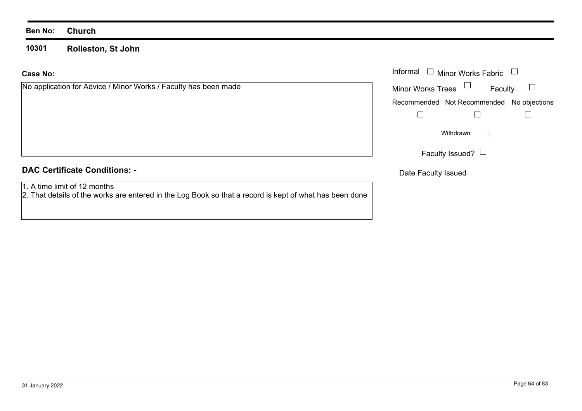#### **Ben No: Church**

**10301Rolleston, St John**

#### **Case No:**

| No application for Advice / Minor Works / Faculty has been made |  |
|-----------------------------------------------------------------|--|
|-----------------------------------------------------------------|--|

# **DAC Certificate Conditions: -**

1. A time limit of 12 months

2. That details of the works are entered in the Log Book so that a record is kept of what has been done

|                                                         |                          | Informal $\Box$ Minor Works Fabric $\Box$ |                   |
|---------------------------------------------------------|--------------------------|-------------------------------------------|-------------------|
| cation for Advice / Minor Works / Faculty has been made | Minor Works Trees $\Box$ |                                           | Faculty $\square$ |
|                                                         |                          | Recommended Not Recommended No objections |                   |
|                                                         |                          |                                           |                   |
|                                                         |                          | Withdrawn                                 |                   |
|                                                         |                          | Faculty Issued? $\Box$                    |                   |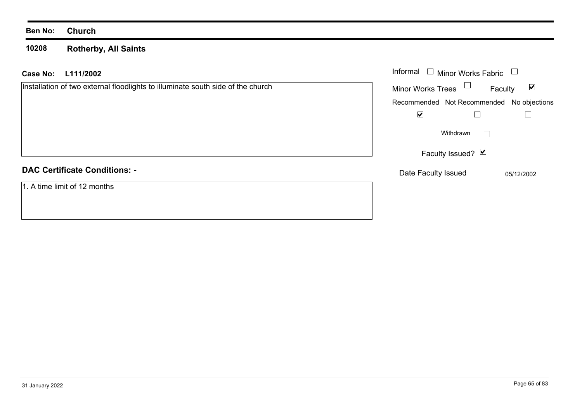#### **Ben No: Church**

**10208 Rotherby, All Saints**

| L111/2002<br><b>Case No:</b>                                                    | Informal<br>Minor Works Fabric            |                                 |
|---------------------------------------------------------------------------------|-------------------------------------------|---------------------------------|
| Installation of two external floodlights to illuminate south side of the church | Minor Works Trees $\Box$                  | $\blacktriangledown$<br>Faculty |
|                                                                                 | Recommended Not Recommended No objections |                                 |
|                                                                                 | $\blacktriangledown$                      |                                 |
|                                                                                 | Withdrawn                                 |                                 |
|                                                                                 | Faculty Issued? Ø                         |                                 |
| <b>DAC Certificate Conditions: -</b>                                            | Date Faculty Issued                       | 05/12/2002                      |
| 1. A time limit of 12 months                                                    |                                           |                                 |
|                                                                                 |                                           |                                 |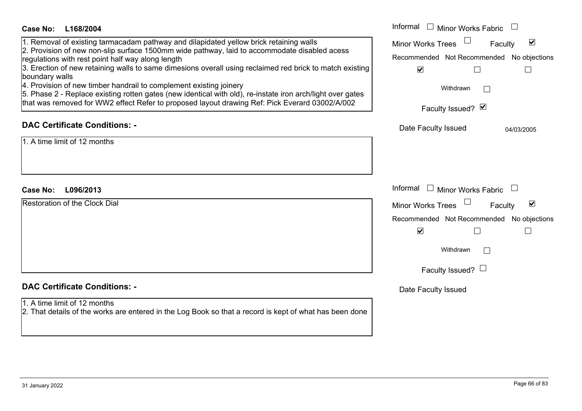| Case No:<br>L168/2004                                                                                                                                                                                                                                                                                                                                                                                                                                                                                                                                                                                                                                           | Informal $\Box$ Minor Works Fabric $\Box$                                                                                                                             |
|-----------------------------------------------------------------------------------------------------------------------------------------------------------------------------------------------------------------------------------------------------------------------------------------------------------------------------------------------------------------------------------------------------------------------------------------------------------------------------------------------------------------------------------------------------------------------------------------------------------------------------------------------------------------|-----------------------------------------------------------------------------------------------------------------------------------------------------------------------|
| 1. Removal of existing tarmacadam pathway and dilapidated yellow brick retaining walls<br>2. Provision of new non-slip surface 1500mm wide pathway, laid to accommodate disabled acess<br>regulations with rest point half way along length<br>3. Erection of new retaining walls to same dimesions overall using reclaimed red brick to match existing<br>boundary walls<br>4. Provision of new timber handrail to complement existing joinery<br>5. Phase 2 - Replace existing rotten gates (new identical with old), re-instate iron arch/light over gates<br>that was removed for WW2 effect Refer to proposed layout drawing Ref: Pick Everard 03002/A/002 | ☑<br><b>Minor Works Trees</b><br>Faculty<br>Recommended Not Recommended No objections<br>$\blacktriangledown$<br>$\mathsf{L}$<br>Withdrawn<br>Faculty Issued? Ø       |
| <b>DAC Certificate Conditions: -</b>                                                                                                                                                                                                                                                                                                                                                                                                                                                                                                                                                                                                                            | Date Faculty Issued<br>04/03/2005                                                                                                                                     |
| $1.$ A time limit of 12 months                                                                                                                                                                                                                                                                                                                                                                                                                                                                                                                                                                                                                                  |                                                                                                                                                                       |
| <b>Case No:</b><br>L096/2013                                                                                                                                                                                                                                                                                                                                                                                                                                                                                                                                                                                                                                    | Informal $\Box$ Minor Works Fabric $\Box$                                                                                                                             |
| <b>Restoration of the Clock Dial</b>                                                                                                                                                                                                                                                                                                                                                                                                                                                                                                                                                                                                                            | Minor Works Trees<br>$\blacktriangledown$<br>Faculty<br>Recommended Not Recommended No objections<br>$\blacktriangledown$<br>⊔<br>Withdrawn<br>Faculty Issued? $\Box$ |
| <b>DAC Certificate Conditions: -</b>                                                                                                                                                                                                                                                                                                                                                                                                                                                                                                                                                                                                                            | Date Faculty Issued                                                                                                                                                   |
| 1. A time limit of 12 months<br>2. That details of the works are entered in the Log Book so that a record is kept of what has been done                                                                                                                                                                                                                                                                                                                                                                                                                                                                                                                         |                                                                                                                                                                       |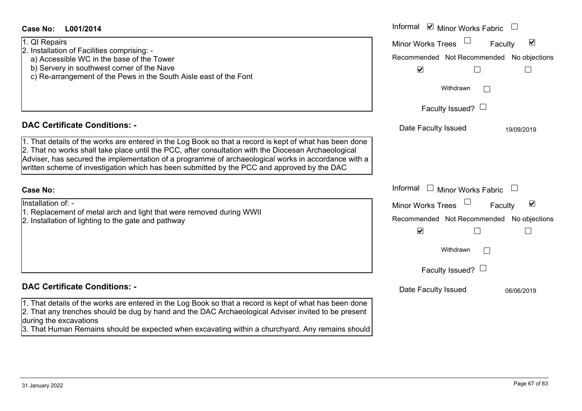| Case No:<br>L001/2014                                                                                                         | Informal <b>☑</b> Minor Works Fabric                        |
|-------------------------------------------------------------------------------------------------------------------------------|-------------------------------------------------------------|
| 1. QI Repairs                                                                                                                 | $\blacktriangledown$<br><b>Minor Works Trees</b><br>Faculty |
| 2. Installation of Facilities comprising: -                                                                                   |                                                             |
| a) Accessible WC in the base of the Tower                                                                                     | Recommended Not Recommended No objections                   |
| b) Servery in southwest corner of the Nave                                                                                    | $\blacktriangledown$                                        |
| c) Re-arrangement of the Pews in the South Aisle east of the Font                                                             |                                                             |
|                                                                                                                               | Withdrawn<br>$\vert \ \ \vert$                              |
|                                                                                                                               |                                                             |
|                                                                                                                               | Faculty Issued? $\Box$                                      |
| <b>DAC Certificate Conditions: -</b>                                                                                          | Date Faculty Issued<br>19/09/2019                           |
| 1. That details of the works are entered in the Log Book so that a record is kept of what has been done                       |                                                             |
| 2. That no works shall take place until the PCC, after consultation with the Diocesan Archaeological                          |                                                             |
| Adviser, has secured the implementation of a programme of archaeological works in accordance with a                           |                                                             |
| written scheme of investigation which has been submitted by the PCC and approved by the DAC                                   |                                                             |
|                                                                                                                               |                                                             |
| <b>Case No:</b>                                                                                                               | Informal<br>$\mathbf{L}$<br>Minor Works Fabric              |
| Installation of: -                                                                                                            | $\blacktriangledown$<br><b>Minor Works Trees</b><br>Faculty |
| 1. Replacement of metal arch and light that were removed during WWII<br>2. Installation of lighting to the gate and pathway   | Recommended Not Recommended No objections                   |
|                                                                                                                               | $\blacktriangledown$                                        |
|                                                                                                                               |                                                             |
|                                                                                                                               | Withdrawn                                                   |
|                                                                                                                               |                                                             |
|                                                                                                                               | Faculty Issued? $\Box$                                      |
| <b>DAC Certificate Conditions: -</b>                                                                                          | Date Faculty Issued<br>06/06/2019                           |
|                                                                                                                               |                                                             |
| 1. That details of the works are entered in the Log Book so that a record is kept of what has been done                       |                                                             |
| 2. That any trenches should be dug by hand and the DAC Archaeological Adviser invited to be present<br>during the excavations |                                                             |
| 3. That Human Remains should be expected when excavating within a churchyard. Any remains should                              |                                                             |
|                                                                                                                               |                                                             |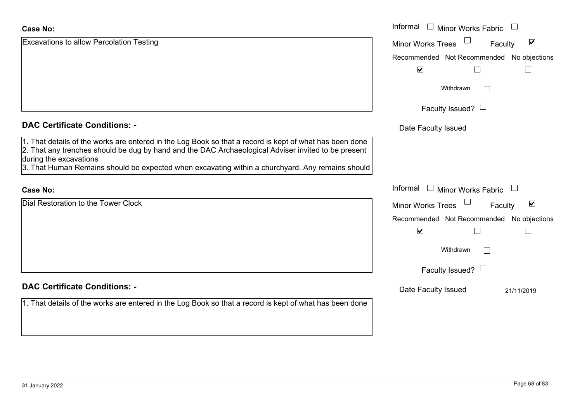| <b>Case No:</b>                                                                                                                                                                                                                          | Informal □ Minor Works Fabric             |                                 |
|------------------------------------------------------------------------------------------------------------------------------------------------------------------------------------------------------------------------------------------|-------------------------------------------|---------------------------------|
| Excavations to allow Percolation Testing                                                                                                                                                                                                 | <b>Minor Works Trees</b>                  | $\blacktriangledown$<br>Faculty |
|                                                                                                                                                                                                                                          | Recommended Not Recommended No objections |                                 |
|                                                                                                                                                                                                                                          | $\blacktriangledown$                      |                                 |
|                                                                                                                                                                                                                                          | Withdrawn                                 | $\Box$                          |
|                                                                                                                                                                                                                                          | Faculty Issued? $\Box$                    |                                 |
| <b>DAC Certificate Conditions: -</b>                                                                                                                                                                                                     | Date Faculty Issued                       |                                 |
| 1. That details of the works are entered in the Log Book so that a record is kept of what has been done<br>2. That any trenches should be dug by hand and the DAC Archaeological Adviser invited to be present<br>during the excavations |                                           |                                 |
| 3. That Human Remains should be expected when excavating within a churchyard. Any remains should                                                                                                                                         |                                           |                                 |
| <b>Case No:</b>                                                                                                                                                                                                                          | Informal $\Box$ Minor Works Fabric        |                                 |
| Dial Restoration to the Tower Clock                                                                                                                                                                                                      | Minor Works Trees                         | $\blacktriangledown$<br>Faculty |
|                                                                                                                                                                                                                                          | Recommended Not Recommended No objections |                                 |
|                                                                                                                                                                                                                                          | $\blacktriangledown$<br>$\Box$            |                                 |
|                                                                                                                                                                                                                                          | Withdrawn                                 | $\mathbb{R}^n$                  |
|                                                                                                                                                                                                                                          | Faculty Issued? $\Box$                    |                                 |
| <b>DAC Certificate Conditions: -</b>                                                                                                                                                                                                     | Date Faculty Issued                       | 21/11/2019                      |
| 1. That details of the works are entered in the Log Book so that a record is kept of what has been done                                                                                                                                  |                                           |                                 |
|                                                                                                                                                                                                                                          |                                           |                                 |
|                                                                                                                                                                                                                                          |                                           |                                 |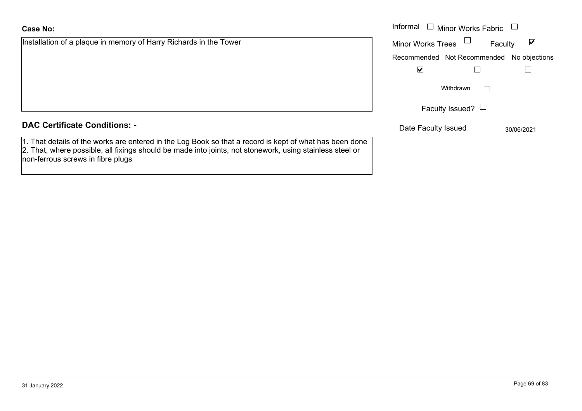| <b>Case No:</b>                                                                                                                                                                                                                                          | Informal<br><b>Minor Works Fabric</b> |               |
|----------------------------------------------------------------------------------------------------------------------------------------------------------------------------------------------------------------------------------------------------------|---------------------------------------|---------------|
| Installation of a plaque in memory of Harry Richards in the Tower                                                                                                                                                                                        | <b>Minor Works Trees</b>              | ⊻<br>Faculty  |
|                                                                                                                                                                                                                                                          | Recommended Not Recommended           | No objections |
|                                                                                                                                                                                                                                                          | $\blacktriangledown$                  |               |
|                                                                                                                                                                                                                                                          | Withdrawn                             |               |
|                                                                                                                                                                                                                                                          | Faculty Issued? $\Box$                |               |
| <b>DAC Certificate Conditions: -</b>                                                                                                                                                                                                                     | Date Faculty Issued                   | 30/06/2021    |
| 1. That details of the works are entered in the Log Book so that a record is kept of what has been done<br>2. That, where possible, all fixings should be made into joints, not stonework, using stainless steel or<br>non-ferrous screws in fibre plugs |                                       |               |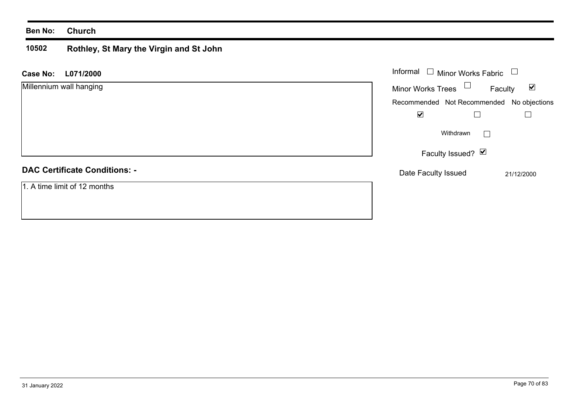#### **Ben No: Church**

#### **10502 Rothley, St Mary the Virgin and St John**

| <b>Case No:</b><br>L071/2000         | Informal $\Box$ Minor Works Fabric $\Box$ |                                 |
|--------------------------------------|-------------------------------------------|---------------------------------|
| Millennium wall hanging              | Minor Works Trees $\Box$                  | $\blacktriangledown$<br>Faculty |
|                                      | Recommended Not Recommended No objections |                                 |
|                                      | $\blacktriangledown$                      |                                 |
|                                      | Withdrawn                                 | $\mathbb{R}^n$                  |
|                                      | Faculty Issued? Ø                         |                                 |
| <b>DAC Certificate Conditions: -</b> | Date Faculty Issued                       | 21/12/2000                      |
| 1. A time limit of 12 months         |                                           |                                 |
|                                      |                                           |                                 |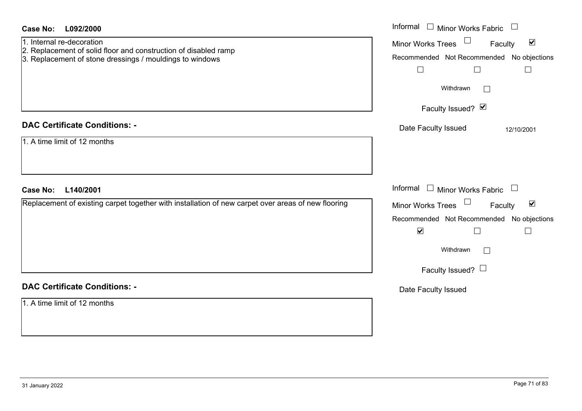| <b>Case No:</b><br>L092/2000                                                                                                                             | Informal $\Box$ Minor Works Fabric $\Box$                                                                                                                                                  |
|----------------------------------------------------------------------------------------------------------------------------------------------------------|--------------------------------------------------------------------------------------------------------------------------------------------------------------------------------------------|
| 1. Internal re-decoration<br>2. Replacement of solid floor and construction of disabled ramp<br>3. Replacement of stone dressings / mouldings to windows | Minor Works Trees<br>$\blacktriangledown$<br>Faculty<br>Recommended Not Recommended No objections<br>$\Box$<br>$\Box$<br>$\Box$                                                            |
|                                                                                                                                                          | Withdrawn<br>Faculty Issued? Ø                                                                                                                                                             |
| <b>DAC Certificate Conditions: -</b><br>1. A time limit of 12 months                                                                                     | Date Faculty Issued<br>12/10/2001                                                                                                                                                          |
| <b>Case No:</b><br>L140/2001                                                                                                                             | Informal<br>$\Box$ Minor Works Fabric $\Box$                                                                                                                                               |
| Replacement of existing carpet together with installation of new carpet over areas of new flooring                                                       | Minor Works Trees<br>$\blacktriangledown$<br>Faculty<br>Recommended Not Recommended No objections<br>$\blacktriangledown$<br>$\Box$<br>$\mathbf{L}$<br>Withdrawn<br>Faculty Issued? $\Box$ |
| <b>DAC Certificate Conditions: -</b><br>1. A time limit of 12 months                                                                                     | Date Faculty Issued                                                                                                                                                                        |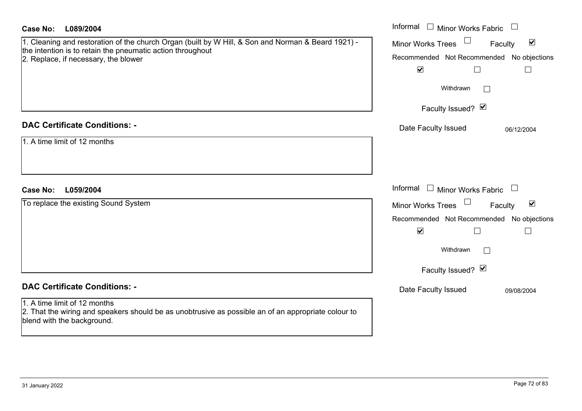| Case No:<br>L089/2004                                                                                                                                                                                     | Informal $\square$<br><b>Minor Works Fabric</b>                                                                                                                       |
|-----------------------------------------------------------------------------------------------------------------------------------------------------------------------------------------------------------|-----------------------------------------------------------------------------------------------------------------------------------------------------------------------|
| 1. Cleaning and restoration of the church Organ (built by W Hill, & Son and Norman & Beard 1921) -<br>the intention is to retain the pneumatic action throughout<br>2. Replace, if necessary, the blower  | $\blacktriangledown$<br>Minor Works Trees<br>Faculty<br>Recommended Not Recommended No objections<br>$\blacktriangledown$<br>$\Box$<br>Withdrawn                      |
|                                                                                                                                                                                                           | Faculty Issued? Ø                                                                                                                                                     |
| <b>DAC Certificate Conditions: -</b><br>1. A time limit of 12 months                                                                                                                                      | Date Faculty Issued<br>06/12/2004                                                                                                                                     |
| <b>Case No:</b><br>L059/2004                                                                                                                                                                              | Informal $\Box$ Minor Works Fabric $\Box$                                                                                                                             |
| To replace the existing Sound System                                                                                                                                                                      | $\blacktriangledown$<br>Minor Works Trees<br>Faculty<br>Recommended Not Recommended No objections<br>$\blacktriangledown$<br>$\Box$<br>Withdrawn<br>Faculty Issued? Ø |
| <b>DAC Certificate Conditions: -</b><br>1. A time limit of 12 months<br>2. That the wiring and speakers should be as unobtrusive as possible an of an appropriate colour to<br>blend with the background. | Date Faculty Issued<br>09/08/2004                                                                                                                                     |
|                                                                                                                                                                                                           |                                                                                                                                                                       |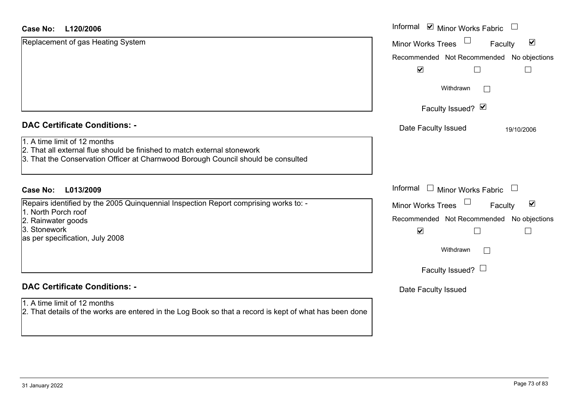#### **L120/2006Case No:**

| <b>Case No:</b><br>L120/2006                                                                                                                                                                  | Informal ⊠ Minor Works Fabric                                     |  |
|-----------------------------------------------------------------------------------------------------------------------------------------------------------------------------------------------|-------------------------------------------------------------------|--|
| Replacement of gas Heating System                                                                                                                                                             | $\blacktriangledown$<br>Minor Works Trees<br>Faculty              |  |
|                                                                                                                                                                                               | Recommended Not Recommended<br>No objections                      |  |
|                                                                                                                                                                                               | $\blacktriangledown$                                              |  |
|                                                                                                                                                                                               | Withdrawn                                                         |  |
|                                                                                                                                                                                               | Faculty Issued? Ø                                                 |  |
| <b>DAC Certificate Conditions: -</b>                                                                                                                                                          | Date Faculty Issued<br>19/10/2006                                 |  |
| 1. A time limit of 12 months<br>2. That all external flue should be finished to match external stonework<br>3. That the Conservation Officer at Charnwood Borough Council should be consulted |                                                                   |  |
| <b>Case No:</b><br>L013/2009                                                                                                                                                                  | Informal<br><b>Minor Works Fabric</b><br>$\overline{\phantom{a}}$ |  |
| Repairs identified by the 2005 Quinquennial Inspection Report comprising works to: -                                                                                                          | $\blacktriangledown$<br><b>Minor Works Trees</b><br>Faculty       |  |
| 1. North Porch roof<br>2. Rainwater goods                                                                                                                                                     | Recommended Not Recommended<br>No objections                      |  |
| 3. Stonework<br>as per specification, July 2008                                                                                                                                               | $\blacktriangledown$                                              |  |
|                                                                                                                                                                                               | Withdrawn<br>$\vert$ $\vert$                                      |  |
|                                                                                                                                                                                               | Faculty Issued? $\Box$                                            |  |
| <b>DAC Certificate Conditions: -</b>                                                                                                                                                          | Date Faculty Issued                                               |  |
| 1. A time limit of 12 months<br>2. That details of the works are entered in the Log Book so that a record is kept of what has been done                                                       |                                                                   |  |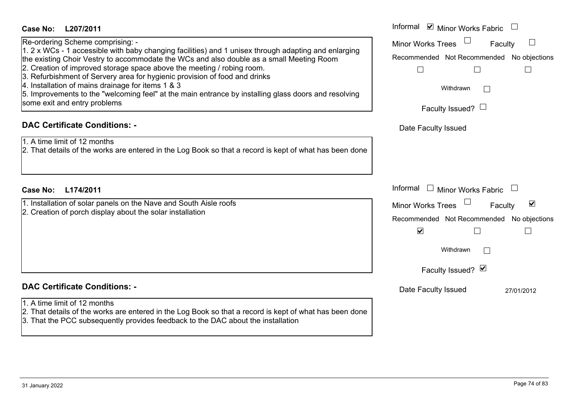| Informal ☑ Minor Works Fabric                                                                                                                                                |
|------------------------------------------------------------------------------------------------------------------------------------------------------------------------------|
| <b>Minor Works Trees</b><br>$\Box$<br>Faculty<br>Recommended Not Recommended No objections<br>$\Box$<br>Withdrawn<br>$\perp$<br>Faculty Issued? $\Box$                       |
| Date Faculty Issued                                                                                                                                                          |
|                                                                                                                                                                              |
| Informal<br>$\Box$ Minor Works Fabric                                                                                                                                        |
| $\blacktriangledown$<br><b>Minor Works Trees</b><br>Faculty<br>Recommended Not Recommended No objections<br>$\blacktriangledown$<br>Withdrawn<br>$\Box$<br>Faculty Issued? Ø |
| Date Faculty Issued<br>27/01/2012                                                                                                                                            |
|                                                                                                                                                                              |
|                                                                                                                                                                              |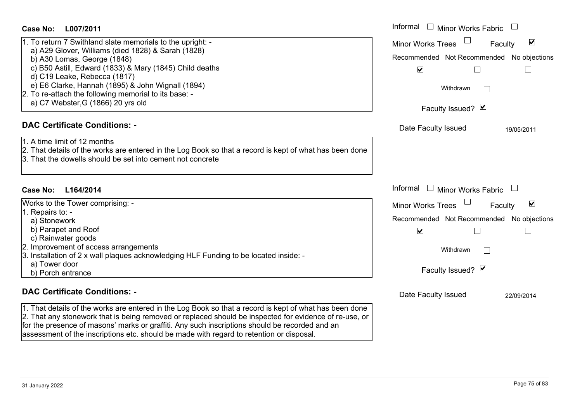| L007/2011<br>Case No:                                                                                                                                                                                                                                                                                                                                                                          | Informal $\Box$ Minor Works Fabric                                                                                                                         |  |
|------------------------------------------------------------------------------------------------------------------------------------------------------------------------------------------------------------------------------------------------------------------------------------------------------------------------------------------------------------------------------------------------|------------------------------------------------------------------------------------------------------------------------------------------------------------|--|
| 1. To return 7 Swithland slate memorials to the upright: -<br>a) A29 Glover, Williams (died 1828) & Sarah (1828)<br>b) A30 Lomas, George (1848)<br>c) B50 Astill, Edward (1833) & Mary (1845) Child deaths<br>d) C19 Leake, Rebecca (1817)<br>e) E6 Clarke, Hannah (1895) & John Wignall (1894)<br>2. To re-attach the following memorial to its base: -<br>a) C7 Webster, G (1866) 20 yrs old | $\blacktriangledown$<br><b>Minor Works Trees</b><br>Faculty<br>Recommended Not Recommended<br>No objections<br>$\blacktriangledown$<br>$\Box$<br>Withdrawn |  |
|                                                                                                                                                                                                                                                                                                                                                                                                | Faculty Issued? Ø                                                                                                                                          |  |
| <b>DAC Certificate Conditions: -</b>                                                                                                                                                                                                                                                                                                                                                           | Date Faculty Issued<br>19/05/2011                                                                                                                          |  |
| 1. A time limit of 12 months<br>2. That details of the works are entered in the Log Book so that a record is kept of what has been done<br>3. That the dowells should be set into cement not concrete                                                                                                                                                                                          |                                                                                                                                                            |  |
| Case No:<br>L164/2014                                                                                                                                                                                                                                                                                                                                                                          | Informal □ Minor Works Fabric                                                                                                                              |  |
| Works to the Tower comprising: -                                                                                                                                                                                                                                                                                                                                                               | $\Box$<br>$\blacktriangledown$<br>Minor Works Trees<br>Faculty                                                                                             |  |
| 1. Repairs to: -<br>a) Stonework<br>b) Parapet and Roof<br>c) Rainwater goods                                                                                                                                                                                                                                                                                                                  | Recommended Not Recommended<br>No objections<br>$\blacktriangledown$                                                                                       |  |
| 2. Improvement of access arrangements<br>3. Installation of 2 x wall plaques acknowledging HLF Funding to be located inside: -<br>a) Tower door                                                                                                                                                                                                                                                | Withdrawn                                                                                                                                                  |  |
| b) Porch entrance                                                                                                                                                                                                                                                                                                                                                                              | Faculty Issued? Ø                                                                                                                                          |  |
| <b>DAC Certificate Conditions: -</b>                                                                                                                                                                                                                                                                                                                                                           | Date Faculty Issued<br>22/09/2014                                                                                                                          |  |
| 1. That details of the works are entered in the Log Book so that a record is kept of what has been done<br>2. That any stonework that is being removed or replaced should be inspected for evidence of re-use, or<br>for the presence of masons' marks or graffiti. Any such inscriptions should be recorded and an                                                                            |                                                                                                                                                            |  |

assessment of the inscriptions etc. should be made with regard to retention or disposal.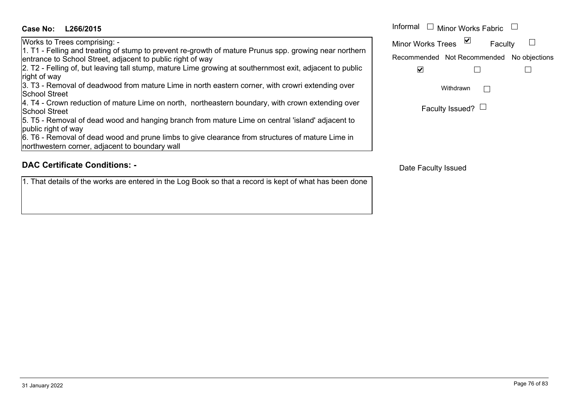### **L266/2015Case No:** Informal

Works to Trees comprising: -

1. T1 - Felling and treating of stump to prevent re-growth of mature Prunus spp. growing near northern entrance to School Street, adjacent to public right of way

2. T2 - Felling of, but leaving tall stump, mature Lime growing at southernmost exit, adjacent to public right of way

3. T3 - Removal of deadwood from mature Lime in north eastern corner, with crowri extending over School Street

4. T4 - Crown reduction of mature Lime on north, northeastern boundary, with crown extending over School Street

5. T5 - Removal of dead wood and hanging branch from mature Lime on central 'island' adjacent to public right of way

6. T6 - Removal of dead wood and prune limbs to give clearance from structures of mature Lime in northwestern corner, adjacent to boundary wall

# **DAC Certificate Conditions: -**

1. That details of the works are entered in the Log Book so that a record is kept of what has been done

| Informal $\Box$ Minor Works Fabric |                                           |  |  |
|------------------------------------|-------------------------------------------|--|--|
| <b>Minor Works Trees</b>           | Faculty                                   |  |  |
|                                    | Recommended Not Recommended No objections |  |  |
|                                    |                                           |  |  |
|                                    | Withdrawn                                 |  |  |
|                                    | Faculty Issued?                           |  |  |

Date Faculty Issued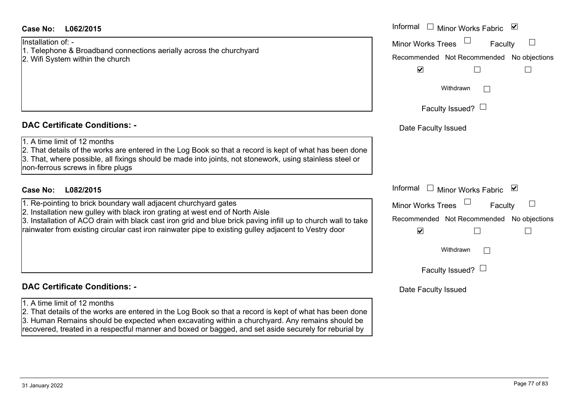| <b>Case No:</b><br>L062/2015                                                                                                                                                                                                                                                                                                                                              | Informal □ Minor Works Fabric ☑                                                                                       |
|---------------------------------------------------------------------------------------------------------------------------------------------------------------------------------------------------------------------------------------------------------------------------------------------------------------------------------------------------------------------------|-----------------------------------------------------------------------------------------------------------------------|
| Installation of: -<br>1. Telephone & Broadband connections aerially across the churchyard<br>2. Wifi System within the church                                                                                                                                                                                                                                             | <b>Minor Works Trees</b><br>Faculty<br>Recommended Not Recommended No objections<br>$\blacktriangledown$              |
|                                                                                                                                                                                                                                                                                                                                                                           | Withdrawn<br>Faculty Issued? $\Box$                                                                                   |
| <b>DAC Certificate Conditions: -</b>                                                                                                                                                                                                                                                                                                                                      | Date Faculty Issued                                                                                                   |
| 1. A time limit of 12 months<br>2. That details of the works are entered in the Log Book so that a record is kept of what has been done<br>3. That, where possible, all fixings should be made into joints, not stonework, using stainless steel or<br>non-ferrous screws in fibre plugs                                                                                  |                                                                                                                       |
| <b>Case No:</b><br>L082/2015                                                                                                                                                                                                                                                                                                                                              | Informal □ Minor Works Fabric ⊠                                                                                       |
| 1. Re-pointing to brick boundary wall adjacent churchyard gates<br>2. Installation new gulley with black iron grating at west end of North Aisle<br>3. Installation of ACO drain with black cast iron grid and blue brick paving infill up to church wall to take<br>rainwater from existing circular cast iron rainwater pipe to existing gulley adjacent to Vestry door | <b>Minor Works Trees</b><br>Faculty<br>Recommended Not Recommended No objections<br>$\blacktriangledown$<br>Withdrawn |
|                                                                                                                                                                                                                                                                                                                                                                           | Faculty Issued? $\Box$                                                                                                |
| <b>DAC Certificate Conditions: -</b>                                                                                                                                                                                                                                                                                                                                      | Date Faculty Issued                                                                                                   |
| 1. A time limit of 12 months<br>2. That details of the works are entered in the Log Book so that a record is kept of what has been done<br>3. Human Remains should be expected when excavating within a churchyard. Any remains should be<br>recovered, treated in a respectful manner and boxed or bagged, and set aside securely for reburial by                        |                                                                                                                       |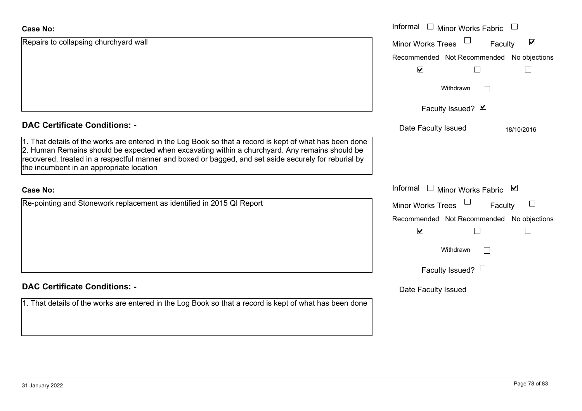#### **Case No:**

| <b>Case No:</b>                                                                                                                                                                                                                                                                                                                                                | Informal I Minor Works Fabric                        |
|----------------------------------------------------------------------------------------------------------------------------------------------------------------------------------------------------------------------------------------------------------------------------------------------------------------------------------------------------------------|------------------------------------------------------|
| Repairs to collapsing churchyard wall                                                                                                                                                                                                                                                                                                                          | $\blacktriangledown$<br>Minor Works Trees<br>Faculty |
|                                                                                                                                                                                                                                                                                                                                                                | Recommended Not Recommended No objections            |
|                                                                                                                                                                                                                                                                                                                                                                | $\blacktriangledown$                                 |
|                                                                                                                                                                                                                                                                                                                                                                | Withdrawn                                            |
|                                                                                                                                                                                                                                                                                                                                                                | Faculty Issued? Ø                                    |
| <b>DAC Certificate Conditions: -</b>                                                                                                                                                                                                                                                                                                                           | Date Faculty Issued<br>18/10/2016                    |
| 1. That details of the works are entered in the Log Book so that a record is kept of what has been done<br>2. Human Remains should be expected when excavating within a churchyard. Any remains should be<br>recovered, treated in a respectful manner and boxed or bagged, and set aside securely for reburial by<br>the incumbent in an appropriate location |                                                      |
| <b>Case No:</b>                                                                                                                                                                                                                                                                                                                                                | Informal □ Minor Works Fabric ⊠                      |
| Re-pointing and Stonework replacement as identified in 2015 QI Report                                                                                                                                                                                                                                                                                          | <b>Minor Works Trees</b><br>Faculty                  |
|                                                                                                                                                                                                                                                                                                                                                                | Recommended Not Recommended No objections            |
|                                                                                                                                                                                                                                                                                                                                                                | $\blacktriangledown$                                 |
|                                                                                                                                                                                                                                                                                                                                                                | Withdrawn                                            |
|                                                                                                                                                                                                                                                                                                                                                                | Faculty Issued? $\Box$                               |
| <b>DAC Certificate Conditions: -</b>                                                                                                                                                                                                                                                                                                                           | Date Faculty Issued                                  |
| 1. That details of the works are entered in the Log Book so that a record is kept of what has been done                                                                                                                                                                                                                                                        |                                                      |
|                                                                                                                                                                                                                                                                                                                                                                |                                                      |
|                                                                                                                                                                                                                                                                                                                                                                |                                                      |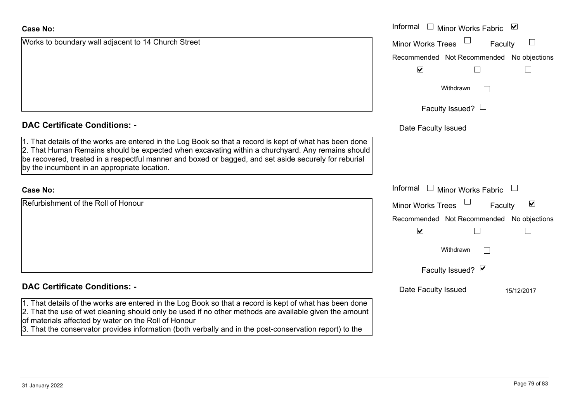| <b>Case No:</b>                                                                                                                                                                                                                                                                                                                                                      | Informal<br>$\Box$ Minor Works Fabric     | $\blacktriangledown$            |
|----------------------------------------------------------------------------------------------------------------------------------------------------------------------------------------------------------------------------------------------------------------------------------------------------------------------------------------------------------------------|-------------------------------------------|---------------------------------|
| Works to boundary wall adjacent to 14 Church Street                                                                                                                                                                                                                                                                                                                  | Minor Works Trees                         | Faculty                         |
|                                                                                                                                                                                                                                                                                                                                                                      | Recommended Not Recommended No objections |                                 |
|                                                                                                                                                                                                                                                                                                                                                                      | $\blacktriangledown$                      |                                 |
|                                                                                                                                                                                                                                                                                                                                                                      | Withdrawn                                 | $\sim$                          |
|                                                                                                                                                                                                                                                                                                                                                                      | Faculty Issued? $\Box$                    |                                 |
| <b>DAC Certificate Conditions: -</b>                                                                                                                                                                                                                                                                                                                                 | Date Faculty Issued                       |                                 |
| 1. That details of the works are entered in the Log Book so that a record is kept of what has been done<br>2. That Human Remains should be expected when excavating within a churchyard. Any remains should<br>be recovered, treated in a respectful manner and boxed or bagged, and set aside securely for reburial<br>by the incumbent in an appropriate location. |                                           |                                 |
| <b>Case No:</b>                                                                                                                                                                                                                                                                                                                                                      | Informal $\Box$ Minor Works Fabric        |                                 |
| Refurbishment of the Roll of Honour                                                                                                                                                                                                                                                                                                                                  | <b>Minor Works Trees</b>                  | $\blacktriangledown$<br>Faculty |
|                                                                                                                                                                                                                                                                                                                                                                      | Recommended Not Recommended No objections |                                 |
|                                                                                                                                                                                                                                                                                                                                                                      | $\blacktriangledown$                      |                                 |
|                                                                                                                                                                                                                                                                                                                                                                      | Withdrawn                                 | $\mathbb{R}^n$                  |
|                                                                                                                                                                                                                                                                                                                                                                      | Faculty Issued? Ø                         |                                 |
| <b>DAC Certificate Conditions: -</b>                                                                                                                                                                                                                                                                                                                                 | Date Faculty Issued                       | 15/12/2017                      |
| 1. That details of the works are entered in the Log Book so that a record is kept of what has been done<br>2. That the use of wet cleaning should only be used if no other methods are available given the amount<br>of materials affected by water on the Roll of Honour                                                                                            |                                           |                                 |
| 3. That the conservator provides information (both verbally and in the post-conservation report) to the                                                                                                                                                                                                                                                              |                                           |                                 |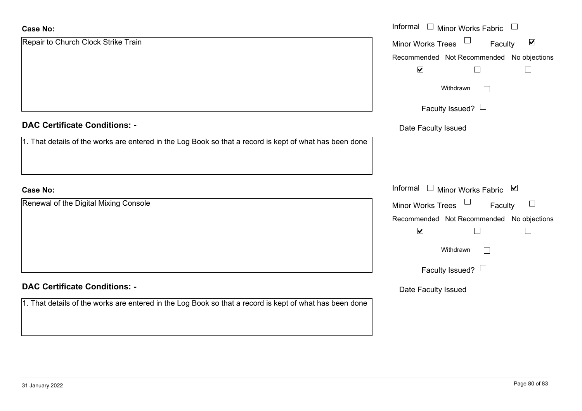| <b>Case No:</b>                                                                                         | Informal<br>Minor Works Fabric $\Box$<br>$\Box$           |  |  |
|---------------------------------------------------------------------------------------------------------|-----------------------------------------------------------|--|--|
| Repair to Church Clock Strike Train                                                                     | $\blacktriangledown$<br>Minor Works Trees<br>Faculty      |  |  |
|                                                                                                         | Recommended Not Recommended No objections                 |  |  |
|                                                                                                         | $\blacktriangledown$                                      |  |  |
|                                                                                                         | Withdrawn<br>$\mathbb{R}^n$                               |  |  |
|                                                                                                         | Faculty Issued? $\Box$                                    |  |  |
| <b>DAC Certificate Conditions: -</b>                                                                    | Date Faculty Issued                                       |  |  |
| 1. That details of the works are entered in the Log Book so that a record is kept of what has been done |                                                           |  |  |
|                                                                                                         |                                                           |  |  |
|                                                                                                         |                                                           |  |  |
| <b>Case No:</b>                                                                                         | Informal<br>□ Minor Works Fabric $\vert \mathbf{v} \vert$ |  |  |
| Renewal of the Digital Mixing Console                                                                   | Minor Works Trees<br>Faculty<br>$\Box$                    |  |  |
|                                                                                                         | Recommended Not Recommended No objections                 |  |  |
|                                                                                                         | $\blacktriangledown$<br>$\Box$<br>$\Box$                  |  |  |
|                                                                                                         | Withdrawn<br>$\mathbb{R}^n$                               |  |  |
|                                                                                                         | Faculty Issued? $\Box$                                    |  |  |
| <b>DAC Certificate Conditions: -</b>                                                                    | Date Faculty Issued                                       |  |  |
| 1. That details of the works are entered in the Log Book so that a record is kept of what has been done |                                                           |  |  |
|                                                                                                         |                                                           |  |  |
|                                                                                                         |                                                           |  |  |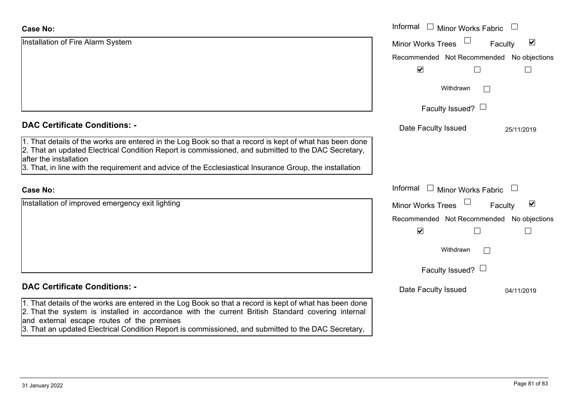| <b>Case No:</b>                                                                                                                                                                                                                                                                                                                                                   | Informal<br>$\Box$ Minor Works Fabric     |                                 |
|-------------------------------------------------------------------------------------------------------------------------------------------------------------------------------------------------------------------------------------------------------------------------------------------------------------------------------------------------------------------|-------------------------------------------|---------------------------------|
| Installation of Fire Alarm System                                                                                                                                                                                                                                                                                                                                 | <b>Minor Works Trees</b>                  | $\blacktriangledown$<br>Faculty |
|                                                                                                                                                                                                                                                                                                                                                                   | Recommended Not Recommended No objections |                                 |
|                                                                                                                                                                                                                                                                                                                                                                   | $\blacktriangledown$                      |                                 |
|                                                                                                                                                                                                                                                                                                                                                                   | Withdrawn                                 |                                 |
|                                                                                                                                                                                                                                                                                                                                                                   | Faculty Issued? $\Box$                    |                                 |
| <b>DAC Certificate Conditions: -</b>                                                                                                                                                                                                                                                                                                                              | Date Faculty Issued                       | 25/11/2019                      |
| 1. That details of the works are entered in the Log Book so that a record is kept of what has been done<br>2. That an updated Electrical Condition Report is commissioned, and submitted to the DAC Secretary,<br>after the installation<br>3. That, in line with the requirement and advice of the Ecclesiastical Insurance Group, the installation              |                                           |                                 |
| <b>Case No:</b>                                                                                                                                                                                                                                                                                                                                                   | Informal<br>$\Box$ Minor Works Fabric     |                                 |
| Installation of improved emergency exit lighting                                                                                                                                                                                                                                                                                                                  | <b>Minor Works Trees</b>                  | $\blacktriangledown$<br>Faculty |
|                                                                                                                                                                                                                                                                                                                                                                   | Recommended Not Recommended No objections |                                 |
|                                                                                                                                                                                                                                                                                                                                                                   | $\blacktriangledown$                      |                                 |
|                                                                                                                                                                                                                                                                                                                                                                   | Withdrawn                                 |                                 |
|                                                                                                                                                                                                                                                                                                                                                                   | Faculty Issued? $\Box$                    |                                 |
| <b>DAC Certificate Conditions: -</b>                                                                                                                                                                                                                                                                                                                              | Date Faculty Issued                       | 04/11/2019                      |
| 1. That details of the works are entered in the Log Book so that a record is kept of what has been done<br>2. That the system is installed in accordance with the current British Standard covering internal<br>and external escape routes of the premises<br>3. That an updated Electrical Condition Report is commissioned, and submitted to the DAC Secretary, |                                           |                                 |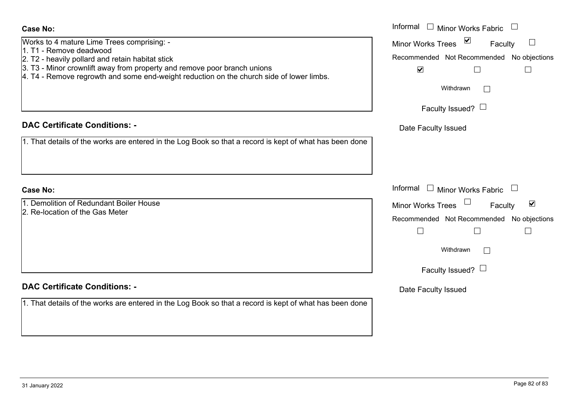| 31 January 2022 | Page 82 of 83 |
|-----------------|---------------|
|                 |               |

# $\csc$

| <b>Case No:</b>                                                                                         | Informal $\Box$ Minor Works Fabric $\Box$                   |  |  |
|---------------------------------------------------------------------------------------------------------|-------------------------------------------------------------|--|--|
| Works to 4 mature Lime Trees comprising: -<br>1. T1 - Remove deadwood                                   | $\triangledown$<br>Minor Works Trees<br>$\Box$<br>Faculty   |  |  |
| 2. T2 - heavily pollard and retain habitat stick                                                        | Recommended Not Recommended No objections                   |  |  |
| 3. T3 - Minor crownlift away from property and remove poor branch unions                                | $\blacktriangledown$                                        |  |  |
| 4. T4 - Remove regrowth and some end-weight reduction on the church side of lower limbs.                |                                                             |  |  |
|                                                                                                         | Withdrawn                                                   |  |  |
|                                                                                                         | Faculty Issued? $\Box$                                      |  |  |
| <b>DAC Certificate Conditions: -</b>                                                                    | Date Faculty Issued                                         |  |  |
| 1. That details of the works are entered in the Log Book so that a record is kept of what has been done |                                                             |  |  |
|                                                                                                         |                                                             |  |  |
| <b>Case No:</b>                                                                                         | Informal $\Box$ Minor Works Fabric $\Box$                   |  |  |
| 1. Demolition of Redundant Boiler House                                                                 | $\blacktriangledown$<br><b>Minor Works Trees</b><br>Faculty |  |  |
| 2. Re-location of the Gas Meter                                                                         | Recommended Not Recommended No objections                   |  |  |
|                                                                                                         | $\mathbb{R}^n$                                              |  |  |
|                                                                                                         | Withdrawn                                                   |  |  |
|                                                                                                         | Faculty Issued? $\Box$                                      |  |  |
| <b>DAC Certificate Conditions: -</b>                                                                    | Date Faculty Issued                                         |  |  |
| 1. That details of the works are entered in the Log Book so that a record is kept of what has been done |                                                             |  |  |
|                                                                                                         |                                                             |  |  |